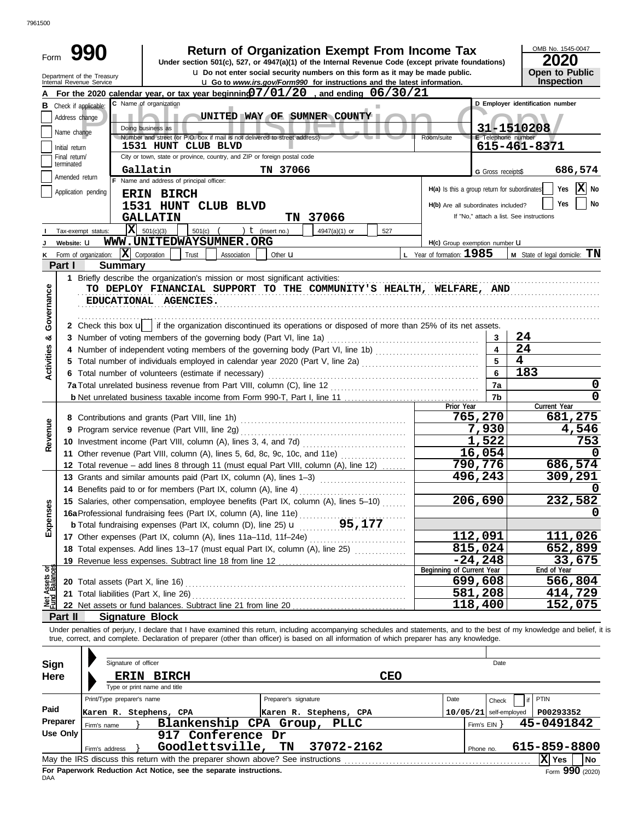| 7961500 |  |
|---------|--|

|                                |                                 | 990                                                                                                                                                                        |            |                   |                      | Return of Organization Exempt From Income Tax                                                                                                                           |     |                                              |                              |                                          | OMB No. 1545-0047                      |
|--------------------------------|---------------------------------|----------------------------------------------------------------------------------------------------------------------------------------------------------------------------|------------|-------------------|----------------------|-------------------------------------------------------------------------------------------------------------------------------------------------------------------------|-----|----------------------------------------------|------------------------------|------------------------------------------|----------------------------------------|
| Form                           |                                 |                                                                                                                                                                            |            |                   |                      | Under section 501(c), 527, or 4947(a)(1) of the Internal Revenue Code (except private foundations)                                                                      |     |                                              |                              |                                          | 2020                                   |
|                                |                                 | Department of the Treasury<br>Internal Revenue Service                                                                                                                     |            |                   |                      | <b>u</b> Do not enter social security numbers on this form as it may be made public.<br><b>u</b> Go to www.irs.gov/Form990 for instructions and the latest information. |     |                                              |                              |                                          | <b>Open to Public</b><br>Inspection    |
|                                |                                 | For the 2020 calendar year, or tax year beginning $07/01/20$ , and ending $06/30/21$                                                                                       |            |                   |                      |                                                                                                                                                                         |     |                                              |                              |                                          |                                        |
| в                              |                                 | C Name of organization<br>Check if applicable:                                                                                                                             |            |                   |                      | a.                                                                                                                                                                      |     |                                              |                              | D Employer identification number         |                                        |
|                                | Address change                  |                                                                                                                                                                            |            |                   |                      | UNITED WAY OF SUMNER COUNTY                                                                                                                                             |     |                                              |                              |                                          |                                        |
|                                |                                 | Doing business as                                                                                                                                                          |            |                   |                      |                                                                                                                                                                         |     |                                              |                              | 31-1510208                               |                                        |
|                                | Name change                     | Number and street (or P.O. box if mail is not delivered to street address).                                                                                                |            |                   |                      |                                                                                                                                                                         |     | Room/suite                                   | E Telephone number           |                                          |                                        |
|                                | Initial return<br>Final return/ | 1531 HUNT CLUB BLVD<br>City or town, state or province, country, and ZIP or foreign postal code                                                                            |            |                   |                      |                                                                                                                                                                         |     |                                              |                              | 615-461-8371                             |                                        |
|                                | terminated                      | Gallatin                                                                                                                                                                   |            |                   | TN 37066             |                                                                                                                                                                         |     |                                              |                              |                                          | 686,574                                |
|                                | Amended return                  | F Name and address of principal officer:                                                                                                                                   |            |                   |                      |                                                                                                                                                                         |     |                                              | G Gross receipts\$           |                                          |                                        |
|                                |                                 | Application pending<br><b>ERIN BIRCH</b>                                                                                                                                   |            |                   |                      |                                                                                                                                                                         |     | H(a) Is this a group return for subordinates |                              |                                          | $\mathbf{X}$ No<br>Yes                 |
|                                |                                 | 1531 HUNT CLUB BLVD                                                                                                                                                        |            |                   |                      |                                                                                                                                                                         |     | H(b) Are all subordinates included?          |                              |                                          | Yes<br>No                              |
|                                |                                 | <b>GALLATIN</b>                                                                                                                                                            |            |                   |                      | TN 37066                                                                                                                                                                |     |                                              |                              | If "No," attach a list. See instructions |                                        |
|                                |                                 | $\overline{\mathbf{X}}$ 501(c)(3)<br>Tax-exempt status:                                                                                                                    | $501(c)$ ( |                   | ) $t$ (insert no.)   | 4947(a)(1) or                                                                                                                                                           | 527 |                                              |                              |                                          |                                        |
|                                | Website: U                      | WWW.UNITEDWAYSUMNER.ORG                                                                                                                                                    |            |                   |                      |                                                                                                                                                                         |     | H(c) Group exemption number U                |                              |                                          |                                        |
| κ                              |                                 | $\mathbf{X}$ Corporation<br>Form of organization:                                                                                                                          | Trust      | Association       | Other <b>u</b>       |                                                                                                                                                                         |     | L Year of formation: 1985                    |                              |                                          | <b>M</b> State of legal domicile: $TN$ |
|                                | Part I                          | <b>Summary</b>                                                                                                                                                             |            |                   |                      |                                                                                                                                                                         |     |                                              |                              |                                          |                                        |
|                                |                                 | 1 Briefly describe the organization's mission or most significant activities:                                                                                              |            |                   |                      |                                                                                                                                                                         |     |                                              |                              |                                          |                                        |
| Governance                     |                                 | TO DEPLOY FINANCIAL SUPPORT TO THE COMMUNITY'S HEALTH, WELFARE, AND                                                                                                        |            |                   |                      |                                                                                                                                                                         |     |                                              |                              |                                          |                                        |
|                                |                                 | EDUCATIONAL AGENCIES.                                                                                                                                                      |            |                   |                      |                                                                                                                                                                         |     |                                              |                              |                                          |                                        |
|                                |                                 |                                                                                                                                                                            |            |                   |                      |                                                                                                                                                                         |     |                                              |                              |                                          |                                        |
|                                |                                 | 2 Check this box u   if the organization discontinued its operations or disposed of more than 25% of its net assets.                                                       |            |                   |                      |                                                                                                                                                                         |     |                                              |                              |                                          |                                        |
| න්                             |                                 |                                                                                                                                                                            |            |                   |                      |                                                                                                                                                                         |     |                                              | 3<br>$\overline{\mathbf{4}}$ | 24<br>24                                 |                                        |
|                                |                                 | 5 Total number of individuals employed in calendar year 2020 (Part V, line 2a) [[[[[[[[[[[[[[[[[[[[[[[[[[[[[[[                                                             |            | 5                 | 4                    |                                                                                                                                                                         |     |                                              |                              |                                          |                                        |
| <b>Activities</b>              |                                 | 6 Total number of volunteers (estimate if necessary)                                                                                                                       |            | 6                 | 183                  |                                                                                                                                                                         |     |                                              |                              |                                          |                                        |
|                                |                                 |                                                                                                                                                                            | 7a         |                   | 0                    |                                                                                                                                                                         |     |                                              |                              |                                          |                                        |
|                                |                                 |                                                                                                                                                                            |            |                   |                      |                                                                                                                                                                         |     |                                              | 7b                           |                                          | $\mathbf 0$                            |
|                                |                                 |                                                                                                                                                                            |            |                   |                      |                                                                                                                                                                         |     | Prior Year                                   | 765,270                      |                                          | Current Year                           |
|                                |                                 |                                                                                                                                                                            |            |                   |                      |                                                                                                                                                                         |     |                                              |                              |                                          | 681,275                                |
|                                |                                 |                                                                                                                                                                            |            |                   |                      |                                                                                                                                                                         |     |                                              | 7,930                        |                                          | 4,546                                  |
| Revenue                        |                                 |                                                                                                                                                                            |            |                   |                      |                                                                                                                                                                         |     |                                              | 1,522                        |                                          | 753                                    |
|                                |                                 | 11 Other revenue (Part VIII, column (A), lines 5, 6d, 8c, 9c, 10c, and 11e)                                                                                                |            |                   |                      |                                                                                                                                                                         |     |                                              | 16,054                       |                                          | <sup>0</sup>                           |
|                                |                                 | 12 Total revenue - add lines 8 through 11 (must equal Part VIII, column (A), line 12)                                                                                      |            |                   |                      |                                                                                                                                                                         |     |                                              | 790,776<br>496,243           |                                          | 686,574<br>309,291                     |
|                                |                                 | 13 Grants and similar amounts paid (Part IX, column (A), lines 1-3)<br>14 Benefits paid to or for members (Part IX, column (A), line 4)                                    |            |                   |                      |                                                                                                                                                                         |     |                                              |                              |                                          | 0                                      |
|                                |                                 | 15 Salaries, other compensation, employee benefits (Part IX, column (A), lines 5-10)                                                                                       |            |                   |                      |                                                                                                                                                                         |     |                                              | 206,690                      |                                          | 232,582                                |
| Expenses                       |                                 |                                                                                                                                                                            |            |                   |                      |                                                                                                                                                                         |     |                                              |                              |                                          | O                                      |
|                                |                                 |                                                                                                                                                                            |            |                   |                      |                                                                                                                                                                         |     |                                              |                              |                                          |                                        |
|                                |                                 | 17 Other expenses (Part IX, column (A), lines 11a-11d, 11f-24e)                                                                                                            |            |                   |                      |                                                                                                                                                                         |     |                                              | 112,091                      |                                          | 111,026                                |
|                                |                                 | 18 Total expenses. Add lines 13-17 (must equal Part IX, column (A), line 25)                                                                                               |            |                   |                      |                                                                                                                                                                         |     |                                              | 815,024                      |                                          | 652,899                                |
|                                |                                 |                                                                                                                                                                            |            |                   |                      |                                                                                                                                                                         |     |                                              | $-24, 248$                   |                                          | 33,675                                 |
| Net Assets or<br>Fund Balances |                                 |                                                                                                                                                                            |            |                   |                      |                                                                                                                                                                         |     | Beginning of Current Year                    |                              |                                          | End of Year                            |
|                                |                                 | <b>20</b> Total assets (Part X, line 16)                                                                                                                                   |            |                   |                      |                                                                                                                                                                         |     |                                              | 699,608                      |                                          | <u>566,804</u>                         |
|                                |                                 | 21 Total liabilities (Part X, line 26)                                                                                                                                     |            |                   |                      |                                                                                                                                                                         |     |                                              | 581,208<br>118,400           |                                          | 414,729<br>152,075                     |
|                                | Part II                         | <b>Signature Block</b>                                                                                                                                                     |            |                   |                      |                                                                                                                                                                         |     |                                              |                              |                                          |                                        |
|                                |                                 | Under penalties of perjury, I declare that I have examined this return, including accompanying schedules and statements, and to the best of my knowledge and belief, it is |            |                   |                      |                                                                                                                                                                         |     |                                              |                              |                                          |                                        |
|                                |                                 | true, correct, and complete. Declaration of preparer (other than officer) is based on all information of which preparer has any knowledge.                                 |            |                   |                      |                                                                                                                                                                         |     |                                              |                              |                                          |                                        |
|                                |                                 |                                                                                                                                                                            |            |                   |                      |                                                                                                                                                                         |     |                                              |                              |                                          |                                        |
| Sign                           |                                 | Signature of officer                                                                                                                                                       |            |                   |                      |                                                                                                                                                                         |     |                                              | Date                         |                                          |                                        |
| Here                           |                                 | <b>ERIN BIRCH</b>                                                                                                                                                          |            |                   |                      |                                                                                                                                                                         | CEO |                                              |                              |                                          |                                        |
|                                |                                 | Type or print name and title                                                                                                                                               |            |                   |                      |                                                                                                                                                                         |     |                                              |                              |                                          |                                        |
|                                |                                 | Print/Type preparer's name                                                                                                                                                 |            |                   | Preparer's signature |                                                                                                                                                                         |     | Date                                         | Check                        | PTIN                                     |                                        |
| Paid                           |                                 | Karen R. Stephens, CPA                                                                                                                                                     |            |                   |                      | Karen R. Stephens, CPA                                                                                                                                                  |     |                                              | $10/05/21$ self-employed     |                                          | P00293352                              |
| Preparer                       |                                 | Firm's name                                                                                                                                                                |            |                   |                      | Blankenship CPA Group, PLLC                                                                                                                                             |     |                                              | Firm's $EIN$ }               |                                          | 45-0491842                             |
|                                | <b>Use Only</b>                 |                                                                                                                                                                            |            | 917 Conference Dr |                      |                                                                                                                                                                         |     |                                              |                              |                                          |                                        |
|                                |                                 | Firm's address                                                                                                                                                             |            | Goodlettsville,   | TN                   | 37072-2162                                                                                                                                                              |     |                                              | Phone no.                    |                                          | 615-859-8800                           |
|                                |                                 |                                                                                                                                                                            |            |                   |                      |                                                                                                                                                                         |     |                                              |                              |                                          | X Yes<br>No                            |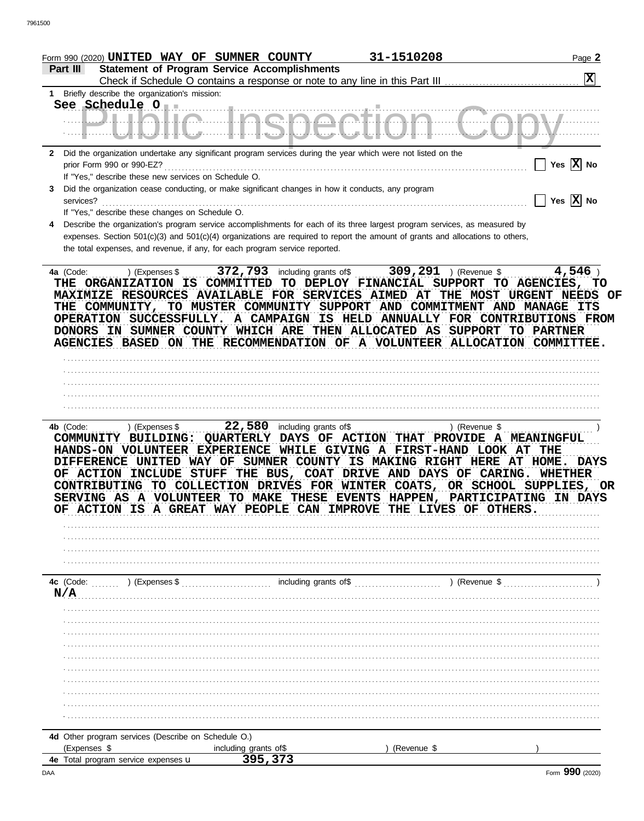| Form 990 (2020) UNITED WAY OF SUMNER COUNTY                                                                                                                                                                                                                                                                                                                                                                                                                                                                                                                   |                       | 31-1510208    | Page 2                      |
|---------------------------------------------------------------------------------------------------------------------------------------------------------------------------------------------------------------------------------------------------------------------------------------------------------------------------------------------------------------------------------------------------------------------------------------------------------------------------------------------------------------------------------------------------------------|-----------------------|---------------|-----------------------------|
| <b>Statement of Program Service Accomplishments</b><br>Part III                                                                                                                                                                                                                                                                                                                                                                                                                                                                                               |                       |               | $\mathbf{x}$                |
| Briefly describe the organization's mission:<br>1                                                                                                                                                                                                                                                                                                                                                                                                                                                                                                             |                       |               |                             |
| See Schedule $O_{\blacksquare}$<br>$1.1$ $\bigcap$ $1.1.7$                                                                                                                                                                                                                                                                                                                                                                                                                                                                                                    | <u>In a la a ail</u>  |               | .V <i>I</i> .               |
|                                                                                                                                                                                                                                                                                                                                                                                                                                                                                                                                                               |                       |               |                             |
| 2 Did the organization undertake any significant program services during the year which were not listed on the<br>prior Form 990 or 990-EZ?<br>If "Yes," describe these new services on Schedule O.                                                                                                                                                                                                                                                                                                                                                           |                       |               | Yes $\overline{X}$ No       |
| Did the organization cease conducting, or make significant changes in how it conducts, any program<br>3.<br>services? <b>Authority Constitution Constitution</b> Constitution Constitution Constitution Constitution Constitution Constitution Constitution Constitution Constitution Constitution Constitution Constitution Constitution Const                                                                                                                                                                                                               |                       |               | Yes $\boxed{\mathbf{X}}$ No |
| If "Yes," describe these changes on Schedule O.                                                                                                                                                                                                                                                                                                                                                                                                                                                                                                               |                       |               |                             |
| Describe the organization's program service accomplishments for each of its three largest program services, as measured by<br>expenses. Section 501(c)(3) and 501(c)(4) organizations are required to report the amount of grants and allocations to others,<br>the total expenses, and revenue, if any, for each program service reported.                                                                                                                                                                                                                   |                       |               |                             |
| (Expenses \$ 372, 793 including grants of \$ 309, 291 ) (Revenue \$<br>4a (Code:<br>THE ORGANIZATION IS COMMITTED TO DEPLOY FINANCIAL SUPPORT TO AGENCIES, TO<br>MAXIMIZE RESOURCES AVAILABLE FOR SERVICES AIMED AT THE MOST URGENT NEEDS OF<br>THE COMMUNITY, TO MUSTER COMMUNITY SUPPORT AND COMMITMENT AND MANAGE ITS<br>OPERATION SUCCESSFULLY. A CAMPAIGN IS HELD ANNUALLY FOR CONTRIBUTIONS FROM<br>DONORS IN SUMNER COUNTY WHICH ARE THEN ALLOCATED AS SUPPORT TO PARTNER<br>AGENCIES BASED ON THE RECOMMENDATION OF A VOLUNTEER ALLOCATION COMMITTEE. |                       |               | 4,546                       |
|                                                                                                                                                                                                                                                                                                                                                                                                                                                                                                                                                               |                       |               |                             |
|                                                                                                                                                                                                                                                                                                                                                                                                                                                                                                                                                               |                       |               |                             |
|                                                                                                                                                                                                                                                                                                                                                                                                                                                                                                                                                               |                       |               |                             |
|                                                                                                                                                                                                                                                                                                                                                                                                                                                                                                                                                               |                       |               |                             |
| COMMUNITY BUILDING: QUARTERLY DAYS OF ACTION THAT PROVIDE A MEANINGFUL<br>HANDS-ON VOLUNTEER EXPERIENCE WHILE GIVING A FIRST-HAND LOOK AT THE<br>DIFFERENCE UNITED WAY OF SUMNER COUNTY IS MAKING RIGHT HERE AT HOME. DAYS<br>OF ACTION INCLUDE STUFF THE BUS, COAT DRIVE AND DAYS OF CARING. WHETHER<br>CONTRIBUTING TO COLLECTION DRIVES FOR WINTER COATS, OR SCHOOL SUPPLIES, OR<br>SERVING AS A VOLUNTEER TO MAKE THESE EVENTS HAPPEN, PARTICIPATING IN DAYS<br>OF ACTION IS A GREAT WAY PEOPLE CAN IMPROVE THE LIVES OF OTHERS.                          |                       |               |                             |
|                                                                                                                                                                                                                                                                                                                                                                                                                                                                                                                                                               |                       |               |                             |
|                                                                                                                                                                                                                                                                                                                                                                                                                                                                                                                                                               |                       |               |                             |
| N/A                                                                                                                                                                                                                                                                                                                                                                                                                                                                                                                                                           |                       |               |                             |
|                                                                                                                                                                                                                                                                                                                                                                                                                                                                                                                                                               |                       |               |                             |
|                                                                                                                                                                                                                                                                                                                                                                                                                                                                                                                                                               |                       |               |                             |
|                                                                                                                                                                                                                                                                                                                                                                                                                                                                                                                                                               |                       |               |                             |
|                                                                                                                                                                                                                                                                                                                                                                                                                                                                                                                                                               |                       |               |                             |
|                                                                                                                                                                                                                                                                                                                                                                                                                                                                                                                                                               |                       |               |                             |
|                                                                                                                                                                                                                                                                                                                                                                                                                                                                                                                                                               |                       |               |                             |
|                                                                                                                                                                                                                                                                                                                                                                                                                                                                                                                                                               |                       |               |                             |
|                                                                                                                                                                                                                                                                                                                                                                                                                                                                                                                                                               |                       |               |                             |
| 4d Other program services (Describe on Schedule O.)<br>(Expenses \$                                                                                                                                                                                                                                                                                                                                                                                                                                                                                           | including grants of\$ | ) (Revenue \$ |                             |
| 4e Total program service expenses u                                                                                                                                                                                                                                                                                                                                                                                                                                                                                                                           | 395,373               |               |                             |
| DAA                                                                                                                                                                                                                                                                                                                                                                                                                                                                                                                                                           |                       |               | Form 990 (2020)             |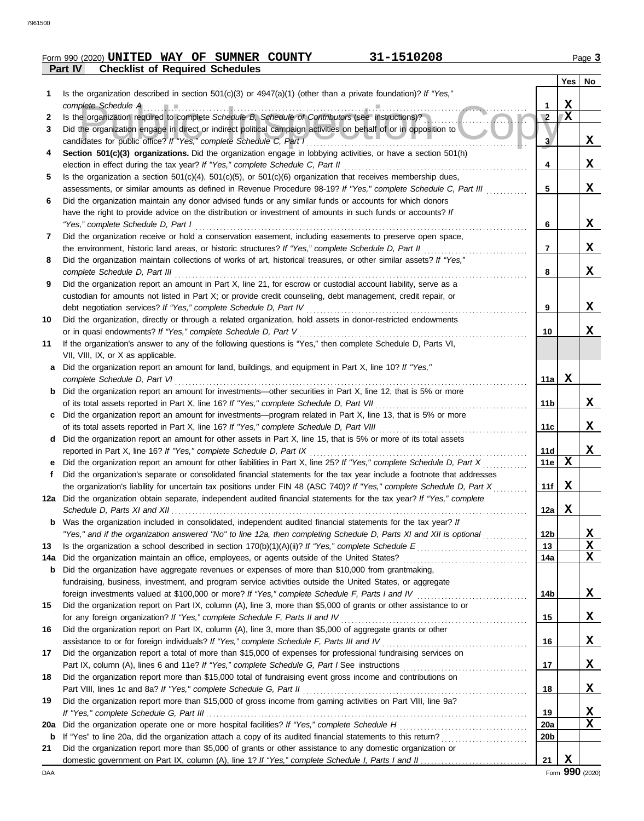# **Part IV Checklist of Required Schedules Form 990 (2020) UNITED WAY OF SUMNER COUNTY 31-1510208** Page 3

|           |                                                                                                                                                                                                                                    |                 | Yes         | No       |
|-----------|------------------------------------------------------------------------------------------------------------------------------------------------------------------------------------------------------------------------------------|-----------------|-------------|----------|
| 1         | Is the organization described in section $501(c)(3)$ or $4947(a)(1)$ (other than a private foundation)? If "Yes,"                                                                                                                  |                 |             |          |
|           | complete Schedule A example and the schedule A complete Schedule A and the complete Schedule A and the schedule                                                                                                                    | 1               | X           |          |
| 2         | Is the organization required to complete Schedule B, Schedule of Contributors (see instructions)?                                                                                                                                  | $\overline{2}$  | X           |          |
| 3         | Did the organization engage in direct or indirect political campaign activities on behalf of or in opposition to                                                                                                                   |                 |             |          |
|           | candidates for public office? If "Yes," complete Schedule C, Part I                                                                                                                                                                | 3 <sup>1</sup>  |             | X        |
| 4         | Section 501(c)(3) organizations. Did the organization engage in lobbying activities, or have a section 501(h)                                                                                                                      |                 |             |          |
|           | election in effect during the tax year? If "Yes," complete Schedule C, Part II                                                                                                                                                     | 4               |             | X        |
| 5         | Is the organization a section $501(c)(4)$ , $501(c)(5)$ , or $501(c)(6)$ organization that receives membership dues,                                                                                                               |                 |             |          |
|           | assessments, or similar amounts as defined in Revenue Procedure 98-19? If "Yes," complete Schedule C, Part III                                                                                                                     | 5               |             | X        |
| 6         | Did the organization maintain any donor advised funds or any similar funds or accounts for which donors                                                                                                                            |                 |             |          |
|           | have the right to provide advice on the distribution or investment of amounts in such funds or accounts? If                                                                                                                        |                 |             |          |
|           | "Yes," complete Schedule D, Part I                                                                                                                                                                                                 | 6               |             | X        |
| 7         | Did the organization receive or hold a conservation easement, including easements to preserve open space,                                                                                                                          |                 |             |          |
|           | the environment, historic land areas, or historic structures? If "Yes," complete Schedule D, Part II                                                                                                                               | 7               |             | X        |
| 8         | Did the organization maintain collections of works of art, historical treasures, or other similar assets? If "Yes,"                                                                                                                |                 |             |          |
|           | complete Schedule D, Part III                                                                                                                                                                                                      | 8               |             | X        |
| 9         | Did the organization report an amount in Part X, line 21, for escrow or custodial account liability, serve as a                                                                                                                    |                 |             |          |
|           | custodian for amounts not listed in Part X; or provide credit counseling, debt management, credit repair, or                                                                                                                       |                 |             |          |
|           | debt negotiation services? If "Yes," complete Schedule D, Part IV                                                                                                                                                                  | 9               |             | X        |
| 10        | Did the organization, directly or through a related organization, hold assets in donor-restricted endowments                                                                                                                       |                 |             |          |
|           | or in quasi endowments? If "Yes," complete Schedule D, Part V                                                                                                                                                                      | 10              |             | X        |
| 11        | If the organization's answer to any of the following questions is "Yes," then complete Schedule D, Parts VI,                                                                                                                       |                 |             |          |
|           | VII, VIII, IX, or X as applicable.                                                                                                                                                                                                 |                 |             |          |
|           | Did the organization report an amount for land, buildings, and equipment in Part X, line 10? If "Yes,"                                                                                                                             |                 |             |          |
|           | complete Schedule D, Part VI                                                                                                                                                                                                       | 11a             | X           |          |
| b         | Did the organization report an amount for investments—other securities in Part X, line 12, that is 5% or more                                                                                                                      |                 |             |          |
|           |                                                                                                                                                                                                                                    | 11b             |             | X        |
| c         | Did the organization report an amount for investments—program related in Part X, line 13, that is 5% or more                                                                                                                       |                 |             |          |
|           | of its total assets reported in Part X, line 16? If "Yes," complete Schedule D, Part VIII                                                                                                                                          | 11c             |             | X        |
| d         | Did the organization report an amount for other assets in Part X, line 15, that is 5% or more of its total assets                                                                                                                  |                 |             |          |
|           | reported in Part X, line 16? If "Yes," complete Schedule D, Part IX                                                                                                                                                                | 11d             |             | X        |
|           | Did the organization report an amount for other liabilities in Part X, line 25? If "Yes," complete Schedule D, Part X                                                                                                              | 11e             | X           |          |
|           | Did the organization's separate or consolidated financial statements for the tax year include a footnote that addresses                                                                                                            |                 |             |          |
|           | the organization's liability for uncertain tax positions under FIN 48 (ASC 740)? If "Yes," complete Schedule D, Part X                                                                                                             | 11f             | X           |          |
|           | 12a Did the organization obtain separate, independent audited financial statements for the tax year? If "Yes," complete                                                                                                            |                 | X           |          |
|           | Schedule D, Parts XI and XII                                                                                                                                                                                                       | 12a             |             |          |
|           | Was the organization included in consolidated, independent audited financial statements for the tax year? If<br>"Yes," and if the organization answered "No" to line 12a, then completing Schedule D, Parts XI and XII is optional | 12 <sub>b</sub> |             | <u>х</u> |
|           |                                                                                                                                                                                                                                    | 13              |             | X        |
| 13<br>14a | Is the organization a school described in section $170(b)(1)(A)(ii)$ ? If "Yes," complete Schedule E<br>Did the organization maintain an office, employees, or agents outside of the United States?                                | 14a             |             | X        |
| b         | Did the organization have aggregate revenues or expenses of more than \$10,000 from grantmaking,                                                                                                                                   |                 |             |          |
|           | fundraising, business, investment, and program service activities outside the United States, or aggregate                                                                                                                          |                 |             |          |
|           |                                                                                                                                                                                                                                    | 14b             |             | X        |
| 15        | Did the organization report on Part IX, column (A), line 3, more than \$5,000 of grants or other assistance to or                                                                                                                  |                 |             |          |
|           | for any foreign organization? If "Yes," complete Schedule F, Parts II and IV                                                                                                                                                       | 15              |             | X        |
| 16        | Did the organization report on Part IX, column (A), line 3, more than \$5,000 of aggregate grants or other                                                                                                                         |                 |             |          |
|           | assistance to or for foreign individuals? If "Yes," complete Schedule F, Parts III and IV                                                                                                                                          | 16              |             | X        |
| 17        | Did the organization report a total of more than \$15,000 of expenses for professional fundraising services on                                                                                                                     |                 |             |          |
|           |                                                                                                                                                                                                                                    | 17              |             | X        |
| 18        | Did the organization report more than \$15,000 total of fundraising event gross income and contributions on                                                                                                                        |                 |             |          |
|           | Part VIII, lines 1c and 8a? If "Yes," complete Schedule G, Part II                                                                                                                                                                 | 18              |             | X        |
| 19        | Did the organization report more than \$15,000 of gross income from gaming activities on Part VIII, line 9a?                                                                                                                       |                 |             |          |
|           |                                                                                                                                                                                                                                    | 19              |             | X        |
| 20a       | Did the organization operate one or more hospital facilities? If "Yes," complete Schedule H                                                                                                                                        | 20a             |             | X        |
| b         |                                                                                                                                                                                                                                    | 20b             |             |          |
| 21        | Did the organization report more than \$5,000 of grants or other assistance to any domestic organization or                                                                                                                        |                 |             |          |
|           |                                                                                                                                                                                                                                    | 21              | $\mathbf X$ |          |
|           |                                                                                                                                                                                                                                    |                 |             |          |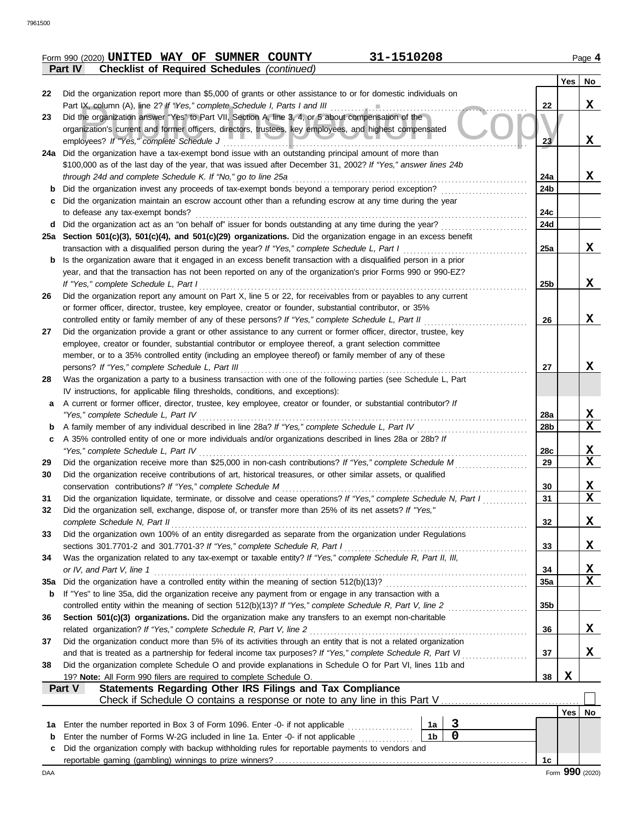#### Form 990 (2020) **UNITED WAY OF SUMNER COUNTY 31-1510208** Page 4 **Part IV Checklist of Required Schedules** *(continued)* **UNITED WAY OF SUMNER COUNTY 31-1510208**

|          | oncentral of negation ocheanes (commerci-                                                                                                                                                                                        |                 |     |                         |
|----------|----------------------------------------------------------------------------------------------------------------------------------------------------------------------------------------------------------------------------------|-----------------|-----|-------------------------|
| 22       | Did the organization report more than \$5,000 of grants or other assistance to or for domestic individuals on                                                                                                                    |                 | Yes | No                      |
|          | Part IX, column (A), line 2? If "Yes," complete Schedule I, Parts I and III                                                                                                                                                      | 22              |     | X                       |
| 23       | Did the organization answer "Yes" to Part VII, Section A, line 3, 4, or 5 about compensation of the                                                                                                                              |                 |     |                         |
|          | organization's current and former officers, directors, trustees, key employees, and highest compensated                                                                                                                          |                 |     |                         |
|          | employees? If "Yes," complete Schedule J                                                                                                                                                                                         | 23              |     | X                       |
|          | 24a Did the organization have a tax-exempt bond issue with an outstanding principal amount of more than<br>\$100,000 as of the last day of the year, that was issued after December 31, 2002? If "Yes," answer lines 24b         |                 |     |                         |
|          | through 24d and complete Schedule K. If "No," go to line 25a                                                                                                                                                                     | 24a             |     | X                       |
| b        | Did the organization invest any proceeds of tax-exempt bonds beyond a temporary period exception?                                                                                                                                | 24b             |     |                         |
| c        | Did the organization maintain an escrow account other than a refunding escrow at any time during the year                                                                                                                        |                 |     |                         |
|          | to defease any tax-exempt bonds?                                                                                                                                                                                                 | 24c             |     |                         |
| d        | Did the organization act as an "on behalf of" issuer for bonds outstanding at any time during the year?                                                                                                                          | 24d             |     |                         |
|          | 25a Section 501(c)(3), 501(c)(4), and 501(c)(29) organizations. Did the organization engage in an excess benefit                                                                                                                 |                 |     |                         |
|          | transaction with a disqualified person during the year? If "Yes," complete Schedule L, Part I<br>Is the organization aware that it engaged in an excess benefit transaction with a disqualified person in a prior                | 25a             |     | X                       |
|          | year, and that the transaction has not been reported on any of the organization's prior Forms 990 or 990-EZ?                                                                                                                     |                 |     |                         |
|          | If "Yes," complete Schedule L, Part I                                                                                                                                                                                            | 25b             |     | X                       |
| 26       | Did the organization report any amount on Part X, line 5 or 22, for receivables from or payables to any current                                                                                                                  |                 |     |                         |
|          | or former officer, director, trustee, key employee, creator or founder, substantial contributor, or 35%                                                                                                                          |                 |     |                         |
|          | controlled entity or family member of any of these persons? If "Yes," complete Schedule L, Part II                                                                                                                               | 26              |     | X                       |
| 27       | Did the organization provide a grant or other assistance to any current or former officer, director, trustee, key                                                                                                                |                 |     |                         |
|          | employee, creator or founder, substantial contributor or employee thereof, a grant selection committee                                                                                                                           |                 |     |                         |
|          | member, or to a 35% controlled entity (including an employee thereof) or family member of any of these                                                                                                                           |                 |     |                         |
|          | persons? If "Yes," complete Schedule L, Part III                                                                                                                                                                                 | 27              |     | X                       |
| 28       | Was the organization a party to a business transaction with one of the following parties (see Schedule L, Part<br>IV instructions, for applicable filing thresholds, conditions, and exceptions):                                |                 |     |                         |
| a        | A current or former officer, director, trustee, key employee, creator or founder, or substantial contributor? If                                                                                                                 |                 |     |                         |
|          | "Yes," complete Schedule L, Part IV                                                                                                                                                                                              | 28a             |     | X                       |
| b        | A family member of any individual described in line 28a? If "Yes," complete Schedule L, Part IV                                                                                                                                  | 28b             |     | X                       |
| c        | A 35% controlled entity of one or more individuals and/or organizations described in lines 28a or 28b? If                                                                                                                        |                 |     |                         |
|          | "Yes," complete Schedule L, Part IV                                                                                                                                                                                              | 28c             |     | X                       |
| 29       | Did the organization receive more than \$25,000 in non-cash contributions? If "Yes," complete Schedule M                                                                                                                         | 29              |     | X                       |
| 30       | Did the organization receive contributions of art, historical treasures, or other similar assets, or qualified                                                                                                                   |                 |     |                         |
|          | conservation contributions? If "Yes," complete Schedule M                                                                                                                                                                        | 30              |     | <u>x</u><br>$\mathbf x$ |
| 31<br>32 | Did the organization liquidate, terminate, or dissolve and cease operations? If "Yes," complete Schedule N, Part I<br>Did the organization sell, exchange, dispose of, or transfer more than 25% of its net assets? If "Yes,"    | 31              |     |                         |
|          | complete Schedule N, Part II                                                                                                                                                                                                     | 32              |     | X                       |
| 33       | Did the organization own 100% of an entity disregarded as separate from the organization under Regulations                                                                                                                       |                 |     |                         |
|          | sections 301.7701-2 and 301.7701-3? If "Yes," complete Schedule R, Part I                                                                                                                                                        | 33              |     | X                       |
| 34       | Was the organization related to any tax-exempt or taxable entity? If "Yes," complete Schedule R, Part II, III,                                                                                                                   |                 |     |                         |
|          | or IV, and Part V, line 1                                                                                                                                                                                                        | 34              |     | X                       |
| 35a      |                                                                                                                                                                                                                                  | 35a             |     | $\mathbf x$             |
| b        | If "Yes" to line 35a, did the organization receive any payment from or engage in any transaction with a                                                                                                                          |                 |     |                         |
| 36       | Section 501(c)(3) organizations. Did the organization make any transfers to an exempt non-charitable                                                                                                                             | 35 <sub>b</sub> |     |                         |
|          | related organization? If "Yes," complete Schedule R, Part V, line 2                                                                                                                                                              | 36              |     | X                       |
| 37       | Did the organization conduct more than 5% of its activities through an entity that is not a related organization                                                                                                                 |                 |     |                         |
|          | and that is treated as a partnership for federal income tax purposes? If "Yes," complete Schedule R, Part VI<br>and a straightful contract and a straight of the straight of the straight of the straight of the straight of the | 37              |     | X                       |
| 38       | Did the organization complete Schedule O and provide explanations in Schedule O for Part VI, lines 11b and                                                                                                                       |                 |     |                         |
|          | 19? Note: All Form 990 filers are required to complete Schedule O.                                                                                                                                                               | 38              | X   |                         |
|          | Statements Regarding Other IRS Filings and Tax Compliance<br>Part V                                                                                                                                                              |                 |     |                         |
|          |                                                                                                                                                                                                                                  |                 |     |                         |
|          |                                                                                                                                                                                                                                  |                 | Yes | No                      |
| 1a<br>b  | 3<br>Enter the number reported in Box 3 of Form 1096. Enter -0- if not applicable<br>1a<br>.<br>$\mathbf 0$<br>1 <sub>b</sub><br>Enter the number of Forms W-2G included in line 1a. Enter -0- if not applicable                 |                 |     |                         |
| c        | Did the organization comply with backup withholding rules for reportable payments to vendors and                                                                                                                                 |                 |     |                         |
|          |                                                                                                                                                                                                                                  | 1c              |     |                         |
|          |                                                                                                                                                                                                                                  |                 |     |                         |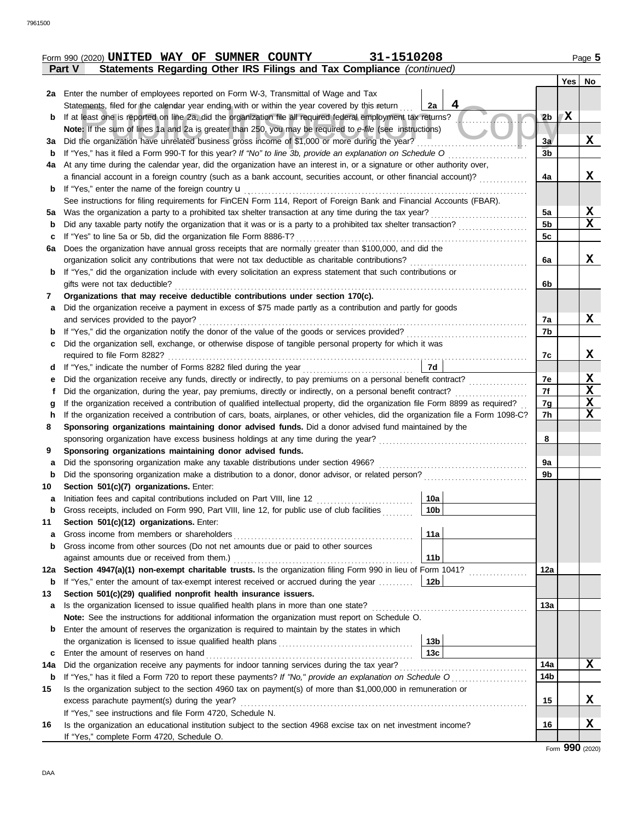|         |                                                                                                                                                              | 31-1510208<br>Form 990 (2020) UNITED WAY OF SUMNER COUNTY<br>Page 5 |    |             |  |  |  |  |  |
|---------|--------------------------------------------------------------------------------------------------------------------------------------------------------------|---------------------------------------------------------------------|----|-------------|--|--|--|--|--|
|         | Statements Regarding Other IRS Filings and Tax Compliance (continued)<br>Part V                                                                              |                                                                     |    |             |  |  |  |  |  |
|         |                                                                                                                                                              |                                                                     |    | Yes No      |  |  |  |  |  |
|         | 2a Enter the number of employees reported on Form W-3, Transmittal of Wage and Tax                                                                           |                                                                     |    |             |  |  |  |  |  |
|         | Statements, filed for the calendar year ending with or within the year covered by this return<br>2a                                                          |                                                                     |    |             |  |  |  |  |  |
| b       | If at least one is reported on line 2a, did the organization file all required federal employment tax returns?                                               | 2 <sub>b</sub>                                                      | 7X |             |  |  |  |  |  |
|         | Note: If the sum of lines 1a and 2a is greater than 250, you may be required to e-file (see instructions)                                                    |                                                                     |    |             |  |  |  |  |  |
| За      | Did the organization have unrelated business gross income of \$1,000 or more during the year?                                                                | 3a                                                                  |    | X           |  |  |  |  |  |
| b       | If "Yes," has it filed a Form 990-T for this year? If "No" to line 3b, provide an explanation on Schedule O                                                  | 3 <sub>b</sub>                                                      |    |             |  |  |  |  |  |
| 4a      | At any time during the calendar year, did the organization have an interest in, or a signature or other authority over,                                      |                                                                     |    |             |  |  |  |  |  |
|         | a financial account in a foreign country (such as a bank account, securities account, or other financial account)?                                           | 4a                                                                  |    | X           |  |  |  |  |  |
| b       | If "Yes," enter the name of the foreign country <b>u</b>                                                                                                     |                                                                     |    |             |  |  |  |  |  |
|         | See instructions for filing requirements for FinCEN Form 114, Report of Foreign Bank and Financial Accounts (FBAR).                                          |                                                                     |    |             |  |  |  |  |  |
| 5а      | Was the organization a party to a prohibited tax shelter transaction at any time during the tax year?                                                        | 5a                                                                  |    | X           |  |  |  |  |  |
| b       | Did any taxable party notify the organization that it was or is a party to a prohibited tax shelter transaction?                                             | 5 <sub>b</sub>                                                      |    | $\mathbf x$ |  |  |  |  |  |
| с       | If "Yes" to line 5a or 5b, did the organization file Form 8886-T?                                                                                            | 5c                                                                  |    |             |  |  |  |  |  |
| 6a      | Does the organization have annual gross receipts that are normally greater than \$100,000, and did the                                                       |                                                                     |    |             |  |  |  |  |  |
|         | organization solicit any contributions that were not tax deductible as charitable contributions?                                                             | 6a                                                                  |    | X           |  |  |  |  |  |
| b       | If "Yes," did the organization include with every solicitation an express statement that such contributions or                                               |                                                                     |    |             |  |  |  |  |  |
|         | gifts were not tax deductible?                                                                                                                               | 6b                                                                  |    |             |  |  |  |  |  |
| 7       | Organizations that may receive deductible contributions under section 170(c).                                                                                |                                                                     |    |             |  |  |  |  |  |
| a       | Did the organization receive a payment in excess of \$75 made partly as a contribution and partly for goods                                                  |                                                                     |    |             |  |  |  |  |  |
|         | and services provided to the payor?                                                                                                                          | 7a                                                                  |    | X           |  |  |  |  |  |
| b       |                                                                                                                                                              | 7b                                                                  |    |             |  |  |  |  |  |
| с       | Did the organization sell, exchange, or otherwise dispose of tangible personal property for which it was                                                     |                                                                     |    |             |  |  |  |  |  |
|         | required to file Form 8282?                                                                                                                                  | 7c                                                                  |    | X           |  |  |  |  |  |
| d       | If "Yes," indicate the number of Forms 8282 filed during the year<br>7d                                                                                      |                                                                     |    |             |  |  |  |  |  |
| е       | Did the organization receive any funds, directly or indirectly, to pay premiums on a personal benefit contract?                                              | 7e                                                                  |    | X           |  |  |  |  |  |
|         | Did the organization, during the year, pay premiums, directly or indirectly, on a personal benefit contract?                                                 | 7f                                                                  |    | $\mathbf X$ |  |  |  |  |  |
| g       | If the organization received a contribution of qualified intellectual property, did the organization file Form 8899 as required?                             | 7g                                                                  |    | $\mathbf X$ |  |  |  |  |  |
| h       | If the organization received a contribution of cars, boats, airplanes, or other vehicles, did the organization file a Form 1098-C?                           | 7h                                                                  |    | X           |  |  |  |  |  |
| 8       | Sponsoring organizations maintaining donor advised funds. Did a donor advised fund maintained by the                                                         |                                                                     |    |             |  |  |  |  |  |
|         | sponsoring organization have excess business holdings at any time during the year?                                                                           | 8                                                                   |    |             |  |  |  |  |  |
| 9       | Sponsoring organizations maintaining donor advised funds.                                                                                                    |                                                                     |    |             |  |  |  |  |  |
| a       | Did the sponsoring organization make any taxable distributions under section 4966?                                                                           | 9a                                                                  |    |             |  |  |  |  |  |
| b       | Did the sponsoring organization make a distribution to a donor, donor advisor, or related person?                                                            | 9b                                                                  |    |             |  |  |  |  |  |
| 10      | Section 501(c)(7) organizations. Enter:                                                                                                                      |                                                                     |    |             |  |  |  |  |  |
|         | 10a                                                                                                                                                          |                                                                     |    |             |  |  |  |  |  |
| b       | 10 <sub>b</sub><br>Gross receipts, included on Form 990, Part VIII, line 12, for public use of club facilities                                               |                                                                     |    |             |  |  |  |  |  |
| 11      | Section 501(c)(12) organizations. Enter:                                                                                                                     |                                                                     |    |             |  |  |  |  |  |
| a       | 11a<br>Gross income from members or shareholders                                                                                                             |                                                                     |    |             |  |  |  |  |  |
| b       | Gross income from other sources (Do not net amounts due or paid to other sources                                                                             |                                                                     |    |             |  |  |  |  |  |
|         | 11 <sub>b</sub><br>against amounts due or received from them.)                                                                                               |                                                                     |    |             |  |  |  |  |  |
| 12a     | Section 4947(a)(1) non-exempt charitable trusts. Is the organization filing Form 990 in lieu of Form 1041?                                                   | 12a                                                                 |    |             |  |  |  |  |  |
| b       | If "Yes," enter the amount of tax-exempt interest received or accrued during the year<br>12 <sub>b</sub>                                                     |                                                                     |    |             |  |  |  |  |  |
| 13      | Section 501(c)(29) qualified nonprofit health insurance issuers.                                                                                             |                                                                     |    |             |  |  |  |  |  |
| a       | Is the organization licensed to issue qualified health plans in more than one state?                                                                         | 13а                                                                 |    |             |  |  |  |  |  |
|         | Note: See the instructions for additional information the organization must report on Schedule O.                                                            |                                                                     |    |             |  |  |  |  |  |
| b       | Enter the amount of reserves the organization is required to maintain by the states in which                                                                 |                                                                     |    |             |  |  |  |  |  |
|         | 13 <sub>b</sub>                                                                                                                                              |                                                                     |    |             |  |  |  |  |  |
| c       | 13 <sub>c</sub><br>Enter the amount of reserves on hand                                                                                                      |                                                                     |    |             |  |  |  |  |  |
| 14a     | Did the organization receive any payments for indoor tanning services during the tax year?                                                                   | 14a                                                                 |    | X           |  |  |  |  |  |
|         | If "Yes," has it filed a Form 720 to report these payments? If "No," provide an explanation on Schedule O                                                    | 14b                                                                 |    |             |  |  |  |  |  |
| b<br>15 | Is the organization subject to the section 4960 tax on payment(s) of more than \$1,000,000 in remuneration or                                                |                                                                     |    |             |  |  |  |  |  |
|         | excess parachute payment(s) during the year?                                                                                                                 | 15                                                                  |    | X           |  |  |  |  |  |
|         | If "Yes," see instructions and file Form 4720, Schedule N.                                                                                                   |                                                                     |    |             |  |  |  |  |  |
| 16      |                                                                                                                                                              | 16                                                                  |    | X           |  |  |  |  |  |
|         | Is the organization an educational institution subject to the section 4968 excise tax on net investment income?<br>If "Yes," complete Form 4720, Schedule O. |                                                                     |    |             |  |  |  |  |  |
|         |                                                                                                                                                              |                                                                     |    |             |  |  |  |  |  |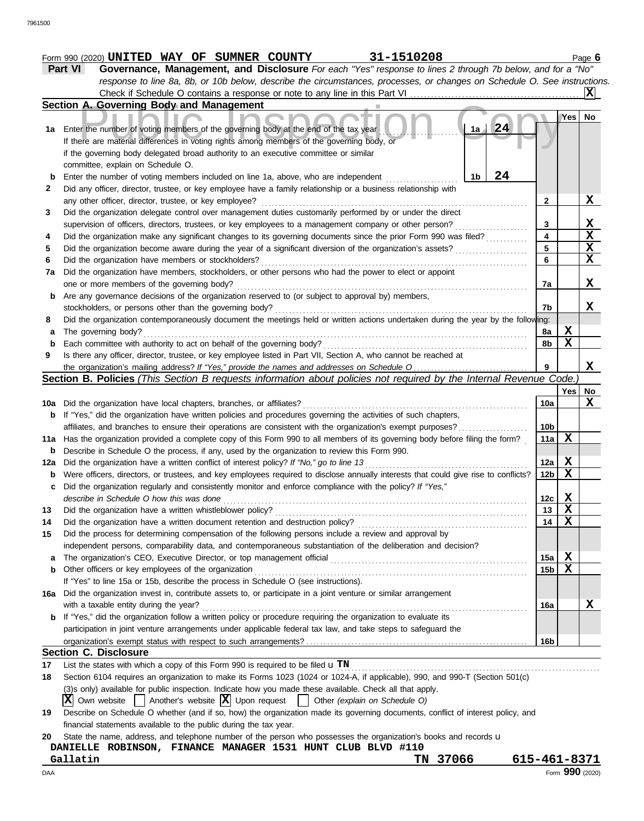|                         | 31-1510208<br>Form 990 (2020) UNITED WAY OF SUMNER COUNTY<br>Governance, Management, and Disclosure For each "Yes" response to lines 2 through 7b below, and for a "No"<br><b>Part VI</b>                                 |                         |                         | Page 6      |
|-------------------------|---------------------------------------------------------------------------------------------------------------------------------------------------------------------------------------------------------------------------|-------------------------|-------------------------|-------------|
|                         | response to line 8a, 8b, or 10b below, describe the circumstances, processes, or changes on Schedule O. See instructions.                                                                                                 |                         |                         |             |
|                         |                                                                                                                                                                                                                           |                         |                         |             |
|                         | Section A. Governing Body and Management                                                                                                                                                                                  |                         |                         |             |
|                         |                                                                                                                                                                                                                           |                         | Yes                     | No.         |
|                         | 24<br>1a<br>1a Enter the number of voting members of the governing body at the end of the tax year                                                                                                                        |                         |                         |             |
|                         | If there are material differences in voting rights among members of the governing body, or                                                                                                                                |                         |                         |             |
|                         | if the governing body delegated broad authority to an executive committee or similar                                                                                                                                      |                         |                         |             |
|                         | committee, explain on Schedule O.                                                                                                                                                                                         |                         |                         |             |
| b                       | 24<br>1b<br>Enter the number of voting members included on line 1a, above, who are independent                                                                                                                            |                         |                         |             |
|                         | Did any officer, director, trustee, or key employee have a family relationship or a business relationship with                                                                                                            |                         |                         |             |
|                         | any other officer, director, trustee, or key employee?                                                                                                                                                                    | 2                       |                         | <u>x</u>    |
|                         | Did the organization delegate control over management duties customarily performed by or under the direct                                                                                                                 |                         |                         |             |
|                         | supervision of officers, directors, trustees, or key employees to a management company or other person?                                                                                                                   | 3                       |                         | X           |
|                         | Did the organization make any significant changes to its governing documents since the prior Form 990 was filed?                                                                                                          | $\overline{\mathbf{4}}$ |                         | $\mathbf x$ |
|                         | Did the organization become aware during the year of a significant diversion of the organization's assets?                                                                                                                | 5                       |                         | X           |
|                         | Did the organization have members or stockholders?                                                                                                                                                                        | 6                       |                         | X           |
| 7a                      | Did the organization have members, stockholders, or other persons who had the power to elect or appoint                                                                                                                   |                         |                         |             |
|                         | one or more members of the governing body?                                                                                                                                                                                | 7a                      |                         | x           |
| b                       | Are any governance decisions of the organization reserved to (or subject to approval by) members,                                                                                                                         |                         |                         |             |
|                         | stockholders, or persons other than the governing body?                                                                                                                                                                   | 7b                      |                         | x           |
|                         | Did the organization contemporaneously document the meetings held or written actions undertaken during the year by the following:                                                                                         |                         | X                       |             |
| a                       | The governing body?                                                                                                                                                                                                       | 8a<br>8b                | $\mathbf X$             |             |
| b                       | Each committee with authority to act on behalf of the governing body?                                                                                                                                                     |                         |                         |             |
|                         | Is there any officer, director, trustee, or key employee listed in Part VII, Section A, who cannot be reached at                                                                                                          |                         |                         | X           |
|                         | Section B. Policies (This Section B requests information about policies not required by the Internal Revenue Code.)                                                                                                       |                         |                         |             |
|                         |                                                                                                                                                                                                                           |                         | Yes                     | No          |
|                         | 10a Did the organization have local chapters, branches, or affiliates?                                                                                                                                                    | 10a                     |                         | X           |
|                         |                                                                                                                                                                                                                           |                         |                         |             |
|                         |                                                                                                                                                                                                                           |                         |                         |             |
| b                       | If "Yes," did the organization have written policies and procedures governing the activities of such chapters,                                                                                                            |                         |                         |             |
|                         | affiliates, and branches to ensure their operations are consistent with the organization's exempt purposes?                                                                                                               | 10b                     |                         |             |
|                         | 11a Has the organization provided a complete copy of this Form 990 to all members of its governing body before filing the form?                                                                                           | 11a                     | х                       |             |
|                         | Describe in Schedule O the process, if any, used by the organization to review this Form 990.                                                                                                                             |                         |                         |             |
|                         | Did the organization have a written conflict of interest policy? If "No," go to line 13                                                                                                                                   | 12a                     | $\overline{\mathbf{X}}$ |             |
|                         | Were officers, directors, or trustees, and key employees required to disclose annually interests that could give rise to conflicts?                                                                                       | 12b                     | X                       |             |
|                         | Did the organization regularly and consistently monitor and enforce compliance with the policy? If "Yes,"                                                                                                                 |                         |                         |             |
|                         | describe in Schedule O how this was done                                                                                                                                                                                  | 12с                     | X                       |             |
|                         | Did the organization have a written whistleblower policy?                                                                                                                                                                 | 13                      | X                       |             |
|                         | Did the organization have a written document retention and destruction policy?                                                                                                                                            | 14                      | X                       |             |
|                         | Did the process for determining compensation of the following persons include a review and approval by                                                                                                                    |                         |                         |             |
|                         | independent persons, comparability data, and contemporaneous substantiation of the deliberation and decision?                                                                                                             |                         |                         |             |
|                         | The organization's CEO, Executive Director, or top management official                                                                                                                                                    | 15a                     | X                       |             |
|                         | Other officers or key employees of the organization                                                                                                                                                                       | 15 <sub>b</sub>         | X                       |             |
| 12a<br>b<br>с<br>a<br>b | If "Yes" to line 15a or 15b, describe the process in Schedule O (see instructions).                                                                                                                                       |                         |                         |             |
| 16а                     | Did the organization invest in, contribute assets to, or participate in a joint venture or similar arrangement                                                                                                            |                         |                         |             |
|                         | with a taxable entity during the year?                                                                                                                                                                                    | 16a                     |                         | x           |
|                         | If "Yes," did the organization follow a written policy or procedure requiring the organization to evaluate its                                                                                                            |                         |                         |             |
|                         | participation in joint venture arrangements under applicable federal tax law, and take steps to safeguard the                                                                                                             |                         |                         |             |
|                         |                                                                                                                                                                                                                           | 16b                     |                         |             |
|                         | <b>Section C. Disclosure</b>                                                                                                                                                                                              |                         |                         |             |
|                         | List the states with which a copy of this Form 990 is required to be filed $\mathbf{u}$ TN                                                                                                                                |                         |                         |             |
|                         | Section 6104 requires an organization to make its Forms 1023 (1024 or 1024-A, if applicable), 990, and 990-T (Section 501(c)                                                                                              |                         |                         |             |
| b                       | (3)s only) available for public inspection. Indicate how you made these available. Check all that apply.<br>Another's website $ \mathbf{X} $ Upon request $\ \cdot\ $ Other (explain on Schedule O)<br>IXI<br>Own website |                         |                         |             |

State the name, address, and telephone number of the person who possesses the organization's books and records  $\bf u$ **DANIELLE ROBINSON, FINANCE MANAGER 1531 HUNT CLUB BLVD #110**

| _____    | _ _ _ _ _ _ | _____ | ____ |  | ---- |       |              |
|----------|-------------|-------|------|--|------|-------|--------------|
| Gallatin |             |       |      |  | TN   | 37066 | 615-461-8371 |
|          |             |       |      |  |      |       |              |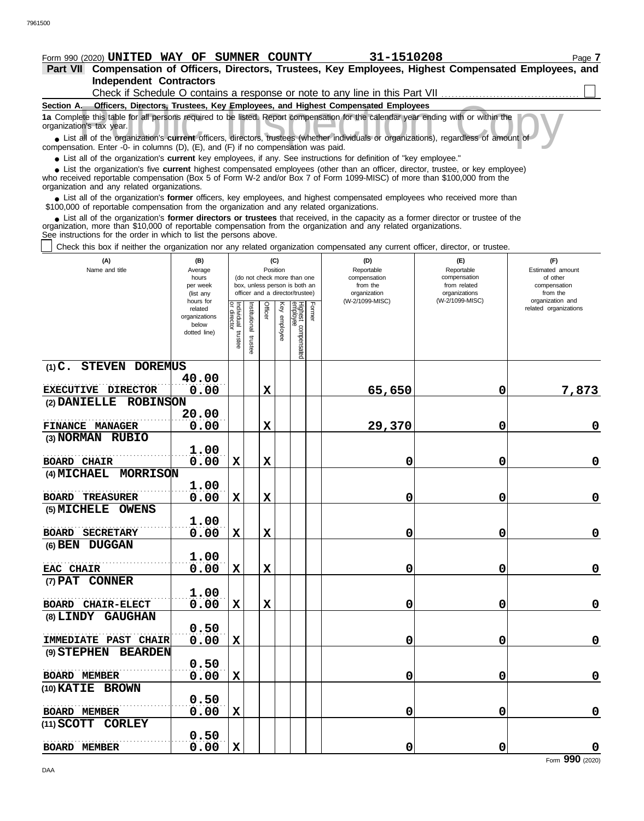# **Form 990 (2020) UNITED WAY OF SUMNER COUNTY 31-1510208** Page 7

## **Independent Contractors Part VII Compensation of Officers, Directors, Trustees, Key Employees, Highest Compensated Employees, and** Check if Schedule O contains a response or note to any line in this Part VII .

| Section A. Officers, Directors, Trustees, Key Employees, and Highest Compensated Employees                                                                                                                                                                                                                                    |                       |                          |              |             |              |                                                              |        |                                 |                                  |                              |
|-------------------------------------------------------------------------------------------------------------------------------------------------------------------------------------------------------------------------------------------------------------------------------------------------------------------------------|-----------------------|--------------------------|--------------|-------------|--------------|--------------------------------------------------------------|--------|---------------------------------|----------------------------------|------------------------------|
| 1a Complete this table for all persons required to be listed. Report compensation for the calendar year ending with or within the<br>organization's tax year.                                                                                                                                                                 |                       |                          |              |             |              |                                                              |        |                                 |                                  |                              |
| • List all of the organization's current officers, directors, trustees (whether individuals or organizations), regardless of amount of                                                                                                                                                                                        |                       |                          |              |             |              |                                                              |        |                                 |                                  |                              |
| compensation. Enter -0- in columns (D), (E), and (F) if no compensation was paid.<br>• List all of the organization's current key employees, if any. See instructions for definition of "key employee."                                                                                                                       |                       |                          |              |             |              |                                                              |        |                                 |                                  |                              |
| • List the organization's five current highest compensated employees (other than an officer, director, trustee, or key employee)                                                                                                                                                                                              |                       |                          |              |             |              |                                                              |        |                                 |                                  |                              |
| who received reportable compensation (Box 5 of Form W-2 and/or Box 7 of Form 1099-MISC) of more than \$100,000 from the<br>organization and any related organizations.                                                                                                                                                        |                       |                          |              |             |              |                                                              |        |                                 |                                  |                              |
| • List all of the organization's former officers, key employees, and highest compensated employees who received more than<br>\$100,000 of reportable compensation from the organization and any related organizations.                                                                                                        |                       |                          |              |             |              |                                                              |        |                                 |                                  |                              |
| • List all of the organization's former directors or trustees that received, in the capacity as a former director or trustee of the<br>organization, more than \$10,000 of reportable compensation from the organization and any related organizations.<br>See instructions for the order in which to list the persons above. |                       |                          |              |             |              |                                                              |        |                                 |                                  |                              |
| Check this box if neither the organization nor any related organization compensated any current officer, director, or trustee.                                                                                                                                                                                                |                       |                          |              |             |              |                                                              |        |                                 |                                  |                              |
| (A)                                                                                                                                                                                                                                                                                                                           | (B)                   |                          |              |             | (C)          |                                                              |        | (D)                             | (E)                              | (F)                          |
| Name and title                                                                                                                                                                                                                                                                                                                | Average               |                          |              |             | Position     |                                                              |        | Reportable                      | Reportable                       | Estimated amount             |
|                                                                                                                                                                                                                                                                                                                               | hours<br>per week     |                          |              |             |              | (do not check more than one<br>box, unless person is both an |        | compensation<br>from the        | compensation<br>from related     | of other<br>compensation     |
|                                                                                                                                                                                                                                                                                                                               | (list any             |                          |              |             |              | officer and a director/trustee)                              |        | organization<br>(W-2/1099-MISC) | organizations<br>(W-2/1099-MISC) | from the<br>organization and |
|                                                                                                                                                                                                                                                                                                                               | hours for<br>related  | Individual<br>Individual |              | Officer     |              |                                                              | Former |                                 |                                  | related organizations        |
|                                                                                                                                                                                                                                                                                                                               | organizations         | director                 | nstitutional |             | Key employee |                                                              |        |                                 |                                  |                              |
|                                                                                                                                                                                                                                                                                                                               | below<br>dotted line) |                          |              |             |              |                                                              |        |                                 |                                  |                              |
|                                                                                                                                                                                                                                                                                                                               |                       | trustee                  | trustee      |             |              | Highest compensated<br>employee                              |        |                                 |                                  |                              |
|                                                                                                                                                                                                                                                                                                                               |                       |                          |              |             |              |                                                              |        |                                 |                                  |                              |
| $(1)$ C. STEVEN DOREMUS                                                                                                                                                                                                                                                                                                       |                       |                          |              |             |              |                                                              |        |                                 |                                  |                              |
|                                                                                                                                                                                                                                                                                                                               | 40.00                 |                          |              |             |              |                                                              |        |                                 |                                  |                              |
| EXECUTIVE DIRECTOR<br><b>ROBINSON</b>                                                                                                                                                                                                                                                                                         | 0.00                  |                          |              | $\mathbf x$ |              |                                                              |        | 65,650                          | 0                                | 7,873                        |
| (2) DANIELLE                                                                                                                                                                                                                                                                                                                  |                       |                          |              |             |              |                                                              |        |                                 |                                  |                              |
|                                                                                                                                                                                                                                                                                                                               | 20.00                 |                          |              |             |              |                                                              |        |                                 |                                  |                              |
| <b>FINANCE MANAGER</b><br>(3) NORMAN RUBIO                                                                                                                                                                                                                                                                                    | 0.00                  |                          |              | $\mathbf x$ |              |                                                              |        | 29,370                          | 0                                | 0                            |
|                                                                                                                                                                                                                                                                                                                               | 1.00                  |                          |              |             |              |                                                              |        |                                 |                                  |                              |
| <b>BOARD CHAIR</b>                                                                                                                                                                                                                                                                                                            | 0.00                  | $\mathbf X$              |              | $\mathbf x$ |              |                                                              |        | 0                               | 0                                | 0                            |
| (4) MICHAEL<br><b>MORRISON</b>                                                                                                                                                                                                                                                                                                |                       |                          |              |             |              |                                                              |        |                                 |                                  |                              |
|                                                                                                                                                                                                                                                                                                                               | 1.00                  |                          |              |             |              |                                                              |        |                                 |                                  |                              |
| BOARD<br><b>TREASURER</b>                                                                                                                                                                                                                                                                                                     | 0.00                  | $\mathbf X$              |              | $\mathbf x$ |              |                                                              |        | 0                               | 0                                | 0                            |
| (5) MICHELE<br><b>OWENS</b>                                                                                                                                                                                                                                                                                                   |                       |                          |              |             |              |                                                              |        |                                 |                                  |                              |
|                                                                                                                                                                                                                                                                                                                               | 1.00                  |                          |              |             |              |                                                              |        |                                 |                                  |                              |
| BOARD<br><b>SECRETARY</b>                                                                                                                                                                                                                                                                                                     | 0.00                  | $\mathbf X$              |              | $\mathbf x$ |              |                                                              |        | 0                               | 0                                | $\mathbf 0$                  |
| (6) BEN DUGGAN                                                                                                                                                                                                                                                                                                                |                       |                          |              |             |              |                                                              |        |                                 |                                  |                              |
|                                                                                                                                                                                                                                                                                                                               | 1.00                  |                          |              |             |              |                                                              |        |                                 |                                  |                              |
| EAC CHAIR                                                                                                                                                                                                                                                                                                                     | 0.00                  | $\mathbf X$              |              | $\mathbf X$ |              |                                                              |        | 0                               | 0                                | 0                            |
| (7) PAT CONNER                                                                                                                                                                                                                                                                                                                |                       |                          |              |             |              |                                                              |        |                                 |                                  |                              |
|                                                                                                                                                                                                                                                                                                                               | 1.00                  |                          |              |             |              |                                                              |        |                                 |                                  |                              |
| <b>BOARD CHAIR-ELECT</b>                                                                                                                                                                                                                                                                                                      | 0.00                  | $\mathbf X$              |              | $\mathbf x$ |              |                                                              |        | 0                               | 0                                | $\mathbf 0$                  |
| (8) LINDY GAUGHAN                                                                                                                                                                                                                                                                                                             |                       |                          |              |             |              |                                                              |        |                                 |                                  |                              |
|                                                                                                                                                                                                                                                                                                                               | 0.50                  |                          |              |             |              |                                                              |        |                                 |                                  |                              |
| <b>IMMEDIATE PAST CHAIR</b>                                                                                                                                                                                                                                                                                                   | 0.00                  | $\mathbf X$              |              |             |              |                                                              |        | 0                               | 0                                | $\mathbf 0$                  |
| (9) STEPHEN BEARDEN                                                                                                                                                                                                                                                                                                           |                       |                          |              |             |              |                                                              |        |                                 |                                  |                              |
|                                                                                                                                                                                                                                                                                                                               | 0.50                  |                          |              |             |              |                                                              |        |                                 |                                  |                              |
| <b>BOARD MEMBER</b>                                                                                                                                                                                                                                                                                                           | 0.00                  | $\mathbf X$              |              |             |              |                                                              |        | 0                               | 0                                | $\mathbf 0$                  |
| (10) KATIE BROWN                                                                                                                                                                                                                                                                                                              |                       |                          |              |             |              |                                                              |        |                                 |                                  |                              |
|                                                                                                                                                                                                                                                                                                                               | 0.50                  |                          |              |             |              |                                                              |        |                                 |                                  |                              |

**0.00 X 0 0 0**

**(11) SCOTT CORLEY**

**BOARD MEMBER**

**BOARD MEMBER**

. . . . . . . . . . . . . . . . . . . . . . . . . . . . . . . . . . . . . . . . . . . . . . . . . . . . . **0.50**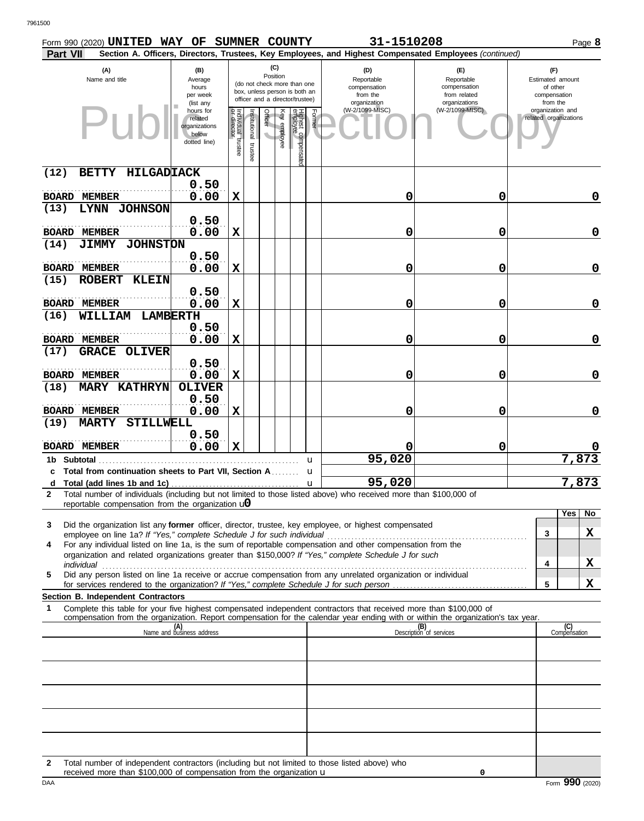| Form 990 (2020) UNITED WAY OF SUMNER COUNTY<br><b>Part VII</b>                                                                                                                                                                                              |                                                                |                                                                                                                    |                          |         |                                                 |        | 31-1510208<br>Section A. Officers, Directors, Trustees, Key Employees, and Highest Compensated Employees (continued) |                                                                    |                                                                 |                     | Page 8       |
|-------------------------------------------------------------------------------------------------------------------------------------------------------------------------------------------------------------------------------------------------------------|----------------------------------------------------------------|--------------------------------------------------------------------------------------------------------------------|--------------------------|---------|-------------------------------------------------|--------|----------------------------------------------------------------------------------------------------------------------|--------------------------------------------------------------------|-----------------------------------------------------------------|---------------------|--------------|
| (A)<br>Name and title                                                                                                                                                                                                                                       | (B)<br>Average<br>hours<br>per week<br>(list any               | (C)<br>Position<br>(do not check more than one<br>box, unless person is both an<br>officer and a director/trustee) |                          |         |                                                 |        | (D)<br>Reportable<br>compensation<br>from the<br>organization                                                        | (E)<br>Reportable<br>compensation<br>from related<br>organizations | (F)<br>Estimated amount<br>of other<br>compensation<br>from the |                     |              |
|                                                                                                                                                                                                                                                             | hours for<br>related<br>organizations<br>below<br>dotted line) | ndividual trustee<br>or director                                                                                   | Institutional<br>trustee | Officer | Key employee<br>Highest compensatec<br>employee | Former | (W-2/1099-MISC)                                                                                                      | (W-2/1099-MISC)                                                    | organization and<br>related organizations                       |                     |              |
| HILGADIACK<br>(12)<br><b>BETTY</b>                                                                                                                                                                                                                          |                                                                |                                                                                                                    |                          |         |                                                 |        |                                                                                                                      |                                                                    |                                                                 |                     |              |
| <b>BOARD MEMBER</b>                                                                                                                                                                                                                                         | 0.50<br>0.00                                                   | X                                                                                                                  |                          |         |                                                 |        | 0                                                                                                                    | 0                                                                  |                                                                 |                     | 0            |
| (13)<br>LYNN JOHNSON                                                                                                                                                                                                                                        |                                                                |                                                                                                                    |                          |         |                                                 |        |                                                                                                                      |                                                                    |                                                                 |                     |              |
|                                                                                                                                                                                                                                                             | 0.50                                                           |                                                                                                                    |                          |         |                                                 |        |                                                                                                                      |                                                                    |                                                                 |                     |              |
| <b>BOARD MEMBER</b><br>(14)<br><b>JIMMY</b><br><b>JOHNSTON</b>                                                                                                                                                                                              | 0.00                                                           | X                                                                                                                  |                          |         |                                                 |        | 0                                                                                                                    | 0                                                                  |                                                                 |                     | 0            |
|                                                                                                                                                                                                                                                             | 0.50                                                           |                                                                                                                    |                          |         |                                                 |        |                                                                                                                      |                                                                    |                                                                 |                     |              |
| <b>BOARD MEMBER</b><br>(15)<br><b>KLEIN</b>                                                                                                                                                                                                                 | 0.00                                                           | X                                                                                                                  |                          |         |                                                 |        | 0                                                                                                                    | 0                                                                  |                                                                 |                     | 0            |
| <b>ROBERT</b>                                                                                                                                                                                                                                               | 0.50                                                           |                                                                                                                    |                          |         |                                                 |        |                                                                                                                      |                                                                    |                                                                 |                     |              |
| <b>BOARD MEMBER</b>                                                                                                                                                                                                                                         | 0.00                                                           | X                                                                                                                  |                          |         |                                                 |        | 0                                                                                                                    | 0                                                                  |                                                                 |                     | 0            |
| WILLIAM<br>(16)                                                                                                                                                                                                                                             | <b>LAMBERTH</b><br>0.50                                        |                                                                                                                    |                          |         |                                                 |        |                                                                                                                      |                                                                    |                                                                 |                     |              |
| <b>BOARD MEMBER</b>                                                                                                                                                                                                                                         | 0.00                                                           | X                                                                                                                  |                          |         |                                                 |        | 0                                                                                                                    | 0                                                                  |                                                                 |                     | 0            |
| (17)<br><b>GRACE</b><br><b>OLIVER</b>                                                                                                                                                                                                                       |                                                                |                                                                                                                    |                          |         |                                                 |        |                                                                                                                      |                                                                    |                                                                 |                     |              |
| <b>BOARD MEMBER</b>                                                                                                                                                                                                                                         | 0.50<br>0.00                                                   | X                                                                                                                  |                          |         |                                                 |        | 0                                                                                                                    | 0                                                                  |                                                                 |                     | 0            |
| (18)<br><b>MARY KATHRYN</b>                                                                                                                                                                                                                                 | <b>OLIVER</b>                                                  |                                                                                                                    |                          |         |                                                 |        |                                                                                                                      |                                                                    |                                                                 |                     |              |
|                                                                                                                                                                                                                                                             | 0.50                                                           |                                                                                                                    |                          |         |                                                 |        |                                                                                                                      |                                                                    |                                                                 |                     |              |
| <b>BOARD MEMBER</b><br>STILLWELL<br>(19)<br><b>MARTY</b>                                                                                                                                                                                                    | 0.00                                                           | $\mathbf x$                                                                                                        |                          |         |                                                 |        | 0                                                                                                                    | 0                                                                  |                                                                 |                     | 0            |
|                                                                                                                                                                                                                                                             | 0.50                                                           |                                                                                                                    |                          |         |                                                 |        |                                                                                                                      |                                                                    |                                                                 |                     |              |
| <b>BOARD MEMBER</b>                                                                                                                                                                                                                                         | 0.00                                                           | X                                                                                                                  |                          |         |                                                 |        | 0<br>95,020                                                                                                          | 0                                                                  |                                                                 | 7,873               |              |
| 1b Subtotal<br>c Total from continuation sheets to Part VII, Section A                                                                                                                                                                                      |                                                                |                                                                                                                    |                          |         |                                                 | u<br>u |                                                                                                                      |                                                                    |                                                                 |                     |              |
| d                                                                                                                                                                                                                                                           |                                                                |                                                                                                                    |                          |         |                                                 | u      | 95,020                                                                                                               |                                                                    |                                                                 |                     | <u>7,873</u> |
| Total number of individuals (including but not limited to those listed above) who received more than \$100,000 of<br>$\mathbf{2}$<br>reportable compensation from the organization $\mathbf{u}$                                                             |                                                                |                                                                                                                    |                          |         |                                                 |        |                                                                                                                      |                                                                    |                                                                 |                     |              |
|                                                                                                                                                                                                                                                             |                                                                |                                                                                                                    |                          |         |                                                 |        |                                                                                                                      |                                                                    |                                                                 | Yes                 | No           |
| Did the organization list any <b>former</b> officer, director, trustee, key employee, or highest compensated<br>3<br>employee on line 1a? If "Yes," complete Schedule J for such individual                                                                 |                                                                |                                                                                                                    |                          |         |                                                 |        |                                                                                                                      |                                                                    | 3                                                               |                     | X            |
| For any individual listed on line 1a, is the sum of reportable compensation and other compensation from the<br>4<br>organization and related organizations greater than \$150,000? If "Yes," complete Schedule J for such                                   |                                                                |                                                                                                                    |                          |         |                                                 |        |                                                                                                                      |                                                                    |                                                                 |                     |              |
| individual                                                                                                                                                                                                                                                  |                                                                |                                                                                                                    |                          |         |                                                 |        |                                                                                                                      |                                                                    | 4                                                               |                     | X            |
| Did any person listed on line 1a receive or accrue compensation from any unrelated organization or individual<br>5                                                                                                                                          |                                                                |                                                                                                                    |                          |         |                                                 |        |                                                                                                                      |                                                                    | 5                                                               |                     | X            |
| Section B. Independent Contractors                                                                                                                                                                                                                          |                                                                |                                                                                                                    |                          |         |                                                 |        |                                                                                                                      |                                                                    |                                                                 |                     |              |
| Complete this table for your five highest compensated independent contractors that received more than \$100,000 of<br>1<br>compensation from the organization. Report compensation for the calendar year ending with or within the organization's tax year. |                                                                |                                                                                                                    |                          |         |                                                 |        |                                                                                                                      |                                                                    |                                                                 |                     |              |
|                                                                                                                                                                                                                                                             | (A)<br>Name and business address                               |                                                                                                                    |                          |         |                                                 |        |                                                                                                                      | (B)<br>Description of services                                     |                                                                 | (C)<br>Compensation |              |
|                                                                                                                                                                                                                                                             |                                                                |                                                                                                                    |                          |         |                                                 |        |                                                                                                                      |                                                                    |                                                                 |                     |              |
|                                                                                                                                                                                                                                                             |                                                                |                                                                                                                    |                          |         |                                                 |        |                                                                                                                      |                                                                    |                                                                 |                     |              |
|                                                                                                                                                                                                                                                             |                                                                |                                                                                                                    |                          |         |                                                 |        |                                                                                                                      |                                                                    |                                                                 |                     |              |
|                                                                                                                                                                                                                                                             |                                                                |                                                                                                                    |                          |         |                                                 |        |                                                                                                                      |                                                                    |                                                                 |                     |              |
|                                                                                                                                                                                                                                                             |                                                                |                                                                                                                    |                          |         |                                                 |        |                                                                                                                      |                                                                    |                                                                 |                     |              |
|                                                                                                                                                                                                                                                             |                                                                |                                                                                                                    |                          |         |                                                 |        |                                                                                                                      |                                                                    |                                                                 |                     |              |
|                                                                                                                                                                                                                                                             |                                                                |                                                                                                                    |                          |         |                                                 |        |                                                                                                                      |                                                                    |                                                                 |                     |              |

| Total number of independent contractors (including but not limited to those listed above) who |
|-----------------------------------------------------------------------------------------------|
| received more than \$100,000 of compensation from the organization $\mathbf u$                |

**0**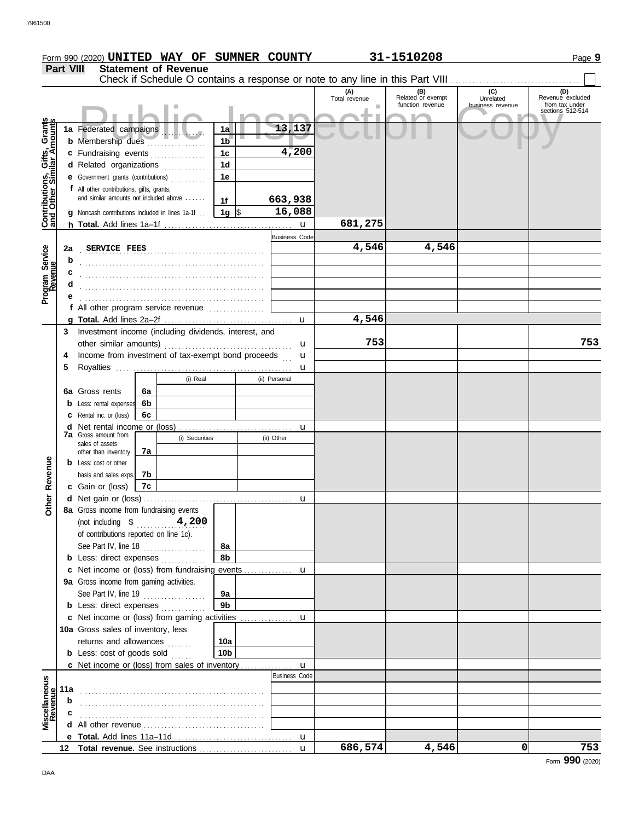|                                                           |                                                    | Form 990 (2020) UNITED WAY OF SUMNER COUNTY             |          |                                                                                                                                                                                                                               |                      |  |                      |                      | 31-1510208               |                  | Page 9                             |
|-----------------------------------------------------------|----------------------------------------------------|---------------------------------------------------------|----------|-------------------------------------------------------------------------------------------------------------------------------------------------------------------------------------------------------------------------------|----------------------|--|----------------------|----------------------|--------------------------|------------------|------------------------------------|
|                                                           | <b>Part VIII</b>                                   |                                                         |          | <b>Statement of Revenue</b>                                                                                                                                                                                                   |                      |  |                      |                      |                          |                  |                                    |
|                                                           |                                                    |                                                         |          |                                                                                                                                                                                                                               |                      |  |                      |                      |                          | (C)              | (D)                                |
|                                                           |                                                    |                                                         |          |                                                                                                                                                                                                                               |                      |  |                      | (A)<br>Total revenue | (B)<br>Related or exempt | Unrelated        | Revenue excluded                   |
|                                                           |                                                    |                                                         |          |                                                                                                                                                                                                                               |                      |  |                      |                      | function revenue         | business revenue | from tax under<br>sections 512-514 |
|                                                           |                                                    |                                                         |          |                                                                                                                                                                                                                               |                      |  | 13,137               |                      |                          |                  |                                    |
|                                                           |                                                    | 1a Federated campaigns                                  |          |                                                                                                                                                                                                                               | 1a<br>1 <sub>b</sub> |  |                      |                      |                          |                  |                                    |
|                                                           |                                                    | <b>b</b> Membership dues                                |          |                                                                                                                                                                                                                               | 1 <sub>c</sub>       |  | 4,7200               |                      |                          |                  |                                    |
| Contributions, Gifts, Grants<br>and Other Similar Amounts |                                                    | c Fundraising events<br>d Related organizations         |          |                                                                                                                                                                                                                               | 1 <sub>d</sub>       |  |                      |                      |                          |                  |                                    |
|                                                           |                                                    | <b>e</b> Government grants (contributions)              |          | and a construction of the construction of the construction of the construction of the construction of the construction of the construction of the construction of the construction of the construction of the construction of | 1e                   |  |                      |                      |                          |                  |                                    |
|                                                           |                                                    | f All other contributions, gifts, grants,               |          |                                                                                                                                                                                                                               |                      |  |                      |                      |                          |                  |                                    |
|                                                           |                                                    | and similar amounts not included above                  |          |                                                                                                                                                                                                                               | 1f                   |  | 663,938              |                      |                          |                  |                                    |
|                                                           |                                                    | <b>g</b> Noncash contributions included in lines 1a-1f. |          |                                                                                                                                                                                                                               | 1g $\sqrt{5}$        |  | 16,088               |                      |                          |                  |                                    |
|                                                           |                                                    |                                                         |          |                                                                                                                                                                                                                               |                      |  |                      | 681,275              |                          |                  |                                    |
|                                                           |                                                    |                                                         |          |                                                                                                                                                                                                                               |                      |  | <b>Business Code</b> |                      |                          |                  |                                    |
|                                                           | 2a                                                 |                                                         |          | SERVICE FEES                                                                                                                                                                                                                  |                      |  |                      | 4,546                | 4,546                    |                  |                                    |
| Program Service<br>Revenue                                | b                                                  |                                                         |          |                                                                                                                                                                                                                               |                      |  |                      |                      |                          |                  |                                    |
|                                                           | c                                                  |                                                         |          |                                                                                                                                                                                                                               |                      |  |                      |                      |                          |                  |                                    |
|                                                           | d                                                  |                                                         |          |                                                                                                                                                                                                                               |                      |  |                      |                      |                          |                  |                                    |
|                                                           |                                                    |                                                         |          |                                                                                                                                                                                                                               |                      |  |                      |                      |                          |                  |                                    |
|                                                           |                                                    | f All other program service revenue                     |          |                                                                                                                                                                                                                               |                      |  |                      |                      |                          |                  |                                    |
|                                                           |                                                    |                                                         |          |                                                                                                                                                                                                                               |                      |  |                      | 4,546                |                          |                  |                                    |
|                                                           | 3                                                  | Investment income (including dividends, interest, and   |          |                                                                                                                                                                                                                               |                      |  |                      |                      |                          |                  |                                    |
|                                                           |                                                    | other similar amounts)                                  |          |                                                                                                                                                                                                                               |                      |  | u                    | 753                  |                          |                  | 753                                |
|                                                           | Income from investment of tax-exempt bond proceeds |                                                         |          |                                                                                                                                                                                                                               |                      |  |                      |                      |                          |                  |                                    |
|                                                           | 5                                                  |                                                         |          |                                                                                                                                                                                                                               |                      |  | u                    |                      |                          |                  |                                    |
|                                                           |                                                    |                                                         |          | (i) Real                                                                                                                                                                                                                      |                      |  | (ii) Personal        |                      |                          |                  |                                    |
|                                                           |                                                    | <b>6a</b> Gross rents                                   | 6a       |                                                                                                                                                                                                                               |                      |  |                      |                      |                          |                  |                                    |
|                                                           |                                                    | <b>b</b> Less: rental expenses                          | 6b       |                                                                                                                                                                                                                               |                      |  |                      |                      |                          |                  |                                    |
|                                                           |                                                    | C Rental inc. or (loss)                                 | 6c       |                                                                                                                                                                                                                               |                      |  |                      |                      |                          |                  |                                    |
|                                                           |                                                    | d Net rental income or (loss)<br>7a Gross amount from   |          |                                                                                                                                                                                                                               |                      |  | u                    |                      |                          |                  |                                    |
|                                                           |                                                    | sales of assets                                         |          | (i) Securities                                                                                                                                                                                                                |                      |  | (ii) Other           |                      |                          |                  |                                    |
|                                                           |                                                    | other than inventory                                    | 7a       |                                                                                                                                                                                                                               |                      |  |                      |                      |                          |                  |                                    |
|                                                           |                                                    | <b>b</b> Less: cost or other                            |          |                                                                                                                                                                                                                               |                      |  |                      |                      |                          |                  |                                    |
| Revenue                                                   |                                                    | basis and sales exps.<br>c Gain or (loss)               | 7b<br>7с |                                                                                                                                                                                                                               |                      |  |                      |                      |                          |                  |                                    |
| پيو                                                       |                                                    | d Net gain or (loss)                                    |          |                                                                                                                                                                                                                               |                      |  |                      |                      |                          |                  |                                    |
| Othe                                                      |                                                    | 8a Gross income from fundraising events                 |          |                                                                                                                                                                                                                               |                      |  |                      |                      |                          |                  |                                    |
|                                                           |                                                    | (not including $$$                                      |          | 4,200                                                                                                                                                                                                                         |                      |  |                      |                      |                          |                  |                                    |
|                                                           |                                                    | of contributions reported on line 1c).                  |          |                                                                                                                                                                                                                               |                      |  |                      |                      |                          |                  |                                    |
|                                                           |                                                    | See Part IV, line 18                                    |          | .                                                                                                                                                                                                                             | 8а                   |  |                      |                      |                          |                  |                                    |
|                                                           |                                                    | <b>b</b> Less: direct expenses                          |          |                                                                                                                                                                                                                               | 8b                   |  |                      |                      |                          |                  |                                    |
|                                                           |                                                    |                                                         |          |                                                                                                                                                                                                                               |                      |  |                      |                      |                          |                  |                                    |
|                                                           |                                                    | 9a Gross income from gaming activities.                 |          |                                                                                                                                                                                                                               |                      |  |                      |                      |                          |                  |                                    |
|                                                           |                                                    | See Part IV, line 19                                    |          |                                                                                                                                                                                                                               | 9a                   |  |                      |                      |                          |                  |                                    |
|                                                           |                                                    | <b>b</b> Less: direct expenses                          |          |                                                                                                                                                                                                                               | 9 <sub>b</sub>       |  |                      |                      |                          |                  |                                    |
|                                                           |                                                    |                                                         |          |                                                                                                                                                                                                                               |                      |  |                      |                      |                          |                  |                                    |
|                                                           |                                                    | 10a Gross sales of inventory, less                      |          |                                                                                                                                                                                                                               |                      |  |                      |                      |                          |                  |                                    |
|                                                           |                                                    | returns and allowances                                  |          |                                                                                                                                                                                                                               | 10a                  |  |                      |                      |                          |                  |                                    |
|                                                           |                                                    | <b>b</b> Less: cost of goods sold                       |          |                                                                                                                                                                                                                               | 10 <sub>b</sub>      |  |                      |                      |                          |                  |                                    |
|                                                           |                                                    | <b>c</b> Net income or (loss) from sales of inventory   |          |                                                                                                                                                                                                                               |                      |  | $\mathbf{u}$         |                      |                          |                  |                                    |
|                                                           |                                                    |                                                         |          |                                                                                                                                                                                                                               |                      |  | <b>Business Code</b> |                      |                          |                  |                                    |
| Miscellaneous<br>Revenue                                  | 11a                                                |                                                         |          |                                                                                                                                                                                                                               |                      |  |                      |                      |                          |                  |                                    |
|                                                           | b                                                  |                                                         |          |                                                                                                                                                                                                                               |                      |  |                      |                      |                          |                  |                                    |
|                                                           |                                                    |                                                         |          |                                                                                                                                                                                                                               |                      |  |                      |                      |                          |                  |                                    |
|                                                           |                                                    |                                                         |          |                                                                                                                                                                                                                               |                      |  |                      |                      |                          |                  |                                    |
|                                                           |                                                    |                                                         |          |                                                                                                                                                                                                                               |                      |  |                      |                      |                          |                  |                                    |
|                                                           |                                                    |                                                         |          |                                                                                                                                                                                                                               |                      |  |                      | 686,574              | 4,546                    | 0                | 753                                |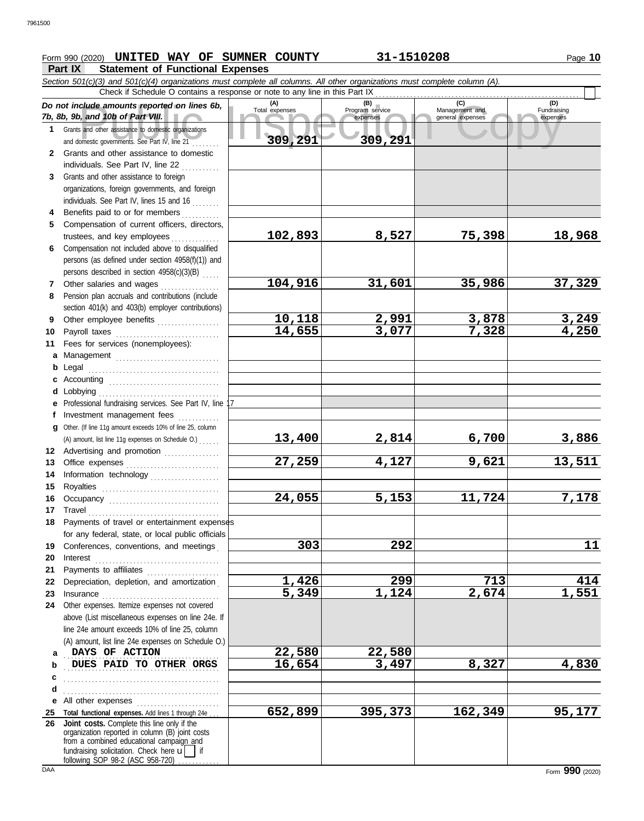# **Form 990 (2020) UNITED WAY OF SUMNER COUNTY 31-1510208** Page 10

### **Part IX Statement of Functional Expenses**

|              | Section 501(c)(3) and 501(c)(4) organizations must complete all columns. All other organizations must complete column (A).<br>Check if Schedule O contains a response or note to any line in this Part IX                                   |                       |                                    |                                    |                         |  |  |  |  |
|--------------|---------------------------------------------------------------------------------------------------------------------------------------------------------------------------------------------------------------------------------------------|-----------------------|------------------------------------|------------------------------------|-------------------------|--|--|--|--|
|              | Do not include amounts reported on lines 6b,<br>7b, 8b, 9b, and 10b of Part VIII.                                                                                                                                                           | (A)<br>Total expenses | (B)<br>Program service<br>expenses | Management and<br>general expenses | Fundraising<br>expenses |  |  |  |  |
| $\mathbf{1}$ | Grants and other assistance to domestic organizations<br>and domestic governments. See Part IV, line 21                                                                                                                                     | 309,291               | 309,291                            |                                    |                         |  |  |  |  |
| $\mathbf{2}$ | Grants and other assistance to domestic<br>individuals. See Part IV, line 22                                                                                                                                                                |                       |                                    |                                    |                         |  |  |  |  |
| 3            | Grants and other assistance to foreign<br>organizations, foreign governments, and foreign<br>individuals. See Part IV, lines 15 and 16                                                                                                      |                       |                                    |                                    |                         |  |  |  |  |
| 4            | Benefits paid to or for members                                                                                                                                                                                                             |                       |                                    |                                    |                         |  |  |  |  |
| 5.           | Compensation of current officers, directors,                                                                                                                                                                                                |                       |                                    |                                    |                         |  |  |  |  |
|              | trustees, and key employees                                                                                                                                                                                                                 | 102,893               | 8,527                              | 75,398                             | 18,968                  |  |  |  |  |
| 6            | Compensation not included above to disqualified                                                                                                                                                                                             |                       |                                    |                                    |                         |  |  |  |  |
|              | persons (as defined under section 4958(f)(1)) and<br>persons described in section 4958(c)(3)(B)                                                                                                                                             |                       |                                    |                                    |                         |  |  |  |  |
| 7            | Other salaries and wages                                                                                                                                                                                                                    | 104,916               | 31,601                             | 35,986                             | 37,329                  |  |  |  |  |
| 8            | Pension plan accruals and contributions (include                                                                                                                                                                                            |                       |                                    |                                    |                         |  |  |  |  |
|              | section 401(k) and 403(b) employer contributions)                                                                                                                                                                                           |                       |                                    |                                    |                         |  |  |  |  |
| 9            | Other employee benefits                                                                                                                                                                                                                     | 10,118                | $\frac{2,991}{3,077}$              | 3,878                              | $\frac{3,249}{4,250}$   |  |  |  |  |
| 10           |                                                                                                                                                                                                                                             | 14,655                |                                    | 7,328                              |                         |  |  |  |  |
| 11           | Fees for services (nonemployees):                                                                                                                                                                                                           |                       |                                    |                                    |                         |  |  |  |  |
|              | a Management                                                                                                                                                                                                                                |                       |                                    |                                    |                         |  |  |  |  |
| b            |                                                                                                                                                                                                                                             |                       |                                    |                                    |                         |  |  |  |  |
| C<br>d       |                                                                                                                                                                                                                                             |                       |                                    |                                    |                         |  |  |  |  |
|              | e Professional fundraising services. See Part IV, line                                                                                                                                                                                      |                       |                                    |                                    |                         |  |  |  |  |
| t.           | Investment management fees                                                                                                                                                                                                                  |                       |                                    |                                    |                         |  |  |  |  |
|              | g Other. (If line 11g amount exceeds 10% of line 25, column                                                                                                                                                                                 |                       |                                    |                                    |                         |  |  |  |  |
|              | (A) amount, list line 11g expenses on Schedule O.)                                                                                                                                                                                          | 13,400                | 2,814                              | 6,700                              | 3,886                   |  |  |  |  |
|              | 12 Advertising and promotion                                                                                                                                                                                                                |                       |                                    |                                    |                         |  |  |  |  |
| 13           |                                                                                                                                                                                                                                             | 27,259                | 4,127                              | 9,621                              | 13,511                  |  |  |  |  |
| 14           | Information technology                                                                                                                                                                                                                      |                       |                                    |                                    |                         |  |  |  |  |
| 15<br>16     |                                                                                                                                                                                                                                             | 24,055                | 5,153                              | 11,724                             | 7,178                   |  |  |  |  |
| 17           |                                                                                                                                                                                                                                             |                       |                                    |                                    |                         |  |  |  |  |
| 18           | Payments of travel or entertainment expenses                                                                                                                                                                                                |                       |                                    |                                    |                         |  |  |  |  |
|              | for any federal, state, or local public officials                                                                                                                                                                                           |                       |                                    |                                    |                         |  |  |  |  |
| 19           | Conferences, conventions, and meetings                                                                                                                                                                                                      | 303                   | 292                                |                                    | 11                      |  |  |  |  |
| 20           | Interest                                                                                                                                                                                                                                    |                       |                                    |                                    |                         |  |  |  |  |
| 21           | Payments to affiliates                                                                                                                                                                                                                      |                       |                                    |                                    |                         |  |  |  |  |
| 22<br>23     | Depreciation, depletion, and amortization                                                                                                                                                                                                   | 1,426<br>5,349        | 299<br>1,124                       | 713<br>2,674                       | 414<br>1,551            |  |  |  |  |
| 24           | Other expenses. Itemize expenses not covered                                                                                                                                                                                                |                       |                                    |                                    |                         |  |  |  |  |
|              | above (List miscellaneous expenses on line 24e. If                                                                                                                                                                                          |                       |                                    |                                    |                         |  |  |  |  |
|              | line 24e amount exceeds 10% of line 25, column                                                                                                                                                                                              |                       |                                    |                                    |                         |  |  |  |  |
|              | (A) amount, list line 24e expenses on Schedule O.)                                                                                                                                                                                          |                       |                                    |                                    |                         |  |  |  |  |
| a            | DAYS OF ACTION                                                                                                                                                                                                                              | 22,580                | 22,580                             |                                    |                         |  |  |  |  |
| b            | DUES PAID TO OTHER ORGS                                                                                                                                                                                                                     | 16,654                | 3,497                              | 8,327                              | 4,830                   |  |  |  |  |
| c            |                                                                                                                                                                                                                                             |                       |                                    |                                    |                         |  |  |  |  |
| d            |                                                                                                                                                                                                                                             |                       |                                    |                                    |                         |  |  |  |  |
| е<br>25      | All other expenses<br>Total functional expenses. Add lines 1 through 24e                                                                                                                                                                    | 652,899               | 395,373                            | 162,349                            | 95,177                  |  |  |  |  |
|              | 26 Joint costs. Complete this line only if the<br>organization reported in column (B) joint costs<br>from a combined educational campaign and<br>fundraising solicitation. Check here $\mathbf{u}$   if<br>following SOP 98-2 (ASC 958-720) |                       |                                    |                                    |                         |  |  |  |  |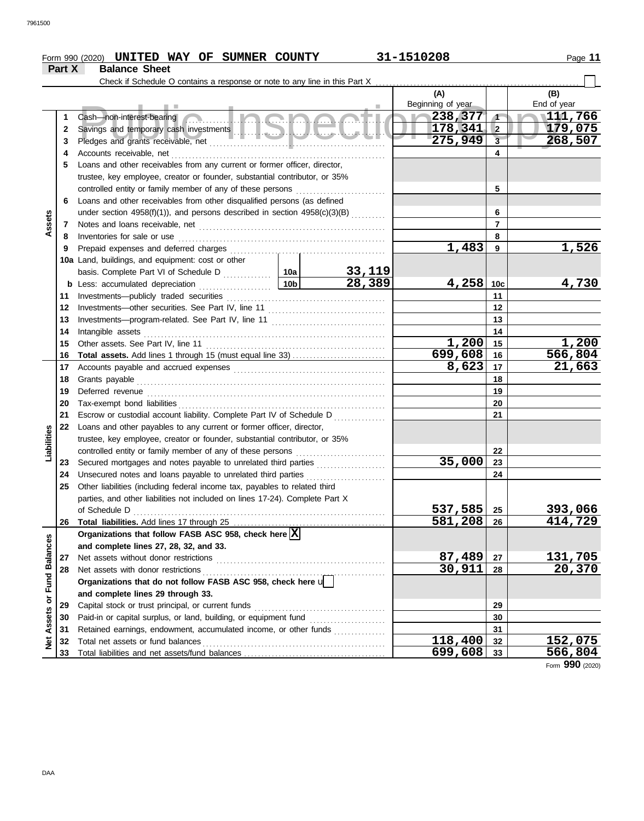|                      |          | Form 990 (2020) UNITED WAY OF SUMNER COUNTY                                  |                                                                         |               | 31-1510208        |                         | Page 11            |  |
|----------------------|----------|------------------------------------------------------------------------------|-------------------------------------------------------------------------|---------------|-------------------|-------------------------|--------------------|--|
|                      | Part X   | <b>Balance Sheet</b>                                                         |                                                                         |               |                   |                         |                    |  |
|                      |          |                                                                              |                                                                         |               |                   |                         |                    |  |
|                      |          |                                                                              |                                                                         |               | (A)               |                         | (B)                |  |
|                      |          |                                                                              |                                                                         |               | Beginning of year |                         | End of year        |  |
|                      | 1        | <u>a Ingnanati</u><br>Cash-non-interest-bearing                              |                                                                         |               | 238,377           | $\sqrt{ }$              | 111,766            |  |
|                      | 2        |                                                                              |                                                                         |               | $178, 341$ 2      |                         | 179,075            |  |
|                      | 3        |                                                                              |                                                                         |               | 275,949           | $\overline{\mathbf{3}}$ | 268,507            |  |
|                      | 4        |                                                                              |                                                                         |               |                   | 4                       |                    |  |
|                      | 5        | Loans and other receivables from any current or former officer, director,    |                                                                         |               |                   |                         |                    |  |
|                      |          | trustee, key employee, creator or founder, substantial contributor, or 35%   |                                                                         |               |                   |                         |                    |  |
|                      |          | controlled entity or family member of any of these persons                   |                                                                         |               |                   | 5                       |                    |  |
|                      | 6        |                                                                              | Loans and other receivables from other disqualified persons (as defined |               |                   |                         |                    |  |
|                      |          | under section 4958(f)(1)), and persons described in section $4958(c)(3)(B)$  |                                                                         |               |                   | 6                       |                    |  |
| ssets                | 7        |                                                                              |                                                                         |               |                   | $\overline{7}$          |                    |  |
| ⋖                    | 8        | Inventories for sale or use                                                  |                                                                         |               |                   | 8                       |                    |  |
|                      | 9        |                                                                              |                                                                         |               | 1,483             | 9                       | $\overline{1,526}$ |  |
|                      |          | 10a Land, buildings, and equipment: cost or other                            |                                                                         |               |                   |                         |                    |  |
|                      |          |                                                                              |                                                                         | <u>33,119</u> |                   |                         |                    |  |
|                      |          |                                                                              | 10b l                                                                   | 28,389        | 4,258             | 10 <sub>c</sub>         | 4,730              |  |
|                      | 11       | Investments-publicly traded securities                                       |                                                                         |               |                   | 11                      |                    |  |
|                      | 12       |                                                                              |                                                                         | 12            |                   |                         |                    |  |
|                      | 13       |                                                                              |                                                                         |               | 13                |                         |                    |  |
|                      | 14       | Intangible assets                                                            |                                                                         | 14            |                   |                         |                    |  |
|                      | 15       | Other assets. See Part IV, line 11                                           | $1,200$ 15                                                              |               | 1,200             |                         |                    |  |
|                      | 16       |                                                                              |                                                                         |               | $699,608$ 16      |                         | 566,804            |  |
|                      | 17       |                                                                              | 8,623                                                                   | 17            | 21,663            |                         |                    |  |
|                      | 18       |                                                                              |                                                                         |               |                   | 18                      |                    |  |
|                      | 19       |                                                                              |                                                                         |               |                   | 19                      |                    |  |
|                      | 20       |                                                                              |                                                                         |               |                   | 20                      |                    |  |
|                      | 21       | Escrow or custodial account liability. Complete Part IV of Schedule D        |                                                                         |               |                   | 21                      |                    |  |
|                      | 22       | Loans and other payables to any current or former officer, director,         |                                                                         |               |                   |                         |                    |  |
|                      |          | trustee, key employee, creator or founder, substantial contributor, or 35%   |                                                                         |               |                   |                         |                    |  |
| Liabilities          |          | controlled entity or family member of any of these persons                   |                                                                         |               |                   | 22                      |                    |  |
|                      | 23       | Secured mortgages and notes payable to unrelated third parties               |                                                                         |               | 35,000            | 23                      |                    |  |
|                      | 24       | Unsecured notes and loans payable to unrelated third parties                 |                                                                         |               |                   | 24                      |                    |  |
|                      | 25       | Other liabilities (including federal income tax, payables to related third   |                                                                         |               |                   |                         |                    |  |
|                      |          | parties, and other liabilities not included on lines 17-24). Complete Part X |                                                                         |               |                   |                         |                    |  |
|                      |          | of Schedule D                                                                |                                                                         |               | 537,585           | 25                      | 393,066            |  |
|                      | 26       |                                                                              |                                                                         |               | $581,208$ 26      |                         | 414,729            |  |
|                      |          | Organizations that follow FASB ASC 958, check here $\boxed{\text{X}}$        |                                                                         |               |                   |                         |                    |  |
|                      |          | and complete lines 27, 28, 32, and 33.                                       |                                                                         |               |                   |                         |                    |  |
|                      | 27       | Net assets without donor restrictions                                        |                                                                         |               | 87,489            | 27                      | 131,705            |  |
|                      | 28       | Net assets with donor restrictions                                           |                                                                         |               | 30,911            | 28                      | 20,370             |  |
| <b>Fund Balances</b> |          | Organizations that do not follow FASB ASC 958, check here u                  |                                                                         |               |                   |                         |                    |  |
|                      |          | and complete lines 29 through 33.                                            |                                                                         |               |                   |                         |                    |  |
|                      | 29       | Capital stock or trust principal, or current funds                           |                                                                         |               |                   | 29                      |                    |  |
| Assets or            | 30       | Paid-in or capital surplus, or land, building, or equipment fund             |                                                                         |               |                   | 30                      |                    |  |
|                      | 31       | Retained earnings, endowment, accumulated income, or other funds             |                                                                         |               | 118,400           | 31<br>32                | <u>152,075</u>     |  |
| <b>Net</b>           | 32<br>33 | Total net assets or fund balances                                            |                                                                         |               | $699,608$ 33      |                         | 566,804            |  |
|                      |          |                                                                              |                                                                         |               |                   |                         |                    |  |

Form **990** (2020)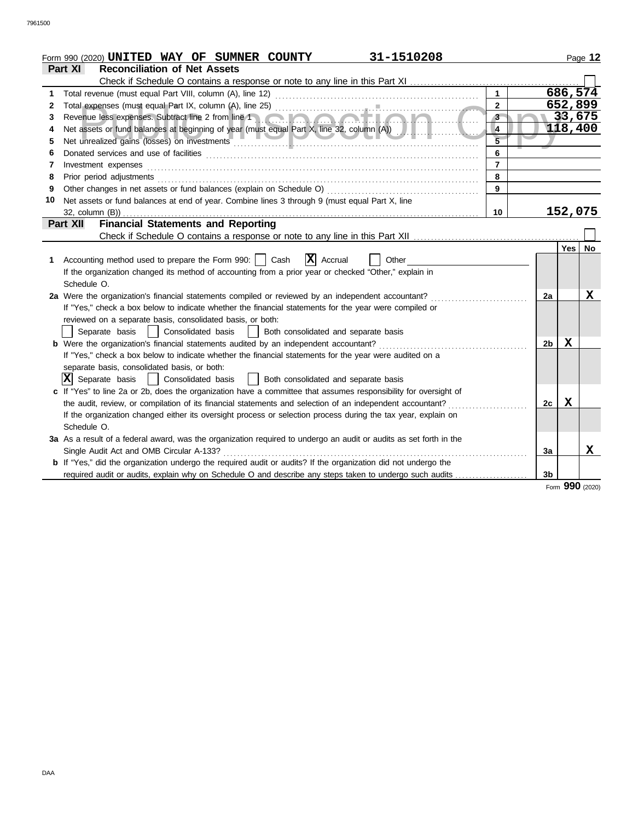| Part XI<br><b>Reconciliation of Net Assets</b><br>686, 574<br>1<br>652,899<br>$\overline{2}$<br>2<br>33,675<br>Revenue less expenses. Subtract line 2 from line 1<br>$3 -$<br>3<br>118,400<br>Net assets or fund balances at beginning of year (must equal Part X, line 32, column (A))<br>4<br>4<br>5<br>6<br>6<br>$\overline{7}$<br>Investment expenses<br>7<br>8<br>Prior period adjustments<br>8<br>Other changes in net assets or fund balances (explain on Schedule O)<br>9<br>9<br>Net assets or fund balances at end of year. Combine lines 3 through 9 (must equal Part X, line<br>10<br>152,075<br>10<br>32, column (B))<br><b>Financial Statements and Reporting</b><br>Part XII<br>Yes  <br>$ \mathbf{X} $ Accrual<br>Accounting method used to prepare the Form 990:    <br>Cash<br>Other<br>1<br>If the organization changed its method of accounting from a prior year or checked "Other," explain in<br>Schedule O.<br>2a Were the organization's financial statements compiled or reviewed by an independent accountant?<br>2a<br>If "Yes," check a box below to indicate whether the financial statements for the year were compiled or<br>reviewed on a separate basis, consolidated basis, or both:<br>  Consolidated basis<br>Separate basis<br>Both consolidated and separate basis<br>$\Box$<br>X<br><b>b</b> Were the organization's financial statements audited by an independent accountant?<br>2b | Page 12 |
|-------------------------------------------------------------------------------------------------------------------------------------------------------------------------------------------------------------------------------------------------------------------------------------------------------------------------------------------------------------------------------------------------------------------------------------------------------------------------------------------------------------------------------------------------------------------------------------------------------------------------------------------------------------------------------------------------------------------------------------------------------------------------------------------------------------------------------------------------------------------------------------------------------------------------------------------------------------------------------------------------------------------------------------------------------------------------------------------------------------------------------------------------------------------------------------------------------------------------------------------------------------------------------------------------------------------------------------------------------------------------------------------------------------------------------|---------|
|                                                                                                                                                                                                                                                                                                                                                                                                                                                                                                                                                                                                                                                                                                                                                                                                                                                                                                                                                                                                                                                                                                                                                                                                                                                                                                                                                                                                                               |         |
|                                                                                                                                                                                                                                                                                                                                                                                                                                                                                                                                                                                                                                                                                                                                                                                                                                                                                                                                                                                                                                                                                                                                                                                                                                                                                                                                                                                                                               |         |
|                                                                                                                                                                                                                                                                                                                                                                                                                                                                                                                                                                                                                                                                                                                                                                                                                                                                                                                                                                                                                                                                                                                                                                                                                                                                                                                                                                                                                               |         |
|                                                                                                                                                                                                                                                                                                                                                                                                                                                                                                                                                                                                                                                                                                                                                                                                                                                                                                                                                                                                                                                                                                                                                                                                                                                                                                                                                                                                                               |         |
|                                                                                                                                                                                                                                                                                                                                                                                                                                                                                                                                                                                                                                                                                                                                                                                                                                                                                                                                                                                                                                                                                                                                                                                                                                                                                                                                                                                                                               |         |
|                                                                                                                                                                                                                                                                                                                                                                                                                                                                                                                                                                                                                                                                                                                                                                                                                                                                                                                                                                                                                                                                                                                                                                                                                                                                                                                                                                                                                               |         |
|                                                                                                                                                                                                                                                                                                                                                                                                                                                                                                                                                                                                                                                                                                                                                                                                                                                                                                                                                                                                                                                                                                                                                                                                                                                                                                                                                                                                                               |         |
|                                                                                                                                                                                                                                                                                                                                                                                                                                                                                                                                                                                                                                                                                                                                                                                                                                                                                                                                                                                                                                                                                                                                                                                                                                                                                                                                                                                                                               |         |
|                                                                                                                                                                                                                                                                                                                                                                                                                                                                                                                                                                                                                                                                                                                                                                                                                                                                                                                                                                                                                                                                                                                                                                                                                                                                                                                                                                                                                               |         |
|                                                                                                                                                                                                                                                                                                                                                                                                                                                                                                                                                                                                                                                                                                                                                                                                                                                                                                                                                                                                                                                                                                                                                                                                                                                                                                                                                                                                                               |         |
|                                                                                                                                                                                                                                                                                                                                                                                                                                                                                                                                                                                                                                                                                                                                                                                                                                                                                                                                                                                                                                                                                                                                                                                                                                                                                                                                                                                                                               |         |
|                                                                                                                                                                                                                                                                                                                                                                                                                                                                                                                                                                                                                                                                                                                                                                                                                                                                                                                                                                                                                                                                                                                                                                                                                                                                                                                                                                                                                               |         |
|                                                                                                                                                                                                                                                                                                                                                                                                                                                                                                                                                                                                                                                                                                                                                                                                                                                                                                                                                                                                                                                                                                                                                                                                                                                                                                                                                                                                                               |         |
|                                                                                                                                                                                                                                                                                                                                                                                                                                                                                                                                                                                                                                                                                                                                                                                                                                                                                                                                                                                                                                                                                                                                                                                                                                                                                                                                                                                                                               |         |
|                                                                                                                                                                                                                                                                                                                                                                                                                                                                                                                                                                                                                                                                                                                                                                                                                                                                                                                                                                                                                                                                                                                                                                                                                                                                                                                                                                                                                               |         |
|                                                                                                                                                                                                                                                                                                                                                                                                                                                                                                                                                                                                                                                                                                                                                                                                                                                                                                                                                                                                                                                                                                                                                                                                                                                                                                                                                                                                                               | No      |
|                                                                                                                                                                                                                                                                                                                                                                                                                                                                                                                                                                                                                                                                                                                                                                                                                                                                                                                                                                                                                                                                                                                                                                                                                                                                                                                                                                                                                               |         |
|                                                                                                                                                                                                                                                                                                                                                                                                                                                                                                                                                                                                                                                                                                                                                                                                                                                                                                                                                                                                                                                                                                                                                                                                                                                                                                                                                                                                                               |         |
|                                                                                                                                                                                                                                                                                                                                                                                                                                                                                                                                                                                                                                                                                                                                                                                                                                                                                                                                                                                                                                                                                                                                                                                                                                                                                                                                                                                                                               | X       |
|                                                                                                                                                                                                                                                                                                                                                                                                                                                                                                                                                                                                                                                                                                                                                                                                                                                                                                                                                                                                                                                                                                                                                                                                                                                                                                                                                                                                                               |         |
|                                                                                                                                                                                                                                                                                                                                                                                                                                                                                                                                                                                                                                                                                                                                                                                                                                                                                                                                                                                                                                                                                                                                                                                                                                                                                                                                                                                                                               |         |
|                                                                                                                                                                                                                                                                                                                                                                                                                                                                                                                                                                                                                                                                                                                                                                                                                                                                                                                                                                                                                                                                                                                                                                                                                                                                                                                                                                                                                               |         |
|                                                                                                                                                                                                                                                                                                                                                                                                                                                                                                                                                                                                                                                                                                                                                                                                                                                                                                                                                                                                                                                                                                                                                                                                                                                                                                                                                                                                                               |         |
| If "Yes," check a box below to indicate whether the financial statements for the year were audited on a                                                                                                                                                                                                                                                                                                                                                                                                                                                                                                                                                                                                                                                                                                                                                                                                                                                                                                                                                                                                                                                                                                                                                                                                                                                                                                                       |         |
| separate basis, consolidated basis, or both:                                                                                                                                                                                                                                                                                                                                                                                                                                                                                                                                                                                                                                                                                                                                                                                                                                                                                                                                                                                                                                                                                                                                                                                                                                                                                                                                                                                  |         |
| $ \mathbf{X} $ Separate basis   $ $ Consolidated basis<br>  Both consolidated and separate basis                                                                                                                                                                                                                                                                                                                                                                                                                                                                                                                                                                                                                                                                                                                                                                                                                                                                                                                                                                                                                                                                                                                                                                                                                                                                                                                              |         |
| c If "Yes" to line 2a or 2b, does the organization have a committee that assumes responsibility for oversight of                                                                                                                                                                                                                                                                                                                                                                                                                                                                                                                                                                                                                                                                                                                                                                                                                                                                                                                                                                                                                                                                                                                                                                                                                                                                                                              |         |
| X<br>the audit, review, or compilation of its financial statements and selection of an independent accountant?<br>2c                                                                                                                                                                                                                                                                                                                                                                                                                                                                                                                                                                                                                                                                                                                                                                                                                                                                                                                                                                                                                                                                                                                                                                                                                                                                                                          |         |
| If the organization changed either its oversight process or selection process during the tax year, explain on                                                                                                                                                                                                                                                                                                                                                                                                                                                                                                                                                                                                                                                                                                                                                                                                                                                                                                                                                                                                                                                                                                                                                                                                                                                                                                                 |         |
| Schedule O.                                                                                                                                                                                                                                                                                                                                                                                                                                                                                                                                                                                                                                                                                                                                                                                                                                                                                                                                                                                                                                                                                                                                                                                                                                                                                                                                                                                                                   |         |
| 3a As a result of a federal award, was the organization required to undergo an audit or audits as set forth in the                                                                                                                                                                                                                                                                                                                                                                                                                                                                                                                                                                                                                                                                                                                                                                                                                                                                                                                                                                                                                                                                                                                                                                                                                                                                                                            |         |
| Single Audit Act and OMB Circular A-133?<br>3a                                                                                                                                                                                                                                                                                                                                                                                                                                                                                                                                                                                                                                                                                                                                                                                                                                                                                                                                                                                                                                                                                                                                                                                                                                                                                                                                                                                | X       |
| <b>b</b> If "Yes," did the organization undergo the required audit or audits? If the organization did not undergo the                                                                                                                                                                                                                                                                                                                                                                                                                                                                                                                                                                                                                                                                                                                                                                                                                                                                                                                                                                                                                                                                                                                                                                                                                                                                                                         |         |
| required audit or audits, explain why on Schedule O and describe any steps taken to undergo such audits<br>3 <sub>b</sub>                                                                                                                                                                                                                                                                                                                                                                                                                                                                                                                                                                                                                                                                                                                                                                                                                                                                                                                                                                                                                                                                                                                                                                                                                                                                                                     |         |

Form **990** (2020)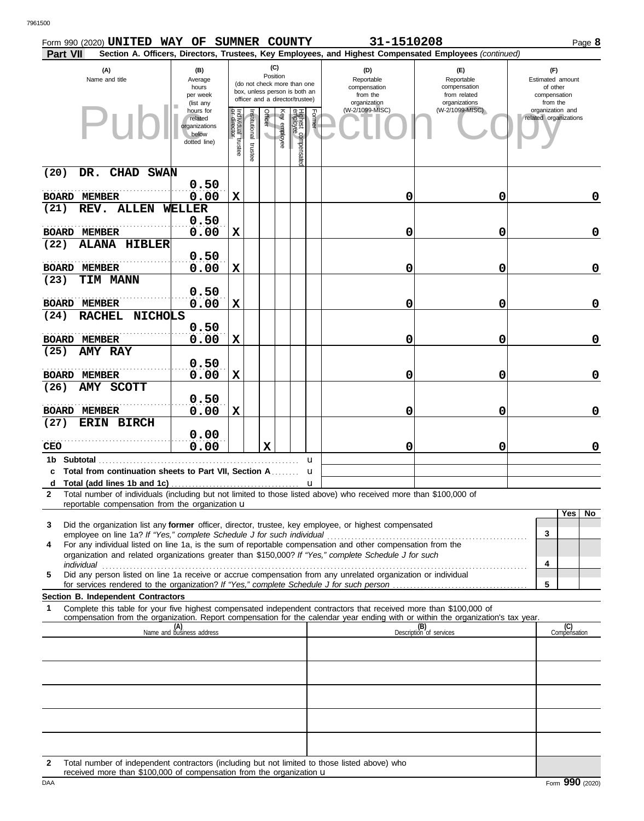| Form 990 (2020) UNITED WAY OF SUMNER COUNTY<br><b>Part VII</b>                                                                                                                                                                                              |                                                                |                                   |                          |                 |              |                                                                                                 |                                | 31-1510208<br>Section A. Officers, Directors, Trustees, Key Employees, and Highest Compensated Employees (continued) |                                                                    |                                                                 | Page 8              |
|-------------------------------------------------------------------------------------------------------------------------------------------------------------------------------------------------------------------------------------------------------------|----------------------------------------------------------------|-----------------------------------|--------------------------|-----------------|--------------|-------------------------------------------------------------------------------------------------|--------------------------------|----------------------------------------------------------------------------------------------------------------------|--------------------------------------------------------------------|-----------------------------------------------------------------|---------------------|
| (A)<br>Name and title                                                                                                                                                                                                                                       | (B)<br>Average<br>hours<br>per week<br>(list any               |                                   |                          | (C)<br>Position |              | (do not check more than one<br>box, unless person is both an<br>officer and a director/trustee) |                                | (D)<br>Reportable<br>compensation<br>from the<br>organization                                                        | (E)<br>Reportable<br>compensation<br>from related<br>organizations | (F)<br>Estimated amount<br>of other<br>compensation<br>from the |                     |
| Pu                                                                                                                                                                                                                                                          | hours for<br>related<br>organizations<br>below<br>dotted line) | Individual trustee<br>or director | Institutional<br>trustee | Officer         | Key employee | Highest compensatec<br>employee                                                                 | Former                         | (W-2/1099-MISC)                                                                                                      | (W-2/1099-MISC)                                                    | organization and<br>related organizations                       |                     |
| CHAD SWAN<br>(20)<br>DR.                                                                                                                                                                                                                                    |                                                                |                                   |                          |                 |              |                                                                                                 |                                |                                                                                                                      |                                                                    |                                                                 |                     |
| <b>BOARD</b><br><b>MEMBER</b>                                                                                                                                                                                                                               | 0.50<br>0.00                                                   | X                                 |                          |                 |              |                                                                                                 |                                | 0                                                                                                                    | 0                                                                  |                                                                 | 0                   |
| (21)<br><b>ALLEN</b><br>REV.<br><b>BOARD MEMBER</b>                                                                                                                                                                                                         | WELLER<br>0.50<br>0.00                                         | $\mathbf x$                       |                          |                 |              |                                                                                                 |                                | 0                                                                                                                    | 0                                                                  |                                                                 | 0                   |
| (22)<br><b>ALANA</b><br><b>HIBLER</b>                                                                                                                                                                                                                       |                                                                |                                   |                          |                 |              |                                                                                                 |                                |                                                                                                                      |                                                                    |                                                                 |                     |
| <b>BOARD</b><br><b>MEMBER</b>                                                                                                                                                                                                                               | 0.50<br>0.00                                                   | $\mathbf x$                       |                          |                 |              |                                                                                                 |                                | 0                                                                                                                    | 0                                                                  |                                                                 | 0                   |
| (23)<br>TIM MANN<br><b>BOARD MEMBER</b>                                                                                                                                                                                                                     | 0.50<br>0.00                                                   | $\mathbf x$                       |                          |                 |              |                                                                                                 |                                | 0                                                                                                                    | 0                                                                  |                                                                 | 0                   |
| (24)<br><b>RACHEL</b><br><b>NICHOLS</b>                                                                                                                                                                                                                     |                                                                |                                   |                          |                 |              |                                                                                                 |                                |                                                                                                                      |                                                                    |                                                                 |                     |
| <b>BOARD MEMBER</b>                                                                                                                                                                                                                                         | 0.50<br>0.00                                                   | $\mathbf x$                       |                          |                 |              |                                                                                                 |                                | 0                                                                                                                    | 0                                                                  |                                                                 | 0                   |
| (25)<br><b>AMY RAY</b>                                                                                                                                                                                                                                      |                                                                |                                   |                          |                 |              |                                                                                                 |                                |                                                                                                                      |                                                                    |                                                                 |                     |
| <b>BOARD MEMBER</b>                                                                                                                                                                                                                                         | 0.50<br>0.00                                                   | $\mathbf x$                       |                          |                 |              |                                                                                                 |                                | 0                                                                                                                    | 0                                                                  |                                                                 | 0                   |
| (26)<br><b>AMY SCOTT</b><br><b>BOARD MEMBER</b>                                                                                                                                                                                                             | 0.50<br>0.00                                                   | $\mathbf x$                       |                          |                 |              |                                                                                                 |                                | 0                                                                                                                    | 0                                                                  |                                                                 | 0                   |
| (27)<br><b>ERIN BIRCH</b>                                                                                                                                                                                                                                   |                                                                |                                   |                          |                 |              |                                                                                                 |                                |                                                                                                                      |                                                                    |                                                                 |                     |
| CEO                                                                                                                                                                                                                                                         | 0.00<br>0.00                                                   |                                   |                          | X               |              |                                                                                                 |                                | 0                                                                                                                    | 0                                                                  |                                                                 | 0                   |
| 1b Subtotal                                                                                                                                                                                                                                                 |                                                                |                                   |                          |                 |              |                                                                                                 | u                              |                                                                                                                      |                                                                    |                                                                 |                     |
| c Total from continuation sheets to Part VII, Section A<br>d                                                                                                                                                                                                |                                                                |                                   |                          |                 |              |                                                                                                 | u                              |                                                                                                                      |                                                                    |                                                                 |                     |
| Total number of individuals (including but not limited to those listed above) who received more than \$100,000 of<br>$\mathbf{2}$                                                                                                                           |                                                                |                                   |                          |                 |              |                                                                                                 | u                              |                                                                                                                      |                                                                    |                                                                 |                     |
| reportable compensation from the organization $\mathbf u$                                                                                                                                                                                                   |                                                                |                                   |                          |                 |              |                                                                                                 |                                |                                                                                                                      |                                                                    |                                                                 | Yes  <br>No         |
| Did the organization list any former officer, director, trustee, key employee, or highest compensated<br>3<br>employee on line 1a? If "Yes," complete Schedule J for such individual                                                                        |                                                                |                                   |                          |                 |              |                                                                                                 |                                |                                                                                                                      |                                                                    | 3                                                               |                     |
| For any individual listed on line 1a, is the sum of reportable compensation and other compensation from the<br>4                                                                                                                                            |                                                                |                                   |                          |                 |              |                                                                                                 |                                |                                                                                                                      |                                                                    |                                                                 |                     |
| organization and related organizations greater than \$150,000? If "Yes," complete Schedule J for such<br>individual                                                                                                                                         |                                                                |                                   |                          |                 |              |                                                                                                 |                                |                                                                                                                      |                                                                    | 4                                                               |                     |
| Did any person listed on line 1a receive or accrue compensation from any unrelated organization or individual<br>5                                                                                                                                          |                                                                |                                   |                          |                 |              |                                                                                                 |                                |                                                                                                                      |                                                                    | 5                                                               |                     |
| <b>Section B. Independent Contractors</b>                                                                                                                                                                                                                   |                                                                |                                   |                          |                 |              |                                                                                                 |                                |                                                                                                                      |                                                                    |                                                                 |                     |
| Complete this table for your five highest compensated independent contractors that received more than \$100,000 of<br>1<br>compensation from the organization. Report compensation for the calendar year ending with or within the organization's tax year. |                                                                |                                   |                          |                 |              |                                                                                                 |                                |                                                                                                                      |                                                                    |                                                                 |                     |
|                                                                                                                                                                                                                                                             | (A)<br>Name and business address                               |                                   |                          |                 |              |                                                                                                 | (B)<br>Description of services |                                                                                                                      |                                                                    |                                                                 | (C)<br>Compensation |
|                                                                                                                                                                                                                                                             |                                                                |                                   |                          |                 |              |                                                                                                 |                                |                                                                                                                      |                                                                    |                                                                 |                     |
|                                                                                                                                                                                                                                                             |                                                                |                                   |                          |                 |              |                                                                                                 |                                |                                                                                                                      |                                                                    |                                                                 |                     |
|                                                                                                                                                                                                                                                             |                                                                |                                   |                          |                 |              |                                                                                                 |                                |                                                                                                                      |                                                                    |                                                                 |                     |
|                                                                                                                                                                                                                                                             |                                                                |                                   |                          |                 |              |                                                                                                 |                                |                                                                                                                      |                                                                    |                                                                 |                     |
|                                                                                                                                                                                                                                                             |                                                                |                                   |                          |                 |              |                                                                                                 |                                |                                                                                                                      |                                                                    |                                                                 |                     |

**2** Total number of independent contractors (including but not limited to those listed above) who received more than \$100,000 of compensation from the organization u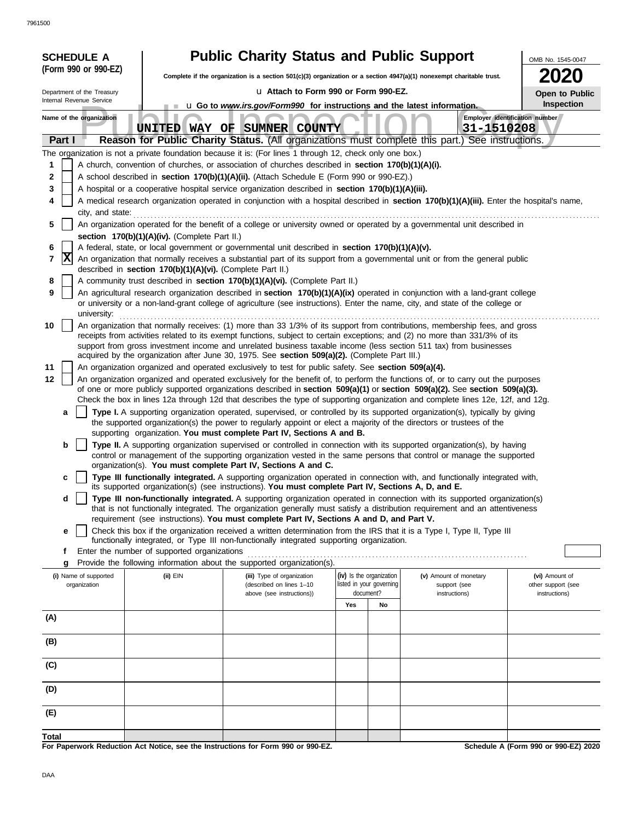7961500

| <b>SCHEDULE A</b><br>(Form 990 or 990-EZ)<br>Department of the Treasury<br>Internal Revenue Service |                                                            | <b>Public Charity Status and Public Support</b><br>Complete if the organization is a section $501(c)(3)$ organization or a section $4947(a)(1)$ nonexempt charitable trust.<br>La Attach to Form 990 or Form 990-EZ.<br><b>u</b> Go to <i>www.irs.gov/Form990</i> for instructions and the latest information. |                                                      |                                        | OMB No. 1545-0047<br>Open to Public<br>Inspection |
|-----------------------------------------------------------------------------------------------------|------------------------------------------------------------|----------------------------------------------------------------------------------------------------------------------------------------------------------------------------------------------------------------------------------------------------------------------------------------------------------------|------------------------------------------------------|----------------------------------------|---------------------------------------------------|
| Name of the organization                                                                            |                                                            |                                                                                                                                                                                                                                                                                                                |                                                      |                                        | Employer identification number                    |
|                                                                                                     |                                                            | UNITED WAY OF SUMNER COUNTY                                                                                                                                                                                                                                                                                    |                                                      | 31-1510208                             |                                                   |
| Part I                                                                                              |                                                            | Reason for Public Charity Status. (All organizations must complete this part.) See instructions.<br>The organization is not a private foundation because it is: (For lines 1 through 12, check only one box.)                                                                                                  |                                                      |                                        |                                                   |
| 1                                                                                                   |                                                            | A church, convention of churches, or association of churches described in section 170(b)(1)(A)(i).                                                                                                                                                                                                             |                                                      |                                        |                                                   |
| 2                                                                                                   |                                                            | A school described in section 170(b)(1)(A)(ii). (Attach Schedule E (Form 990 or 990-EZ).)                                                                                                                                                                                                                      |                                                      |                                        |                                                   |
| 3                                                                                                   |                                                            | A hospital or a cooperative hospital service organization described in section 170(b)(1)(A)(iii).                                                                                                                                                                                                              |                                                      |                                        |                                                   |
| 4                                                                                                   |                                                            | A medical research organization operated in conjunction with a hospital described in section 170(b)(1)(A)(iii). Enter the hospital's name,                                                                                                                                                                     |                                                      |                                        |                                                   |
| city, and state:<br>5                                                                               |                                                            | An organization operated for the benefit of a college or university owned or operated by a governmental unit described in                                                                                                                                                                                      |                                                      |                                        |                                                   |
|                                                                                                     | section 170(b)(1)(A)(iv). (Complete Part II.)              |                                                                                                                                                                                                                                                                                                                |                                                      |                                        |                                                   |
| 6                                                                                                   |                                                            | A federal, state, or local government or governmental unit described in section 170(b)(1)(A)(v).                                                                                                                                                                                                               |                                                      |                                        |                                                   |
| x<br>7                                                                                              | described in section 170(b)(1)(A)(vi). (Complete Part II.) | An organization that normally receives a substantial part of its support from a governmental unit or from the general public                                                                                                                                                                                   |                                                      |                                        |                                                   |
| 8                                                                                                   |                                                            | A community trust described in section 170(b)(1)(A)(vi). (Complete Part II.)                                                                                                                                                                                                                                   |                                                      |                                        |                                                   |
| 9                                                                                                   |                                                            | An agricultural research organization described in section 170(b)(1)(A)(ix) operated in conjunction with a land-grant college                                                                                                                                                                                  |                                                      |                                        |                                                   |
| university:                                                                                         |                                                            | or university or a non-land-grant college of agriculture (see instructions). Enter the name, city, and state of the college or                                                                                                                                                                                 |                                                      |                                        |                                                   |
| 10                                                                                                  |                                                            | An organization that normally receives: (1) more than 33 1/3% of its support from contributions, membership fees, and gross                                                                                                                                                                                    |                                                      |                                        |                                                   |
|                                                                                                     |                                                            | receipts from activities related to its exempt functions, subject to certain exceptions; and (2) no more than 331/3% of its<br>support from gross investment income and unrelated business taxable income (less section 511 tax) from businesses                                                               |                                                      |                                        |                                                   |
|                                                                                                     |                                                            | acquired by the organization after June 30, 1975. See section 509(a)(2). (Complete Part III.)                                                                                                                                                                                                                  |                                                      |                                        |                                                   |
| 11                                                                                                  |                                                            | An organization organized and operated exclusively to test for public safety. See section 509(a)(4).                                                                                                                                                                                                           |                                                      |                                        |                                                   |
| 12                                                                                                  |                                                            | An organization organized and operated exclusively for the benefit of, to perform the functions of, or to carry out the purposes<br>of one or more publicly supported organizations described in section 509(a)(1) or section 509(a)(2). See section 509(a)(3).                                                |                                                      |                                        |                                                   |
|                                                                                                     |                                                            | Check the box in lines 12a through 12d that describes the type of supporting organization and complete lines 12e, 12f, and 12g.                                                                                                                                                                                |                                                      |                                        |                                                   |
| a                                                                                                   |                                                            | Type I. A supporting organization operated, supervised, or controlled by its supported organization(s), typically by giving                                                                                                                                                                                    |                                                      |                                        |                                                   |
|                                                                                                     |                                                            | the supported organization(s) the power to regularly appoint or elect a majority of the directors or trustees of the<br>supporting organization. You must complete Part IV, Sections A and B.                                                                                                                  |                                                      |                                        |                                                   |
| b                                                                                                   |                                                            | Type II. A supporting organization supervised or controlled in connection with its supported organization(s), by having                                                                                                                                                                                        |                                                      |                                        |                                                   |
|                                                                                                     |                                                            | control or management of the supporting organization vested in the same persons that control or manage the supported                                                                                                                                                                                           |                                                      |                                        |                                                   |
| c                                                                                                   |                                                            | organization(s). You must complete Part IV, Sections A and C.<br>Type III functionally integrated. A supporting organization operated in connection with, and functionally integrated with,                                                                                                                    |                                                      |                                        |                                                   |
|                                                                                                     |                                                            | its supported organization(s) (see instructions). You must complete Part IV, Sections A, D, and E.                                                                                                                                                                                                             |                                                      |                                        |                                                   |
| d                                                                                                   |                                                            | Type III non-functionally integrated. A supporting organization operated in connection with its supported organization(s)<br>that is not functionally integrated. The organization generally must satisfy a distribution requirement and an attentiveness                                                      |                                                      |                                        |                                                   |
|                                                                                                     |                                                            | requirement (see instructions). You must complete Part IV, Sections A and D, and Part V.                                                                                                                                                                                                                       |                                                      |                                        |                                                   |
| e                                                                                                   |                                                            | Check this box if the organization received a written determination from the IRS that it is a Type I, Type II, Type III                                                                                                                                                                                        |                                                      |                                        |                                                   |
| f                                                                                                   | Enter the number of supported organizations                | functionally integrated, or Type III non-functionally integrated supporting organization.                                                                                                                                                                                                                      |                                                      |                                        |                                                   |
| g                                                                                                   |                                                            | Provide the following information about the supported organization(s).                                                                                                                                                                                                                                         |                                                      |                                        |                                                   |
| (i) Name of supported<br>organization                                                               | $(ii)$ EIN                                                 | (iii) Type of organization<br>(described on lines 1-10                                                                                                                                                                                                                                                         | (iv) Is the organization<br>listed in your governing | (v) Amount of monetary<br>support (see | (vi) Amount of<br>other support (see              |
|                                                                                                     |                                                            | above (see instructions))                                                                                                                                                                                                                                                                                      | document?                                            | instructions)                          | instructions)                                     |
|                                                                                                     |                                                            |                                                                                                                                                                                                                                                                                                                | Yes<br>No                                            |                                        |                                                   |
| (A)                                                                                                 |                                                            |                                                                                                                                                                                                                                                                                                                |                                                      |                                        |                                                   |
| (B)                                                                                                 |                                                            |                                                                                                                                                                                                                                                                                                                |                                                      |                                        |                                                   |
|                                                                                                     |                                                            |                                                                                                                                                                                                                                                                                                                |                                                      |                                        |                                                   |
| (C)                                                                                                 |                                                            |                                                                                                                                                                                                                                                                                                                |                                                      |                                        |                                                   |
| (D)                                                                                                 |                                                            |                                                                                                                                                                                                                                                                                                                |                                                      |                                        |                                                   |
|                                                                                                     |                                                            |                                                                                                                                                                                                                                                                                                                |                                                      |                                        |                                                   |
| (E)                                                                                                 |                                                            |                                                                                                                                                                                                                                                                                                                |                                                      |                                        |                                                   |
| Total                                                                                               |                                                            |                                                                                                                                                                                                                                                                                                                |                                                      |                                        |                                                   |

**For Paperwork Reduction Act Notice, see the Instructions for Form 990 or 990-EZ.**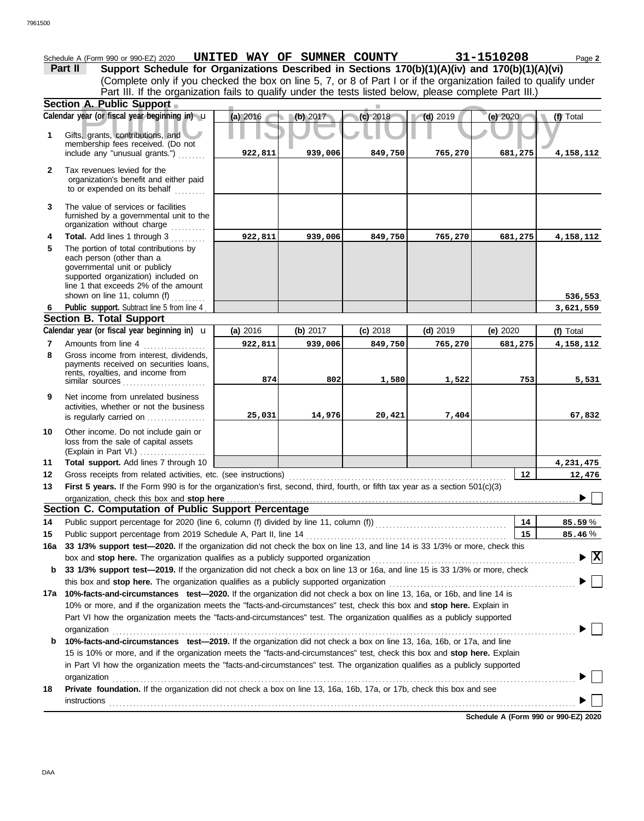|              | Schedule A (Form 990 or 990-EZ) 2020                                                                                                                                                                                                                       | UNITED WAY OF SUMNER COUNTY |          |            |            | 31-1510208 | Page 2               |  |  |
|--------------|------------------------------------------------------------------------------------------------------------------------------------------------------------------------------------------------------------------------------------------------------------|-----------------------------|----------|------------|------------|------------|----------------------|--|--|
|              | Support Schedule for Organizations Described in Sections 170(b)(1)(A)(iv) and 170(b)(1)(A)(vi)<br>Part II                                                                                                                                                  |                             |          |            |            |            |                      |  |  |
|              | (Complete only if you checked the box on line 5, 7, or 8 of Part I or if the organization failed to qualify under                                                                                                                                          |                             |          |            |            |            |                      |  |  |
|              | Part III. If the organization fails to qualify under the tests listed below, please complete Part III.)                                                                                                                                                    |                             |          |            |            |            |                      |  |  |
|              | Section A. Public Support                                                                                                                                                                                                                                  |                             |          |            |            |            |                      |  |  |
|              | Calendar year (or fiscal year beginning in) u                                                                                                                                                                                                              | (a) 2016                    | (b) 2017 | $(c)$ 2018 | $(d)$ 2019 | (e) 2020   | (f) Total            |  |  |
| 1            | Gifts, grants, contributions, and<br>membership fees received. (Do not                                                                                                                                                                                     |                             |          |            |            |            |                      |  |  |
|              | include any "unusual grants.")                                                                                                                                                                                                                             | 922,811                     | 939,006  | 849,750    | 765,270    | 681,275    | 4,158,112            |  |  |
| $\mathbf{2}$ | Tax revenues levied for the<br>organization's benefit and either paid<br>to or expended on its behalf                                                                                                                                                      |                             |          |            |            |            |                      |  |  |
| 3            | The value of services or facilities<br>furnished by a governmental unit to the<br>organization without charge                                                                                                                                              |                             |          |            |            |            |                      |  |  |
| 4            | Total. Add lines 1 through 3                                                                                                                                                                                                                               | 922,811                     | 939,006  | 849,750    | 765,270    | 681,275    | 4,158,112            |  |  |
| 5            | The portion of total contributions by<br>each person (other than a<br>governmental unit or publicly<br>supported organization) included on                                                                                                                 |                             |          |            |            |            |                      |  |  |
|              | line 1 that exceeds 2% of the amount<br>shown on line 11, column (f)                                                                                                                                                                                       |                             |          |            |            |            |                      |  |  |
| 6            | Public support. Subtract line 5 from line 4                                                                                                                                                                                                                |                             |          |            |            |            | 536,553<br>3,621,559 |  |  |
|              | <b>Section B. Total Support</b>                                                                                                                                                                                                                            |                             |          |            |            |            |                      |  |  |
|              | Calendar year (or fiscal year beginning in) $\mathbf u$                                                                                                                                                                                                    | (a) 2016                    | (b) 2017 | $(c)$ 2018 | $(d)$ 2019 | (e) $2020$ | (f) Total            |  |  |
| 7            | Amounts from line 4                                                                                                                                                                                                                                        | 922,811                     | 939,006  | 849,750    | 765,270    | 681,275    | 4,158,112            |  |  |
| 8            | Gross income from interest, dividends,<br>payments received on securities loans,<br>rents, royalties, and income from<br>874<br>802<br>1,580<br>753<br>1,522<br>5,531<br>similar sources                                                                   |                             |          |            |            |            |                      |  |  |
| 9            | Net income from unrelated business<br>activities, whether or not the business<br>is regularly carried on                                                                                                                                                   | 25,031                      | 14,976   | 20,421     | 7,404      |            | 67,832               |  |  |
| 10           | Other income. Do not include gain or<br>loss from the sale of capital assets<br>(Explain in Part VI.) $\ldots$                                                                                                                                             |                             |          |            |            |            |                      |  |  |
| 11           | Total support. Add lines 7 through 10                                                                                                                                                                                                                      |                             |          |            |            |            | 4,231,475            |  |  |
| 12           | Gross receipts from related activities, etc. (see instructions)                                                                                                                                                                                            |                             |          |            |            | 12         | 12,476               |  |  |
| 13           | First 5 years. If the Form 990 is for the organization's first, second, third, fourth, or fifth tax year as a section $501(c)(3)$                                                                                                                          |                             |          |            |            |            |                      |  |  |
|              | organization, check this box and stop here                                                                                                                                                                                                                 |                             |          |            |            |            |                      |  |  |
|              | Section C. Computation of Public Support Percentage                                                                                                                                                                                                        |                             |          |            |            |            |                      |  |  |
| 14           | Public support percentage for 2020 (line 6, column (f) divided by line 11, column (f)) [[[[[[[[[[[[[[[[[[[[[[                                                                                                                                              |                             |          |            |            | 14         | 85.59%               |  |  |
| 15           | 15<br>85.46%                                                                                                                                                                                                                                               |                             |          |            |            |            |                      |  |  |
| 16a          | 33 1/3% support test-2020. If the organization did not check the box on line 13, and line 14 is 33 1/3% or more, check this<br>$\blacktriangleright$ $ \mathrm{X} $                                                                                        |                             |          |            |            |            |                      |  |  |
| b            | box and stop here. The organization qualifies as a publicly supported organization<br>33 1/3% support test-2019. If the organization did not check a box on line 13 or 16a, and line 15 is 33 1/3% or more, check                                          |                             |          |            |            |            |                      |  |  |
|              | this box and stop here. The organization qualifies as a publicly supported organization                                                                                                                                                                    |                             |          |            |            |            |                      |  |  |
|              | 17a 10%-facts-and-circumstances test-2020. If the organization did not check a box on line 13, 16a, or 16b, and line 14 is                                                                                                                                 |                             |          |            |            |            |                      |  |  |
|              | 10% or more, and if the organization meets the "facts-and-circumstances" test, check this box and stop here. Explain in                                                                                                                                    |                             |          |            |            |            |                      |  |  |
|              | Part VI how the organization meets the "facts-and-circumstances" test. The organization qualifies as a publicly supported<br>organization                                                                                                                  |                             |          |            |            |            |                      |  |  |
| b            | 10%-facts-and-circumstances test-2019. If the organization did not check a box on line 13, 16a, 16b, or 17a, and line                                                                                                                                      |                             |          |            |            |            |                      |  |  |
|              | 15 is 10% or more, and if the organization meets the "facts-and-circumstances" test, check this box and stop here. Explain<br>in Part VI how the organization meets the "facts-and-circumstances" test. The organization qualifies as a publicly supported |                             |          |            |            |            |                      |  |  |
|              | organization                                                                                                                                                                                                                                               |                             |          |            |            |            |                      |  |  |
| 18           | Private foundation. If the organization did not check a box on line 13, 16a, 16b, 17a, or 17b, check this box and see                                                                                                                                      |                             |          |            |            |            |                      |  |  |
|              |                                                                                                                                                                                                                                                            |                             |          |            |            |            |                      |  |  |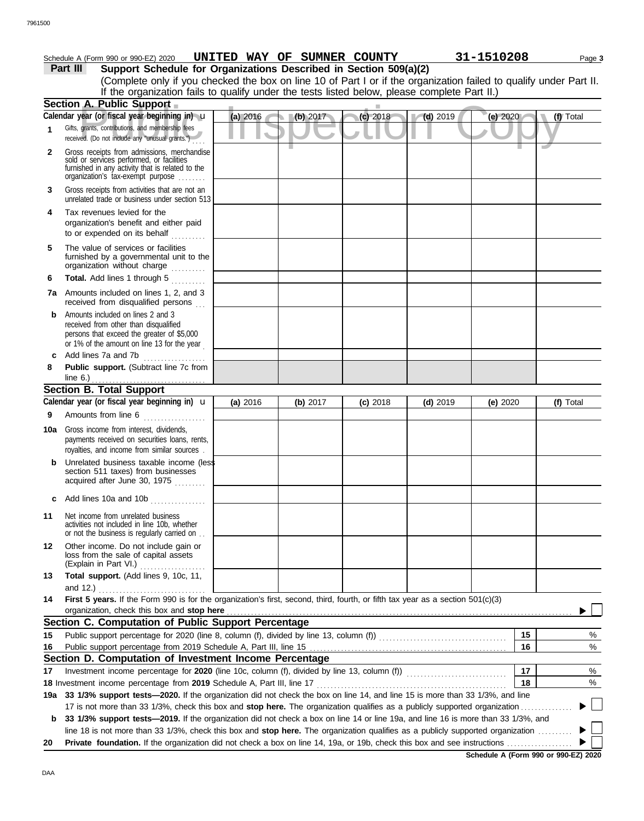|         | Schedule A (Form 990 or 990-EZ) 2020                                                                                                                                                                                                                             |          |  |          | UNITED WAY OF SUMNER COUNTY |            | 31-1510208 |    |           | Page 3 |
|---------|------------------------------------------------------------------------------------------------------------------------------------------------------------------------------------------------------------------------------------------------------------------|----------|--|----------|-----------------------------|------------|------------|----|-----------|--------|
|         | Support Schedule for Organizations Described in Section 509(a)(2)<br>Part III                                                                                                                                                                                    |          |  |          |                             |            |            |    |           |        |
|         | (Complete only if you checked the box on line 10 of Part I or if the organization failed to qualify under Part II.                                                                                                                                               |          |  |          |                             |            |            |    |           |        |
|         | If the organization fails to qualify under the tests listed below, please complete Part II.)                                                                                                                                                                     |          |  |          |                             |            |            |    |           |        |
|         | Section A. Public Support                                                                                                                                                                                                                                        |          |  |          |                             |            |            |    |           |        |
|         | Calendar year (or fiscal year beginning in) u                                                                                                                                                                                                                    | (a) 2016 |  | (b) 2017 | $(c)$ 2018                  | $(d)$ 2019 | (e) 2020   |    | (f) Total |        |
| 1       | Gifts, grants, contributions, and membership fees<br>received. (Do not include any "unusual grants.")                                                                                                                                                            |          |  |          |                             |            |            |    |           |        |
| 2       | Gross receipts from admissions, merchandise<br>sold or services performed, or facilities<br>furnished in any activity that is related to the<br>organization's fax-exempt purpose                                                                                |          |  |          |                             |            |            |    |           |        |
| 3       | Gross receipts from activities that are not an<br>unrelated trade or business under section 513                                                                                                                                                                  |          |  |          |                             |            |            |    |           |        |
| 4       | Tax revenues levied for the<br>organization's benefit and either paid<br>to or expended on its behalf<br>.                                                                                                                                                       |          |  |          |                             |            |            |    |           |        |
| 5       | The value of services or facilities<br>furnished by a governmental unit to the<br>organization without charge                                                                                                                                                    |          |  |          |                             |            |            |    |           |        |
| 6       | Total. Add lines 1 through 5<br>and a state                                                                                                                                                                                                                      |          |  |          |                             |            |            |    |           |        |
|         | 7a Amounts included on lines 1, 2, and 3<br>received from disqualified persons                                                                                                                                                                                   |          |  |          |                             |            |            |    |           |        |
| b       | Amounts included on lines 2 and 3<br>received from other than disqualified<br>persons that exceed the greater of \$5,000<br>or 1% of the amount on line 13 for the year                                                                                          |          |  |          |                             |            |            |    |           |        |
| c       | Add lines 7a and 7b                                                                                                                                                                                                                                              |          |  |          |                             |            |            |    |           |        |
| 8       | Public support. (Subtract line 7c from                                                                                                                                                                                                                           |          |  |          |                             |            |            |    |           |        |
|         | line 6.) $\ldots$ $\ldots$ $\ldots$ $\ldots$ $\ldots$ $\ldots$<br><b>Section B. Total Support</b>                                                                                                                                                                |          |  |          |                             |            |            |    |           |        |
|         | Calendar year (or fiscal year beginning in) <b>u</b>                                                                                                                                                                                                             | (a) 2016 |  | (b) 2017 | $(c)$ 2018                  | $(d)$ 2019 | (e) $2020$ |    | (f) Total |        |
| 9       | Amounts from line 6<br>.                                                                                                                                                                                                                                         |          |  |          |                             |            |            |    |           |        |
| 10a     | Gross income from interest, dividends,<br>payments received on securities loans, rents,<br>royalties, and income from similar sources.                                                                                                                           |          |  |          |                             |            |            |    |           |        |
|         | Unrelated business taxable income (less<br>section 511 taxes) from businesses<br>acquired after June 30, 1975                                                                                                                                                    |          |  |          |                             |            |            |    |           |        |
|         | Add lines 10a and 10b                                                                                                                                                                                                                                            |          |  |          |                             |            |            |    |           |        |
| 11      | Net income from unrelated business<br>activities not included in line 10b, whether<br>or not the business is regularly carried on                                                                                                                                |          |  |          |                             |            |            |    |           |        |
| $12 \,$ | Other income. Do not include gain or<br>loss from the sale of capital assets<br>(Explain in Part VI.)                                                                                                                                                            |          |  |          |                             |            |            |    |           |        |
| 13      | Total support. (Add lines 9, 10c, 11,<br>and $12.$ )                                                                                                                                                                                                             |          |  |          |                             |            |            |    |           |        |
| 14      | .<br>First 5 years. If the Form 990 is for the organization's first, second, third, fourth, or fifth tax year as a section 501(c)(3)                                                                                                                             |          |  |          |                             |            |            |    |           |        |
|         | organization, check this box and stop here                                                                                                                                                                                                                       |          |  |          |                             |            |            |    |           |        |
|         | Section C. Computation of Public Support Percentage                                                                                                                                                                                                              |          |  |          |                             |            |            |    |           |        |
| 15      |                                                                                                                                                                                                                                                                  |          |  |          |                             |            |            | 15 |           | %      |
| 16      |                                                                                                                                                                                                                                                                  |          |  |          |                             |            |            | 16 |           | %      |
|         | Section D. Computation of Investment Income Percentage                                                                                                                                                                                                           |          |  |          |                             |            |            |    |           |        |
| 17      |                                                                                                                                                                                                                                                                  |          |  |          |                             |            |            | 17 |           | %      |
|         | 18 Investment income percentage from 2019 Schedule A, Part III, line 17                                                                                                                                                                                          |          |  |          |                             |            |            | 18 |           | %      |
|         | 19a 33 1/3% support tests—2020. If the organization did not check the box on line 14, and line 15 is more than 33 1/3%, and line                                                                                                                                 |          |  |          |                             |            |            |    |           |        |
| b       | 17 is not more than 33 1/3%, check this box and stop here. The organization qualifies as a publicly supported organization.<br>33 1/3% support tests-2019. If the organization did not check a box on line 14 or line 19a, and line 16 is more than 33 1/3%, and |          |  |          |                             |            |            |    |           |        |
|         | line 18 is not more than 33 1/3%, check this box and stop here. The organization qualifies as a publicly supported organization                                                                                                                                  |          |  |          |                             |            |            |    |           |        |
| 20      |                                                                                                                                                                                                                                                                  |          |  |          |                             |            |            |    |           |        |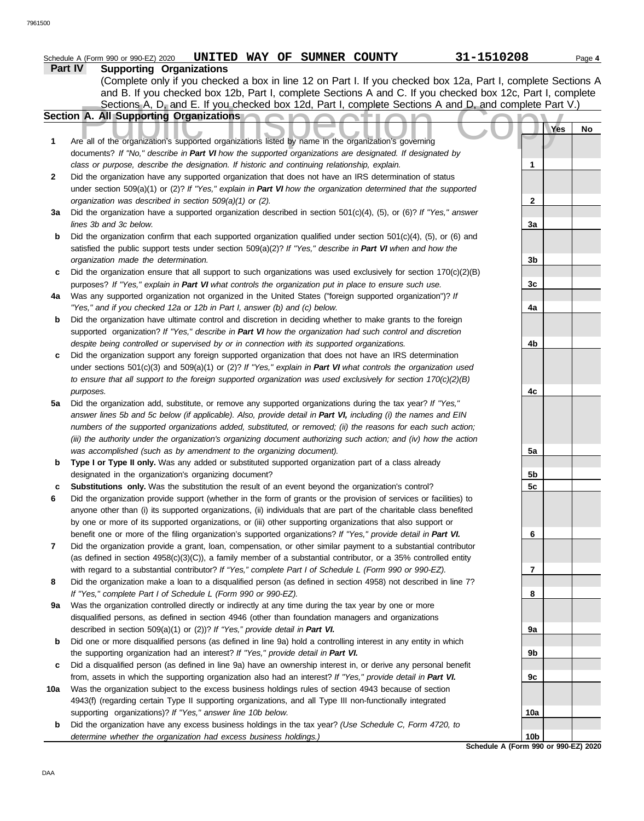|              | 31-1510208<br>UNITED WAY OF SUMNER COUNTY<br>Schedule A (Form 990 or 990-EZ) 2020                                                                           |                |     | Page 4 |
|--------------|-------------------------------------------------------------------------------------------------------------------------------------------------------------|----------------|-----|--------|
|              | <b>Supporting Organizations</b><br><b>Part IV</b>                                                                                                           |                |     |        |
|              | (Complete only if you checked a box in line 12 on Part I. If you checked box 12a, Part I, complete Sections A                                               |                |     |        |
|              | and B. If you checked box 12b, Part I, complete Sections A and C. If you checked box 12c, Part I, complete                                                  |                |     |        |
|              | Sections A, D, and E. If you checked box 12d, Part I, complete Sections A and D, and complete Part V.)                                                      |                |     |        |
|              | Section A. All Supporting Organizations                                                                                                                     |                |     |        |
|              |                                                                                                                                                             |                | Yes | No     |
| 1            | Are all of the organization's supported organizations listed by name in the organization's governing                                                        |                |     |        |
|              | documents? If "No," describe in Part VI how the supported organizations are designated. If designated by                                                    |                |     |        |
|              | class or purpose, describe the designation. If historic and continuing relationship, explain.                                                               | 1              |     |        |
| $\mathbf{2}$ | Did the organization have any supported organization that does not have an IRS determination of status                                                      |                |     |        |
|              | under section 509(a)(1) or (2)? If "Yes," explain in Part VI how the organization determined that the supported                                             |                |     |        |
|              | organization was described in section 509(a)(1) or (2).                                                                                                     | $\mathbf{2}$   |     |        |
| За           | Did the organization have a supported organization described in section 501(c)(4), (5), or (6)? If "Yes," answer                                            |                |     |        |
|              | lines 3b and 3c below.                                                                                                                                      | 3a             |     |        |
| b            | Did the organization confirm that each supported organization qualified under section $501(c)(4)$ , (5), or (6) and                                         |                |     |        |
|              | satisfied the public support tests under section 509(a)(2)? If "Yes," describe in Part VI when and how the                                                  |                |     |        |
|              | organization made the determination.                                                                                                                        | 3b             |     |        |
| c            | Did the organization ensure that all support to such organizations was used exclusively for section $170(c)(2)(B)$                                          |                |     |        |
|              | purposes? If "Yes," explain in Part VI what controls the organization put in place to ensure such use.                                                      | 3 <sub>c</sub> |     |        |
| 4a           | Was any supported organization not organized in the United States ("foreign supported organization")? If                                                    |                |     |        |
|              | "Yes," and if you checked 12a or 12b in Part I, answer (b) and (c) below.                                                                                   | 4a             |     |        |
| b            | Did the organization have ultimate control and discretion in deciding whether to make grants to the foreign                                                 |                |     |        |
|              | supported organization? If "Yes," describe in Part VI how the organization had such control and discretion                                                  |                |     |        |
|              | despite being controlled or supervised by or in connection with its supported organizations.                                                                | 4b             |     |        |
| c            | Did the organization support any foreign supported organization that does not have an IRS determination                                                     |                |     |        |
|              | under sections $501(c)(3)$ and $509(a)(1)$ or (2)? If "Yes," explain in Part VI what controls the organization used                                         |                |     |        |
|              | to ensure that all support to the foreign supported organization was used exclusively for section $170(c)(2)(B)$                                            |                |     |        |
|              | purposes.                                                                                                                                                   | 4c             |     |        |
| 5a           | Did the organization add, substitute, or remove any supported organizations during the tax year? If "Yes,"                                                  |                |     |        |
|              | answer lines 5b and 5c below (if applicable). Also, provide detail in Part VI, including (i) the names and EIN                                              |                |     |        |
|              | numbers of the supported organizations added, substituted, or removed; (ii) the reasons for each such action;                                               |                |     |        |
|              | (iii) the authority under the organization's organizing document authorizing such action; and (iv) how the action                                           |                |     |        |
|              | was accomplished (such as by amendment to the organizing document).                                                                                         | 5a             |     |        |
| b            | Type I or Type II only. Was any added or substituted supported organization part of a class already                                                         |                |     |        |
|              | designated in the organization's organizing document?<br>Substitutions only. Was the substitution the result of an event beyond the organization's control? | 5b<br>5c       |     |        |
|              | Did the organization provide support (whether in the form of grants or the provision of services or facilities) to                                          |                |     |        |
| 6            | anyone other than (i) its supported organizations, (ii) individuals that are part of the charitable class benefited                                         |                |     |        |
|              | by one or more of its supported organizations, or (iii) other supporting organizations that also support or                                                 |                |     |        |
|              | benefit one or more of the filing organization's supported organizations? If "Yes," provide detail in Part VI.                                              | 6              |     |        |
| 7            | Did the organization provide a grant, loan, compensation, or other similar payment to a substantial contributor                                             |                |     |        |
|              | (as defined in section $4958(c)(3)(C)$ ), a family member of a substantial contributor, or a 35% controlled entity                                          |                |     |        |
|              | with regard to a substantial contributor? If "Yes," complete Part I of Schedule L (Form 990 or 990-EZ).                                                     | 7              |     |        |
| 8            | Did the organization make a loan to a disqualified person (as defined in section 4958) not described in line 7?                                             |                |     |        |
|              | If "Yes," complete Part I of Schedule L (Form 990 or 990-EZ).                                                                                               | 8              |     |        |
| 9a           | Was the organization controlled directly or indirectly at any time during the tax year by one or more                                                       |                |     |        |
|              | disqualified persons, as defined in section 4946 (other than foundation managers and organizations                                                          |                |     |        |
|              | described in section 509(a)(1) or (2))? If "Yes," provide detail in Part VI.                                                                                | 9а             |     |        |
| b            | Did one or more disqualified persons (as defined in line 9a) hold a controlling interest in any entity in which                                             |                |     |        |
|              | the supporting organization had an interest? If "Yes," provide detail in Part VI.                                                                           | 9b             |     |        |
| c            | Did a disqualified person (as defined in line 9a) have an ownership interest in, or derive any personal benefit                                             |                |     |        |
|              | from, assets in which the supporting organization also had an interest? If "Yes," provide detail in Part VI.                                                | 9c             |     |        |
| 10a          | Was the organization subject to the excess business holdings rules of section 4943 because of section                                                       |                |     |        |
|              | 4943(f) (regarding certain Type II supporting organizations, and all Type III non-functionally integrated                                                   |                |     |        |
|              | supporting organizations)? If "Yes," answer line 10b below.                                                                                                 | 10a            |     |        |
| b            | Did the organization have any excess business holdings in the tax year? (Use Schedule C, Form 4720, to                                                      |                |     |        |
|              | determine whether the organization had excess business holdings.)                                                                                           | 10b            |     |        |
|              | Schedule A (Form 990 or 990-EZ) 2020                                                                                                                        |                |     |        |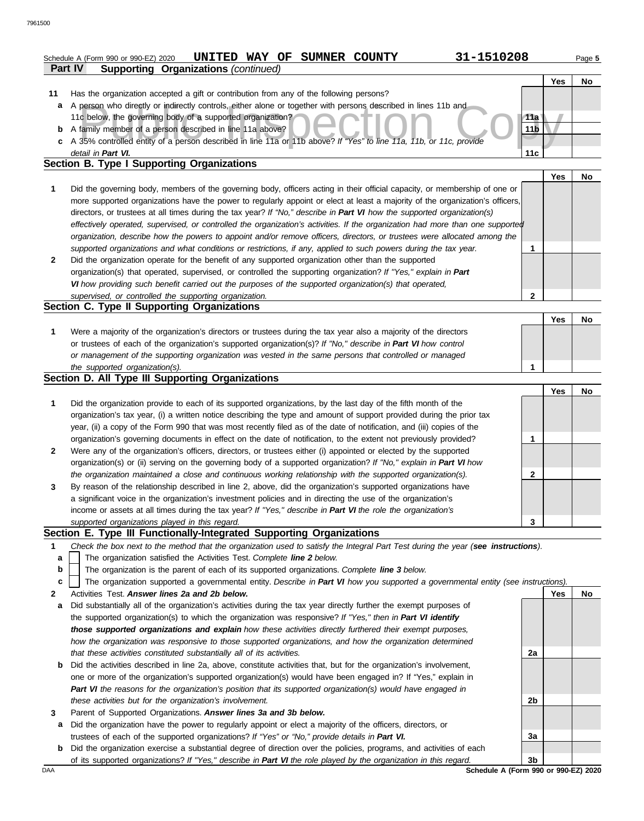|        | 31-1510208<br>UNITED<br>WAY OF<br>SUMNER<br><b>COUNTY</b><br>Schedule A (Form 990 or 990-EZ) 2020                                                                                                                                               |                 |     | Page 5 |
|--------|-------------------------------------------------------------------------------------------------------------------------------------------------------------------------------------------------------------------------------------------------|-----------------|-----|--------|
|        | Part IV<br><b>Supporting Organizations (continued)</b>                                                                                                                                                                                          |                 |     |        |
| 11     | Has the organization accepted a gift or contribution from any of the following persons?                                                                                                                                                         |                 | Yes | No     |
| a      | A person who directly or indirectly controls, either alone or together with persons described in lines 11b and                                                                                                                                  |                 |     |        |
|        | 11c below, the governing body of a supported organization?                                                                                                                                                                                      | 11a             |     |        |
| b      | A family member of a person described in line 11a above?                                                                                                                                                                                        | 11 <sub>b</sub> |     |        |
|        | c A 35% controlled entity of a person described in line 11a or 11b above? If "Yes" to line 11a, 11b, or 11c, provide                                                                                                                            |                 |     |        |
|        | detail in Part VI.<br><b>Section B. Type I Supporting Organizations</b>                                                                                                                                                                         | 11c             |     |        |
|        |                                                                                                                                                                                                                                                 |                 | Yes | No     |
| 1      | Did the governing body, members of the governing body, officers acting in their official capacity, or membership of one or                                                                                                                      |                 |     |        |
|        | more supported organizations have the power to regularly appoint or elect at least a majority of the organization's officers,                                                                                                                   |                 |     |        |
|        | directors, or trustees at all times during the tax year? If "No," describe in Part VI how the supported organization(s)                                                                                                                         |                 |     |        |
|        | effectively operated, supervised, or controlled the organization's activities. If the organization had more than one supported                                                                                                                  |                 |     |        |
|        | organization, describe how the powers to appoint and/or remove officers, directors, or trustees were allocated among the                                                                                                                        |                 |     |        |
|        | supported organizations and what conditions or restrictions, if any, applied to such powers during the tax year.                                                                                                                                | 1               |     |        |
| 2      | Did the organization operate for the benefit of any supported organization other than the supported                                                                                                                                             |                 |     |        |
|        | organization(s) that operated, supervised, or controlled the supporting organization? If "Yes," explain in Part                                                                                                                                 |                 |     |        |
|        | VI how providing such benefit carried out the purposes of the supported organization(s) that operated,                                                                                                                                          | $\mathbf{2}$    |     |        |
|        | supervised, or controlled the supporting organization.<br>Section C. Type II Supporting Organizations                                                                                                                                           |                 |     |        |
|        |                                                                                                                                                                                                                                                 |                 | Yes | No     |
| 1      | Were a majority of the organization's directors or trustees during the tax year also a majority of the directors                                                                                                                                |                 |     |        |
|        | or trustees of each of the organization's supported organization(s)? If "No," describe in Part VI how control                                                                                                                                   |                 |     |        |
|        | or management of the supporting organization was vested in the same persons that controlled or managed                                                                                                                                          |                 |     |        |
|        | the supported organization(s).                                                                                                                                                                                                                  | 1               |     |        |
|        | Section D. All Type III Supporting Organizations                                                                                                                                                                                                |                 |     |        |
|        |                                                                                                                                                                                                                                                 |                 | Yes | No     |
| 1      | Did the organization provide to each of its supported organizations, by the last day of the fifth month of the                                                                                                                                  |                 |     |        |
|        | organization's tax year, (i) a written notice describing the type and amount of support provided during the prior tax<br>year, (ii) a copy of the Form 990 that was most recently filed as of the date of notification, and (iii) copies of the |                 |     |        |
|        | organization's governing documents in effect on the date of notification, to the extent not previously provided?                                                                                                                                | 1               |     |        |
| 2      | Were any of the organization's officers, directors, or trustees either (i) appointed or elected by the supported                                                                                                                                |                 |     |        |
|        | organization(s) or (ii) serving on the governing body of a supported organization? If "No," explain in Part VI how                                                                                                                              |                 |     |        |
|        | the organization maintained a close and continuous working relationship with the supported organization(s).                                                                                                                                     | 2               |     |        |
|        | By reason of the relationship described in line 2, above, did the organization's supported organizations have                                                                                                                                   |                 |     |        |
|        | a significant voice in the organization's investment policies and in directing the use of the organization's                                                                                                                                    |                 |     |        |
|        | income or assets at all times during the tax year? If "Yes," describe in Part VI the role the organization's                                                                                                                                    |                 |     |        |
|        | supported organizations played in this regard.                                                                                                                                                                                                  | 3               |     |        |
|        | Section E. Type III Functionally-Integrated Supporting Organizations                                                                                                                                                                            |                 |     |        |
| 1      | Check the box next to the method that the organization used to satisfy the Integral Part Test during the year (see instructions).                                                                                                               |                 |     |        |
| а<br>b | The organization satisfied the Activities Test. Complete line 2 below.<br>The organization is the parent of each of its supported organizations. Complete line 3 below.                                                                         |                 |     |        |
| c      | The organization supported a governmental entity. Describe in Part VI how you supported a governmental entity (see instructions).                                                                                                               |                 |     |        |
| 2      | Activities Test. Answer lines 2a and 2b below.                                                                                                                                                                                                  |                 | Yes | No     |
| a      | Did substantially all of the organization's activities during the tax year directly further the exempt purposes of                                                                                                                              |                 |     |        |
|        | the supported organization(s) to which the organization was responsive? If "Yes," then in Part VI identify                                                                                                                                      |                 |     |        |
|        | those supported organizations and explain how these activities directly furthered their exempt purposes,                                                                                                                                        |                 |     |        |
|        | how the organization was responsive to those supported organizations, and how the organization determined                                                                                                                                       |                 |     |        |
|        | that these activities constituted substantially all of its activities.                                                                                                                                                                          | 2a              |     |        |
| b      | Did the activities described in line 2a, above, constitute activities that, but for the organization's involvement,                                                                                                                             |                 |     |        |
|        | one or more of the organization's supported organization(s) would have been engaged in? If "Yes," explain in                                                                                                                                    |                 |     |        |
|        | Part VI the reasons for the organization's position that its supported organization(s) would have engaged in                                                                                                                                    |                 |     |        |
|        | these activities but for the organization's involvement.                                                                                                                                                                                        | 2b              |     |        |
| 3<br>a | Parent of Supported Organizations. Answer lines 3a and 3b below.<br>Did the organization have the power to regularly appoint or elect a majority of the officers, directors, or                                                                 |                 |     |        |
|        | trustees of each of the supported organizations? If "Yes" or "No," provide details in Part VI.                                                                                                                                                  | 3a              |     |        |

**b** Did the organization exercise a substantial degree of direction over the policies, programs, and activities of each of its supported organizations? *If "Yes," describe in Part VI the role played by the organization in this regard.* **3b**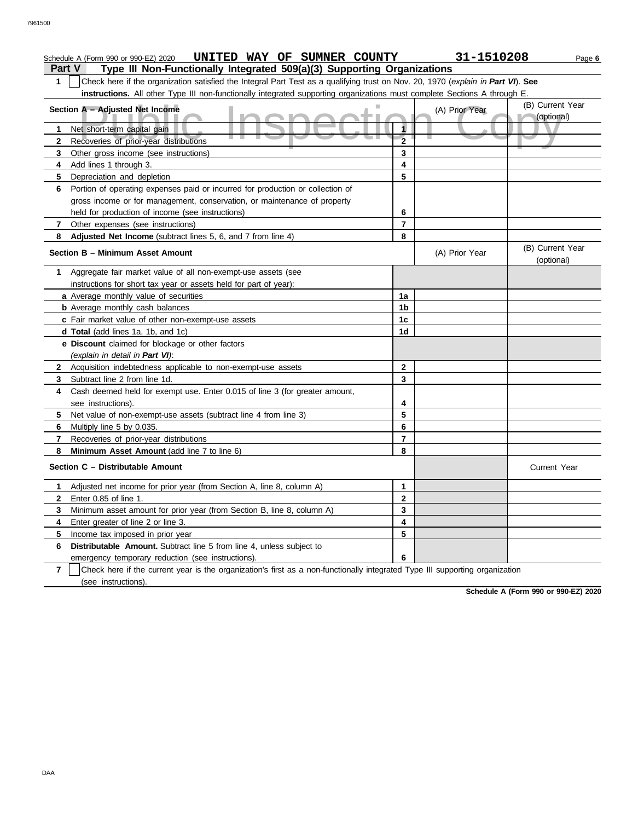| Schedule A (Form 990 or 990-EZ) 2020 | UNITED WAY OF SUMNER COUNTY                                                                                                      |                | 31-1510208     | Page 6                         |
|--------------------------------------|----------------------------------------------------------------------------------------------------------------------------------|----------------|----------------|--------------------------------|
| <b>Part V</b>                        | Type III Non-Functionally Integrated 509(a)(3) Supporting Organizations                                                          |                |                |                                |
| 1                                    | Check here if the organization satisfied the Integral Part Test as a qualifying trust on Nov. 20, 1970 (explain in Part VI). See |                |                |                                |
|                                      | instructions. All other Type III non-functionally integrated supporting organizations must complete Sections A through E.        |                |                |                                |
|                                      | Section A - Adjusted Net Income                                                                                                  |                | (A) Prior Year | (B) Current Year<br>(optional) |
| 1.                                   | Net short-term capital gain                                                                                                      | 1              |                |                                |
| $\mathbf{2}$                         | Recoveries of prior-year distributions                                                                                           | $\overline{2}$ |                |                                |
| 3                                    | Other gross income (see instructions)                                                                                            | 3              |                |                                |
| Add lines 1 through 3.<br>4          |                                                                                                                                  | 4              |                |                                |
| 5                                    | Depreciation and depletion                                                                                                       | 5              |                |                                |
| 6                                    | Portion of operating expenses paid or incurred for production or collection of                                                   |                |                |                                |
|                                      | gross income or for management, conservation, or maintenance of property                                                         |                |                |                                |
|                                      | held for production of income (see instructions)                                                                                 | 6              |                |                                |
| 7                                    | Other expenses (see instructions)                                                                                                | $\overline{7}$ |                |                                |
| 8                                    | Adjusted Net Income (subtract lines 5, 6, and 7 from line 4)                                                                     | 8              |                |                                |
|                                      | Section B - Minimum Asset Amount                                                                                                 |                | (A) Prior Year | (B) Current Year<br>(optional) |
| 1.                                   | Aggregate fair market value of all non-exempt-use assets (see                                                                    |                |                |                                |
|                                      | instructions for short tax year or assets held for part of year):                                                                |                |                |                                |
|                                      | a Average monthly value of securities                                                                                            | 1a             |                |                                |
|                                      | <b>b</b> Average monthly cash balances                                                                                           | 1b             |                |                                |
|                                      | c Fair market value of other non-exempt-use assets                                                                               | 1 <sub>c</sub> |                |                                |
|                                      | <b>d Total</b> (add lines 1a, 1b, and 1c)                                                                                        | 1d             |                |                                |
|                                      | e Discount claimed for blockage or other factors                                                                                 |                |                |                                |
|                                      | (explain in detail in Part VI):                                                                                                  |                |                |                                |
| $\mathbf{2}$                         | Acquisition indebtedness applicable to non-exempt-use assets                                                                     | $\mathbf{2}$   |                |                                |
| 3                                    | Subtract line 2 from line 1d.                                                                                                    | 3              |                |                                |
| 4                                    | Cash deemed held for exempt use. Enter 0.015 of line 3 (for greater amount,                                                      |                |                |                                |
| see instructions).                   |                                                                                                                                  | 4              |                |                                |
| 5.                                   | Net value of non-exempt-use assets (subtract line 4 from line 3)                                                                 | 5              |                |                                |
| 6                                    | Multiply line 5 by 0.035.                                                                                                        | 6              |                |                                |
| 7                                    | Recoveries of prior-year distributions                                                                                           | $\overline{7}$ |                |                                |
| 8                                    | Minimum Asset Amount (add line 7 to line 6)                                                                                      | 8              |                |                                |
|                                      | Section C - Distributable Amount                                                                                                 |                |                | <b>Current Year</b>            |
| 1.                                   | Adjusted net income for prior year (from Section A, line 8, column A)                                                            | 1              |                |                                |
| Enter 0.85 of line 1.<br>2           |                                                                                                                                  | 2              |                |                                |
| 3                                    | Minimum asset amount for prior year (from Section B, line 8, column A)                                                           | 3              |                |                                |
| 4                                    | Enter greater of line 2 or line 3.                                                                                               | 4              |                |                                |
| 5                                    | Income tax imposed in prior year                                                                                                 | 5              |                |                                |
| 6                                    | Distributable Amount. Subtract line 5 from line 4, unless subject to                                                             |                |                |                                |
|                                      | emergency temporary reduction (see instructions).                                                                                | 6              |                |                                |
| $\overline{7}$                       | Check here if the current year is the organization's first as a non-functionally integrated Type III supporting organization     |                |                |                                |
|                                      | (see instructions).                                                                                                              |                |                |                                |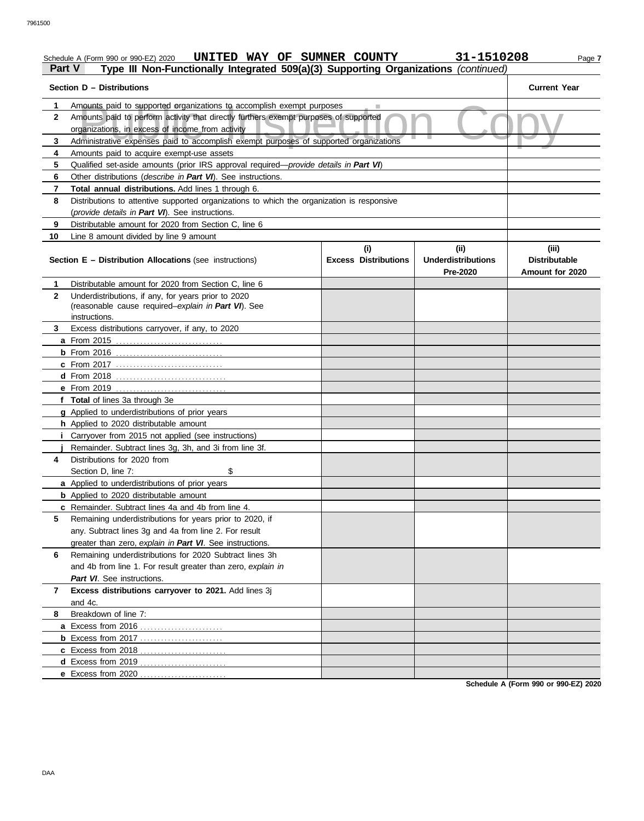|                                                                                                                                                          | UNITED WAY OF SUMNER COUNTY<br>Schedule A (Form 990 or 990-EZ) 2020                           |                                    | 31-1510208                                           | Page 7                                           |  |  |  |  |  |
|----------------------------------------------------------------------------------------------------------------------------------------------------------|-----------------------------------------------------------------------------------------------|------------------------------------|------------------------------------------------------|--------------------------------------------------|--|--|--|--|--|
|                                                                                                                                                          | Type III Non-Functionally Integrated 509(a)(3) Supporting Organizations (continued)<br>Part V |                                    |                                                      |                                                  |  |  |  |  |  |
|                                                                                                                                                          | Section D - Distributions                                                                     |                                    |                                                      | <b>Current Year</b>                              |  |  |  |  |  |
| Amounts paid to supported organizations to accomplish exempt purposes<br>1                                                                               |                                                                                               |                                    |                                                      |                                                  |  |  |  |  |  |
| $\mathbf{2}$<br>Amounts paid to perform activity that directly furthers exempt purposes of supported<br>organizations, in excess of income from activity |                                                                                               |                                    |                                                      |                                                  |  |  |  |  |  |
| Administrative expenses paid to accomplish exempt purposes of supported organizations<br>3                                                               |                                                                                               |                                    |                                                      |                                                  |  |  |  |  |  |
| 4<br>Amounts paid to acquire exempt-use assets                                                                                                           |                                                                                               |                                    |                                                      |                                                  |  |  |  |  |  |
| 5<br>Qualified set-aside amounts (prior IRS approval required— <i>provide details in Part VI</i> )                                                       |                                                                                               |                                    |                                                      |                                                  |  |  |  |  |  |
| 6<br>Other distributions (describe in Part VI). See instructions.                                                                                        |                                                                                               |                                    |                                                      |                                                  |  |  |  |  |  |
| Total annual distributions. Add lines 1 through 6.<br>7                                                                                                  |                                                                                               |                                    |                                                      |                                                  |  |  |  |  |  |
| 8                                                                                                                                                        | Distributions to attentive supported organizations to which the organization is responsive    |                                    |                                                      |                                                  |  |  |  |  |  |
|                                                                                                                                                          | (provide details in Part VI). See instructions.                                               |                                    |                                                      |                                                  |  |  |  |  |  |
| 9                                                                                                                                                        | Distributable amount for 2020 from Section C, line 6                                          |                                    |                                                      |                                                  |  |  |  |  |  |
| 10                                                                                                                                                       | Line 8 amount divided by line 9 amount                                                        |                                    |                                                      |                                                  |  |  |  |  |  |
|                                                                                                                                                          | <b>Section E - Distribution Allocations (see instructions)</b>                                | (i)<br><b>Excess Distributions</b> | (ii)<br><b>Underdistributions</b><br><b>Pre-2020</b> | (iii)<br><b>Distributable</b><br>Amount for 2020 |  |  |  |  |  |
| 1                                                                                                                                                        | Distributable amount for 2020 from Section C, line 6                                          |                                    |                                                      |                                                  |  |  |  |  |  |
| 2                                                                                                                                                        | Underdistributions, if any, for years prior to 2020                                           |                                    |                                                      |                                                  |  |  |  |  |  |
|                                                                                                                                                          | (reasonable cause required-explain in Part VI). See                                           |                                    |                                                      |                                                  |  |  |  |  |  |
|                                                                                                                                                          | instructions.                                                                                 |                                    |                                                      |                                                  |  |  |  |  |  |
| 3                                                                                                                                                        | Excess distributions carryover, if any, to 2020                                               |                                    |                                                      |                                                  |  |  |  |  |  |
|                                                                                                                                                          |                                                                                               |                                    |                                                      |                                                  |  |  |  |  |  |
|                                                                                                                                                          | c From 2017                                                                                   |                                    |                                                      |                                                  |  |  |  |  |  |
|                                                                                                                                                          |                                                                                               |                                    |                                                      |                                                  |  |  |  |  |  |
|                                                                                                                                                          |                                                                                               |                                    |                                                      |                                                  |  |  |  |  |  |
| f Total of lines 3a through 3e                                                                                                                           |                                                                                               |                                    |                                                      |                                                  |  |  |  |  |  |
|                                                                                                                                                          | g Applied to underdistributions of prior years                                                |                                    |                                                      |                                                  |  |  |  |  |  |
|                                                                                                                                                          | h Applied to 2020 distributable amount                                                        |                                    |                                                      |                                                  |  |  |  |  |  |
|                                                                                                                                                          | <i>i</i> Carryover from 2015 not applied (see instructions)                                   |                                    |                                                      |                                                  |  |  |  |  |  |
|                                                                                                                                                          | Remainder. Subtract lines 3q, 3h, and 3i from line 3f.                                        |                                    |                                                      |                                                  |  |  |  |  |  |
| 4                                                                                                                                                        | Distributions for 2020 from                                                                   |                                    |                                                      |                                                  |  |  |  |  |  |
|                                                                                                                                                          | \$<br>Section D, line 7:                                                                      |                                    |                                                      |                                                  |  |  |  |  |  |
|                                                                                                                                                          | a Applied to underdistributions of prior years                                                |                                    |                                                      |                                                  |  |  |  |  |  |
|                                                                                                                                                          | <b>b</b> Applied to 2020 distributable amount                                                 |                                    |                                                      |                                                  |  |  |  |  |  |
|                                                                                                                                                          | c Remainder. Subtract lines 4a and 4b from line 4.                                            |                                    |                                                      |                                                  |  |  |  |  |  |
| 5                                                                                                                                                        | Remaining underdistributions for years prior to 2020, if                                      |                                    |                                                      |                                                  |  |  |  |  |  |
|                                                                                                                                                          | any. Subtract lines 3g and 4a from line 2. For result                                         |                                    |                                                      |                                                  |  |  |  |  |  |
|                                                                                                                                                          | greater than zero, explain in Part VI. See instructions.                                      |                                    |                                                      |                                                  |  |  |  |  |  |
| 6                                                                                                                                                        | Remaining underdistributions for 2020 Subtract lines 3h                                       |                                    |                                                      |                                                  |  |  |  |  |  |
|                                                                                                                                                          | and 4b from line 1. For result greater than zero, explain in                                  |                                    |                                                      |                                                  |  |  |  |  |  |
|                                                                                                                                                          | Part VI. See instructions.                                                                    |                                    |                                                      |                                                  |  |  |  |  |  |
| 7                                                                                                                                                        | Excess distributions carryover to 2021. Add lines 3j                                          |                                    |                                                      |                                                  |  |  |  |  |  |
|                                                                                                                                                          | and 4c.                                                                                       |                                    |                                                      |                                                  |  |  |  |  |  |
| 8                                                                                                                                                        | Breakdown of line 7:                                                                          |                                    |                                                      |                                                  |  |  |  |  |  |
|                                                                                                                                                          |                                                                                               |                                    |                                                      |                                                  |  |  |  |  |  |
|                                                                                                                                                          |                                                                                               |                                    |                                                      |                                                  |  |  |  |  |  |
|                                                                                                                                                          |                                                                                               |                                    |                                                      |                                                  |  |  |  |  |  |
|                                                                                                                                                          |                                                                                               |                                    |                                                      |                                                  |  |  |  |  |  |
|                                                                                                                                                          | e Excess from 2020                                                                            |                                    |                                                      |                                                  |  |  |  |  |  |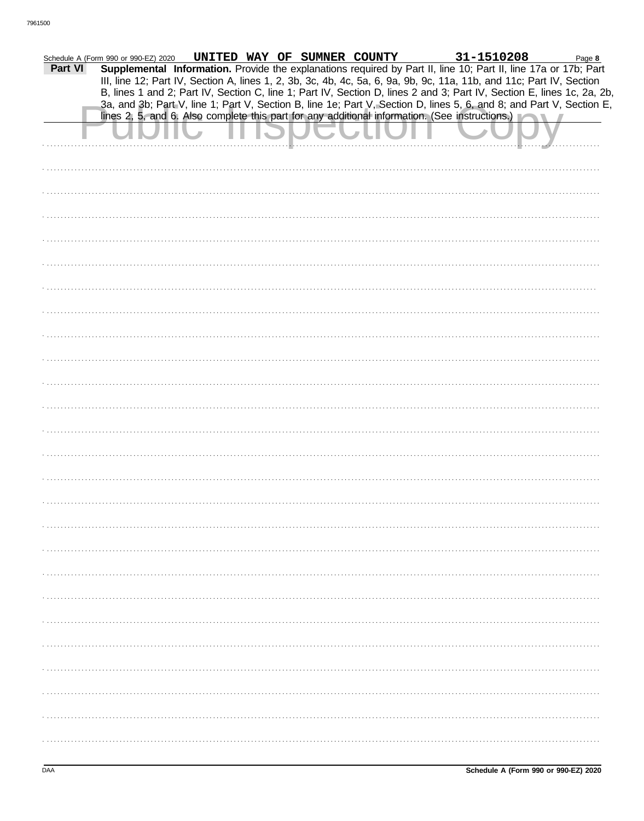|         | Schedule A (Form 990 or 990-EZ) 2020 |  | UNITED WAY OF SUMNER COUNTY | 31-1510208                                                                                                                                                                                                             | Page 8 |
|---------|--------------------------------------|--|-----------------------------|------------------------------------------------------------------------------------------------------------------------------------------------------------------------------------------------------------------------|--------|
| Part VI |                                      |  |                             | Supplemental Information. Provide the explanations required by Part II, line 10; Part II, line 17a or 17b; Part                                                                                                        |        |
|         |                                      |  |                             | III, line 12; Part IV, Section A, lines 1, 2, 3b, 3c, 4b, 4c, 5a, 6, 9a, 9b, 9c, 11a, 11b, and 11c; Part IV, Section                                                                                                   |        |
|         |                                      |  |                             | B, lines 1 and 2; Part IV, Section C, line 1; Part IV, Section D, lines 2 and 3; Part IV, Section E, lines 1c, 2a, 2b,                                                                                                 |        |
|         |                                      |  |                             | 3a, and 3b; Part V, line 1; Part V, Section B, line 1e; Part V, Section D, lines 5, 6, and 8; and Part V, Section E,<br>lines 2, 5, and 6. Also complete this part for any additional information. (See instructions.) |        |
|         |                                      |  |                             |                                                                                                                                                                                                                        |        |
|         |                                      |  |                             |                                                                                                                                                                                                                        |        |
|         |                                      |  |                             |                                                                                                                                                                                                                        |        |
|         |                                      |  |                             |                                                                                                                                                                                                                        |        |
|         |                                      |  |                             |                                                                                                                                                                                                                        |        |
|         |                                      |  |                             |                                                                                                                                                                                                                        |        |
|         |                                      |  |                             |                                                                                                                                                                                                                        |        |
|         |                                      |  |                             |                                                                                                                                                                                                                        |        |
|         |                                      |  |                             |                                                                                                                                                                                                                        |        |
|         |                                      |  |                             |                                                                                                                                                                                                                        |        |
|         |                                      |  |                             |                                                                                                                                                                                                                        |        |
|         |                                      |  |                             |                                                                                                                                                                                                                        |        |
|         |                                      |  |                             |                                                                                                                                                                                                                        |        |
|         |                                      |  |                             |                                                                                                                                                                                                                        |        |
|         |                                      |  |                             |                                                                                                                                                                                                                        |        |
|         |                                      |  |                             |                                                                                                                                                                                                                        |        |
|         |                                      |  |                             |                                                                                                                                                                                                                        |        |
|         |                                      |  |                             |                                                                                                                                                                                                                        |        |
|         |                                      |  |                             |                                                                                                                                                                                                                        |        |
|         |                                      |  |                             |                                                                                                                                                                                                                        |        |
|         |                                      |  |                             |                                                                                                                                                                                                                        |        |
|         |                                      |  |                             |                                                                                                                                                                                                                        |        |
|         |                                      |  |                             |                                                                                                                                                                                                                        |        |
|         |                                      |  |                             |                                                                                                                                                                                                                        |        |
|         |                                      |  |                             |                                                                                                                                                                                                                        |        |
|         |                                      |  |                             |                                                                                                                                                                                                                        |        |
|         |                                      |  |                             |                                                                                                                                                                                                                        |        |
|         |                                      |  |                             |                                                                                                                                                                                                                        |        |
|         |                                      |  |                             |                                                                                                                                                                                                                        |        |
|         |                                      |  |                             |                                                                                                                                                                                                                        |        |
|         |                                      |  |                             |                                                                                                                                                                                                                        |        |
|         |                                      |  |                             |                                                                                                                                                                                                                        |        |
|         |                                      |  |                             |                                                                                                                                                                                                                        |        |
|         |                                      |  |                             |                                                                                                                                                                                                                        |        |
|         |                                      |  |                             |                                                                                                                                                                                                                        |        |
|         |                                      |  |                             |                                                                                                                                                                                                                        |        |
|         |                                      |  |                             |                                                                                                                                                                                                                        |        |
|         |                                      |  |                             |                                                                                                                                                                                                                        |        |
|         |                                      |  |                             |                                                                                                                                                                                                                        |        |
|         |                                      |  |                             |                                                                                                                                                                                                                        |        |
|         |                                      |  |                             |                                                                                                                                                                                                                        |        |
|         |                                      |  |                             |                                                                                                                                                                                                                        |        |
|         |                                      |  |                             |                                                                                                                                                                                                                        |        |
|         |                                      |  |                             |                                                                                                                                                                                                                        |        |
|         |                                      |  |                             |                                                                                                                                                                                                                        |        |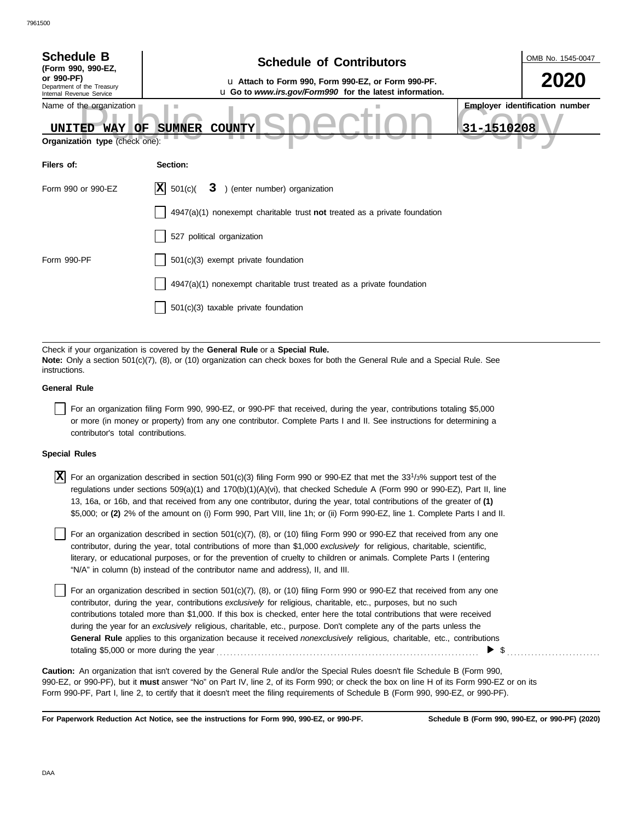#### 7961500

| <b>Schedule B</b><br>(Form 990, 990-EZ,<br>or 990-PF)<br>Department of the Treasury<br>Internal Revenue Service<br>Name of the organization<br><b>WAY</b><br>UNITED<br>OF<br>Organization type (check one): | <b>Schedule of Contributors</b><br>u Attach to Form 990, Form 990-EZ, or Form 990-PF.<br>u Go to www.irs.gov/Form990 for the latest information.<br><b>COUNTY</b><br><b>SUMNER</b> | OMB No. 1545-0047<br>2020<br><b>Employer identification number</b><br>31-1510208 |
|-------------------------------------------------------------------------------------------------------------------------------------------------------------------------------------------------------------|------------------------------------------------------------------------------------------------------------------------------------------------------------------------------------|----------------------------------------------------------------------------------|
| Filers of:                                                                                                                                                                                                  | Section:                                                                                                                                                                           |                                                                                  |
| Form 990 or 990-EZ                                                                                                                                                                                          | $ \mathbf{X} $ 501(c)(<br>3 ) (enter number) organization                                                                                                                          |                                                                                  |
|                                                                                                                                                                                                             | $4947(a)(1)$ nonexempt charitable trust not treated as a private foundation                                                                                                        |                                                                                  |
|                                                                                                                                                                                                             | 527 political organization                                                                                                                                                         |                                                                                  |
| Form 990-PF                                                                                                                                                                                                 | 501(c)(3) exempt private foundation                                                                                                                                                |                                                                                  |
|                                                                                                                                                                                                             | $4947(a)(1)$ nonexempt charitable trust treated as a private foundation                                                                                                            |                                                                                  |
|                                                                                                                                                                                                             | 501(c)(3) taxable private foundation                                                                                                                                               |                                                                                  |
|                                                                                                                                                                                                             | Check if your organization is covered by the General Rule or a Special Rule.                                                                                                       |                                                                                  |

**Note:** Only a section 501(c)(7), (8), or (10) organization can check boxes for both the General Rule and a Special Rule. See instructions.

### **General Rule**

For an organization filing Form 990, 990-EZ, or 990-PF that received, during the year, contributions totaling \$5,000 or more (in money or property) from any one contributor. Complete Parts I and II. See instructions for determining a contributor's total contributions.

### **Special Rules**

 $\overline{X}$  For an organization described in section 501(c)(3) filing Form 990 or 990-EZ that met the 33<sup>1</sup>/3% support test of the regulations under sections 509(a)(1) and 170(b)(1)(A)(vi), that checked Schedule A (Form 990 or 990-EZ), Part II, line 13, 16a, or 16b, and that received from any one contributor, during the year, total contributions of the greater of **(1)** \$5,000; or **(2)** 2% of the amount on (i) Form 990, Part VIII, line 1h; or (ii) Form 990-EZ, line 1. Complete Parts I and II.

literary, or educational purposes, or for the prevention of cruelty to children or animals. Complete Parts I (entering For an organization described in section 501(c)(7), (8), or (10) filing Form 990 or 990-EZ that received from any one contributor, during the year, total contributions of more than \$1,000 *exclusively* for religious, charitable, scientific, "N/A" in column (b) instead of the contributor name and address), II, and III.

For an organization described in section  $501(c)(7)$ ,  $(8)$ , or  $(10)$  filing Form 990 or 990-EZ that received from any one contributor, during the year, contributions *exclusively* for religious, charitable, etc., purposes, but no such contributions totaled more than \$1,000. If this box is checked, enter here the total contributions that were received during the year for an *exclusively* religious, charitable, etc., purpose. Don't complete any of the parts unless the **General Rule** applies to this organization because it received *nonexclusively* religious, charitable, etc., contributions totaling \$5,000 or more during the year . . . . . . . . . . . . . . . . . . . . . . . . . . . . . . . . . . . . . . . . . . . . . . . . . . . . . . . . . . . . . . . . . . . . . . . . . . . .  $\triangleright$  \$

990-EZ, or 990-PF), but it **must** answer "No" on Part IV, line 2, of its Form 990; or check the box on line H of its Form 990-EZ or on its Form 990-PF, Part I, line 2, to certify that it doesn't meet the filing requirements of Schedule B (Form 990, 990-EZ, or 990-PF). **Caution:** An organization that isn't covered by the General Rule and/or the Special Rules doesn't file Schedule B (Form 990,

**For Paperwork Reduction Act Notice, see the instructions for Form 990, 990-EZ, or 990-PF.**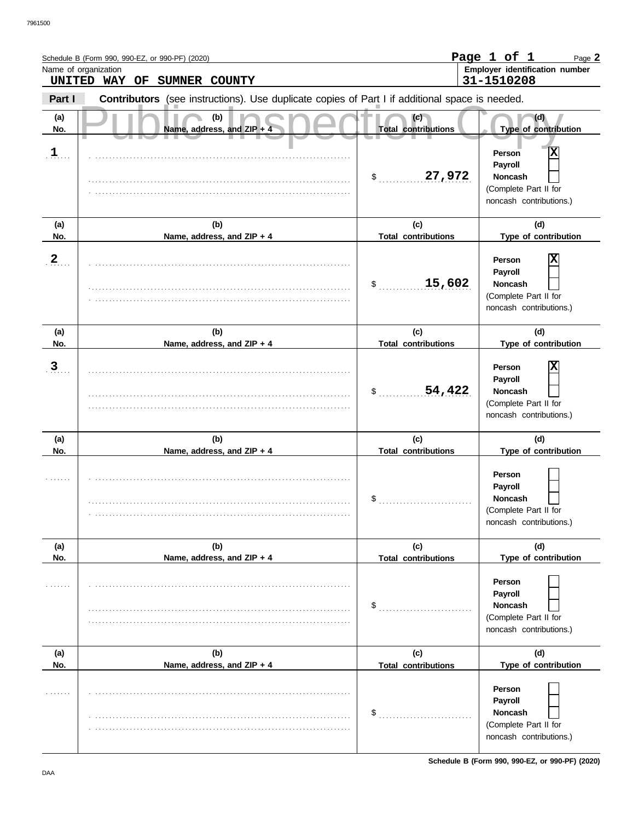|                | Schedule B (Form 990, 990-EZ, or 990-PF) (2020)                                                |                                   | Page 1 of 1<br>Page 2                                                                                              |
|----------------|------------------------------------------------------------------------------------------------|-----------------------------------|--------------------------------------------------------------------------------------------------------------------|
|                | Name of organization<br>UNITED WAY OF<br>SUMNER COUNTY                                         |                                   | Employer identification number<br>31-1510208                                                                       |
| Part I         | Contributors (see instructions). Use duplicate copies of Part I if additional space is needed. |                                   |                                                                                                                    |
| (a)<br>No.     | (b)<br>Name, address, and ZIP + 4                                                              | (c)<br><b>Total contributions</b> | (d)<br>Type of contribution                                                                                        |
| $\mathbf{1}$   |                                                                                                | $$$ 27,972                        | $\overline{\mathbf{x}}$<br>Person<br>Payroll<br><b>Noncash</b><br>(Complete Part II for<br>noncash contributions.) |
| (a)<br>No.     | (b)<br>Name, address, and ZIP + 4                                                              | (c)<br><b>Total contributions</b> | (d)<br>Type of contribution                                                                                        |
| $2_{\ldots}$   |                                                                                                | 15,602<br>$\frac{1}{2}$           | Χ<br>Person<br>Payroll<br><b>Noncash</b><br>(Complete Part II for<br>noncash contributions.)                       |
| (a)<br>No.     | (b)<br>Name, address, and ZIP + 4                                                              | (c)<br><b>Total contributions</b> | (d)<br>Type of contribution                                                                                        |
| 3 <sub>1</sub> |                                                                                                | 54,422<br>$\mathsf{S}$            | Χ<br>Person<br>Payroll<br><b>Noncash</b><br>(Complete Part II for<br>noncash contributions.)                       |
| (a)<br>No.     | (b)<br>Name, address, and ZIP + 4                                                              | (c)<br><b>Total contributions</b> | (d)<br>Type of contribution                                                                                        |
|                |                                                                                                | \$                                | Person<br>Payroll<br><b>Noncash</b><br>(Complete Part II for<br>noncash contributions.)                            |
| (a)<br>No.     | (b)<br>Name, address, and ZIP + 4                                                              | (c)<br><b>Total contributions</b> | (d)<br>Type of contribution                                                                                        |
|                |                                                                                                | \$                                | Person<br>Payroll<br>Noncash<br>(Complete Part II for<br>noncash contributions.)                                   |
| (a)<br>No.     | (b)<br>Name, address, and ZIP + 4                                                              | (c)<br><b>Total contributions</b> | (d)<br>Type of contribution                                                                                        |
|                |                                                                                                | \$                                | Person<br>Payroll<br>Noncash<br>(Complete Part II for<br>noncash contributions.)                                   |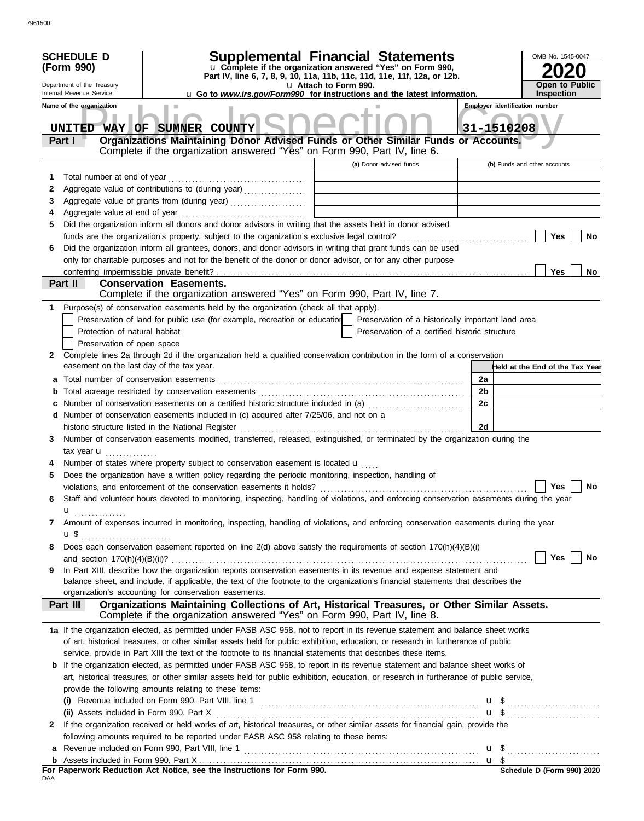| ำทำ | 15<br>c |
|-----|---------|

|              | <b>SCHEDULE D</b>                         | Supplemental Financial Statements                                                                                                         |                       |                                                          |                                       | OMB No. 1545-0047 |                                 |
|--------------|-------------------------------------------|-------------------------------------------------------------------------------------------------------------------------------------------|-----------------------|----------------------------------------------------------|---------------------------------------|-------------------|---------------------------------|
|              | (Form 990)                                | u Complete if the organization answered "Yes" on Form 990,<br>Part IV, line 6, 7, 8, 9, 10, 11a, 11b, 11c, 11d, 11e, 11f, 12a, or 12b.    |                       |                                                          |                                       |                   |                                 |
|              | Department of the Treasury                |                                                                                                                                           | u Attach to Form 990. |                                                          |                                       |                   | <b>Open to Public</b>           |
|              | Internal Revenue Service                  | <b>u</b> Go to <i>www.irs.gov/Form990</i> for instructions and the latest information.                                                    |                       |                                                          |                                       | <b>Inspection</b> |                                 |
|              | Name of the organization                  |                                                                                                                                           |                       |                                                          | <b>Employer identification number</b> |                   |                                 |
|              |                                           | WAY OF SUMNER COUNTY                                                                                                                      |                       |                                                          | 31-1510208                            |                   |                                 |
|              | UNITED<br>Part I                          | Organizations Maintaining Donor Advised Funds or Other Similar Funds or Accounts.                                                         |                       |                                                          |                                       |                   |                                 |
|              |                                           | Complete if the organization answered "Yes" on Form 990, Part IV, line 6.                                                                 |                       |                                                          |                                       |                   |                                 |
|              |                                           |                                                                                                                                           |                       | (a) Donor advised funds                                  | (b) Funds and other accounts          |                   |                                 |
| 1            |                                           |                                                                                                                                           |                       |                                                          |                                       |                   |                                 |
| 2            |                                           | Aggregate value of contributions to (during year)                                                                                         |                       | <u> 1980 - Jan Stein, amerikansk politiker (d. 1980)</u> |                                       |                   |                                 |
| 3            |                                           | Aggregate value of grants from (during year)                                                                                              |                       |                                                          |                                       |                   |                                 |
| 4            |                                           |                                                                                                                                           |                       |                                                          |                                       |                   |                                 |
| 5            |                                           | Did the organization inform all donors and donor advisors in writing that the assets held in donor advised                                |                       |                                                          |                                       |                   |                                 |
|              |                                           |                                                                                                                                           |                       |                                                          |                                       | Yes               | No                              |
| 6            |                                           | Did the organization inform all grantees, donors, and donor advisors in writing that grant funds can be used                              |                       |                                                          |                                       |                   |                                 |
|              |                                           | only for charitable purposes and not for the benefit of the donor or donor advisor, or for any other purpose                              |                       |                                                          |                                       |                   |                                 |
|              | conferring impermissible private benefit? |                                                                                                                                           |                       |                                                          |                                       | <b>Yes</b>        | No.                             |
|              | Part II                                   | <b>Conservation Easements.</b>                                                                                                            |                       |                                                          |                                       |                   |                                 |
|              |                                           | Complete if the organization answered "Yes" on Form 990, Part IV, line 7.                                                                 |                       |                                                          |                                       |                   |                                 |
| 1            |                                           | Purpose(s) of conservation easements held by the organization (check all that apply).                                                     |                       |                                                          |                                       |                   |                                 |
|              |                                           | Preservation of land for public use (for example, recreation or education                                                                 |                       | Preservation of a historically important land area       |                                       |                   |                                 |
|              | Protection of natural habitat             |                                                                                                                                           |                       | Preservation of a certified historic structure           |                                       |                   |                                 |
|              | Preservation of open space                |                                                                                                                                           |                       |                                                          |                                       |                   |                                 |
| $\mathbf{2}$ |                                           | Complete lines 2a through 2d if the organization held a qualified conservation contribution in the form of a conservation                 |                       |                                                          |                                       |                   |                                 |
|              | easement on the last day of the tax year. |                                                                                                                                           |                       |                                                          |                                       |                   | Held at the End of the Tax Year |
| a            |                                           |                                                                                                                                           |                       |                                                          | 2a                                    |                   |                                 |
|              |                                           |                                                                                                                                           |                       |                                                          | 2 <sub>b</sub>                        |                   |                                 |
|              |                                           | c Number of conservation easements on a certified historic structure included in (a) <i>minimimimimimimimimimimim</i>                     |                       |                                                          | 2c                                    |                   |                                 |
|              |                                           | d Number of conservation easements included in (c) acquired after 7/25/06, and not on a                                                   |                       |                                                          |                                       |                   |                                 |
|              |                                           |                                                                                                                                           |                       |                                                          | 2d                                    |                   |                                 |
| 3            |                                           | Number of conservation easements modified, transferred, released, extinguished, or terminated by the organization during the              |                       |                                                          |                                       |                   |                                 |
|              | tax year $\mathbf{u}$                     |                                                                                                                                           |                       |                                                          |                                       |                   |                                 |
|              |                                           | Number of states where property subject to conservation easement is located u                                                             |                       |                                                          |                                       |                   |                                 |
| 5            |                                           | Does the organization have a written policy regarding the periodic monitoring, inspection, handling of                                    |                       |                                                          |                                       |                   |                                 |
|              |                                           |                                                                                                                                           |                       |                                                          |                                       |                   | Yes     No                      |
|              |                                           | Staff and volunteer hours devoted to monitoring, inspecting, handling of violations, and enforcing conservation easements during the year |                       |                                                          |                                       |                   |                                 |
|              | u <sub></sub>                             |                                                                                                                                           |                       |                                                          |                                       |                   |                                 |
| 7            |                                           | Amount of expenses incurred in monitoring, inspecting, handling of violations, and enforcing conservation easements during the year       |                       |                                                          |                                       |                   |                                 |
|              | u \$                                      | Does each conservation easement reported on line 2(d) above satisfy the requirements of section 170(h)(4)(B)(i)                           |                       |                                                          |                                       |                   |                                 |
| 8            |                                           |                                                                                                                                           |                       |                                                          |                                       | <b>Yes</b>        | No                              |
| 9            |                                           | In Part XIII, describe how the organization reports conservation easements in its revenue and expense statement and                       |                       |                                                          |                                       |                   |                                 |
|              |                                           | balance sheet, and include, if applicable, the text of the footnote to the organization's financial statements that describes the         |                       |                                                          |                                       |                   |                                 |
|              |                                           | organization's accounting for conservation easements.                                                                                     |                       |                                                          |                                       |                   |                                 |
|              | Part III                                  | Organizations Maintaining Collections of Art, Historical Treasures, or Other Similar Assets.                                              |                       |                                                          |                                       |                   |                                 |
|              |                                           | Complete if the organization answered "Yes" on Form 990, Part IV, line 8.                                                                 |                       |                                                          |                                       |                   |                                 |
|              |                                           | 1a If the organization elected, as permitted under FASB ASC 958, not to report in its revenue statement and balance sheet works           |                       |                                                          |                                       |                   |                                 |
|              |                                           | of art, historical treasures, or other similar assets held for public exhibition, education, or research in furtherance of public         |                       |                                                          |                                       |                   |                                 |
|              |                                           | service, provide in Part XIII the text of the footnote to its financial statements that describes these items.                            |                       |                                                          |                                       |                   |                                 |
|              |                                           | <b>b</b> If the organization elected, as permitted under FASB ASC 958, to report in its revenue statement and balance sheet works of      |                       |                                                          |                                       |                   |                                 |
|              |                                           | art, historical treasures, or other similar assets held for public exhibition, education, or research in furtherance of public service,   |                       |                                                          |                                       |                   |                                 |
|              |                                           | provide the following amounts relating to these items:                                                                                    |                       |                                                          |                                       |                   |                                 |
|              |                                           |                                                                                                                                           |                       |                                                          |                                       |                   |                                 |
|              |                                           |                                                                                                                                           |                       |                                                          |                                       |                   |                                 |
| 2            |                                           | If the organization received or held works of art, historical treasures, or other similar assets for financial gain, provide the          |                       |                                                          |                                       |                   |                                 |
|              |                                           | following amounts required to be reported under FASB ASC 958 relating to these items:                                                     |                       |                                                          |                                       |                   |                                 |
| a            |                                           |                                                                                                                                           |                       |                                                          |                                       |                   |                                 |
|              |                                           |                                                                                                                                           |                       |                                                          |                                       |                   |                                 |
|              |                                           |                                                                                                                                           |                       |                                                          |                                       |                   |                                 |

**For Paperwork Reduction Act Notice, see the Instructions for Form 990.**<br><sub>DAA</sub>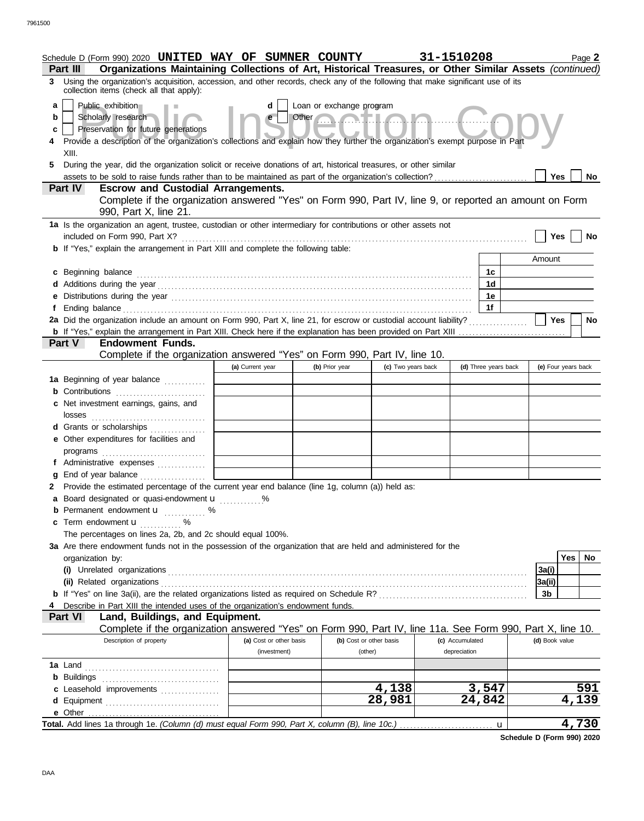|                  | Schedule D (Form 990) 2020 UNITED WAY OF SUMNER COUNTY<br>Organizations Maintaining Collections of Art, Historical Treasures, or Other Similar Assets (continued)<br>Part III                                                                                                                                                                  |                         |                                                                      |                    | 31-1510208           | Page 2              |
|------------------|------------------------------------------------------------------------------------------------------------------------------------------------------------------------------------------------------------------------------------------------------------------------------------------------------------------------------------------------|-------------------------|----------------------------------------------------------------------|--------------------|----------------------|---------------------|
| 3                | Using the organization's acquisition, accession, and other records, check any of the following that make significant use of its<br>collection items (check all that apply):                                                                                                                                                                    |                         |                                                                      |                    |                      |                     |
| a<br>b<br>c<br>5 | Public exhibition<br>Scholarly research<br>Preservation for future generations<br>Provide a description of the organization's collections and explain how they further the organization's exempt purpose in Part<br>XIII.<br>During the year, did the organization solicit or receive donations of art, historical treasures, or other similar |                         | Loan or exchange program<br>Other <b>Communication Communication</b> |                    |                      |                     |
|                  | assets to be sold to raise funds rather than to be maintained as part of the organization's collection?                                                                                                                                                                                                                                        |                         |                                                                      |                    |                      | Yes<br>No           |
|                  | <b>Escrow and Custodial Arrangements.</b><br><b>Part IV</b>                                                                                                                                                                                                                                                                                    |                         |                                                                      |                    |                      |                     |
|                  | Complete if the organization answered "Yes" on Form 990, Part IV, line 9, or reported an amount on Form<br>990, Part X, line 21.                                                                                                                                                                                                               |                         |                                                                      |                    |                      |                     |
|                  | 1a Is the organization an agent, trustee, custodian or other intermediary for contributions or other assets not<br>included on Form 990, Part X?                                                                                                                                                                                               |                         |                                                                      |                    |                      | Yes<br>No           |
|                  | <b>b</b> If "Yes," explain the arrangement in Part XIII and complete the following table:                                                                                                                                                                                                                                                      |                         |                                                                      |                    |                      |                     |
|                  |                                                                                                                                                                                                                                                                                                                                                |                         |                                                                      |                    |                      | Amount              |
|                  | c Beginning balance                                                                                                                                                                                                                                                                                                                            |                         |                                                                      |                    | 1c                   |                     |
|                  |                                                                                                                                                                                                                                                                                                                                                |                         |                                                                      |                    | 1d                   |                     |
|                  | e Distributions during the year manufactured and contact the year manufactured was determined and the vector of                                                                                                                                                                                                                                |                         |                                                                      |                    | 1е                   |                     |
|                  |                                                                                                                                                                                                                                                                                                                                                |                         |                                                                      |                    | 1f                   |                     |
|                  | 2a Did the organization include an amount on Form 990, Part X, line 21, for escrow or custodial account liability?                                                                                                                                                                                                                             |                         |                                                                      |                    |                      | <b>Yes</b><br>No    |
|                  | <b>Endowment Funds.</b><br><b>Part V</b>                                                                                                                                                                                                                                                                                                       |                         |                                                                      |                    |                      |                     |
|                  | Complete if the organization answered "Yes" on Form 990, Part IV, line 10.                                                                                                                                                                                                                                                                     |                         |                                                                      |                    |                      |                     |
|                  |                                                                                                                                                                                                                                                                                                                                                | (a) Current year        | (b) Prior year                                                       | (c) Two years back | (d) Three years back | (e) Four years back |
|                  | 1a Beginning of year balance                                                                                                                                                                                                                                                                                                                   |                         |                                                                      |                    |                      |                     |
|                  |                                                                                                                                                                                                                                                                                                                                                |                         |                                                                      |                    |                      |                     |
|                  | c Net investment earnings, gains, and                                                                                                                                                                                                                                                                                                          |                         |                                                                      |                    |                      |                     |
|                  | d Grants or scholarships                                                                                                                                                                                                                                                                                                                       |                         |                                                                      |                    |                      |                     |
|                  | e Other expenditures for facilities and                                                                                                                                                                                                                                                                                                        |                         |                                                                      |                    |                      |                     |
|                  | programs                                                                                                                                                                                                                                                                                                                                       |                         |                                                                      |                    |                      |                     |
|                  | f Administrative expenses                                                                                                                                                                                                                                                                                                                      |                         |                                                                      |                    |                      |                     |
|                  | g End of year balance                                                                                                                                                                                                                                                                                                                          |                         |                                                                      |                    |                      |                     |
|                  | 2 Provide the estimated percentage of the current year end balance (line 1g, column (a)) held as:                                                                                                                                                                                                                                              |                         |                                                                      |                    |                      |                     |
|                  | a Board designated or quasi-endowment u                                                                                                                                                                                                                                                                                                        |                         |                                                                      |                    |                      |                     |
|                  | <b>b</b> Permanent endowment <b>u</b> %                                                                                                                                                                                                                                                                                                        |                         |                                                                      |                    |                      |                     |
|                  | c Term endowment <b>u</b> %                                                                                                                                                                                                                                                                                                                    |                         |                                                                      |                    |                      |                     |
|                  | The percentages on lines 2a, 2b, and 2c should equal 100%.                                                                                                                                                                                                                                                                                     |                         |                                                                      |                    |                      |                     |
|                  | 3a Are there endowment funds not in the possession of the organization that are held and administered for the                                                                                                                                                                                                                                  |                         |                                                                      |                    |                      |                     |
|                  | organization by:                                                                                                                                                                                                                                                                                                                               |                         |                                                                      |                    |                      | Yes  <br>No         |
|                  |                                                                                                                                                                                                                                                                                                                                                |                         |                                                                      |                    |                      | 3a(i)<br>3a(ii)     |
|                  |                                                                                                                                                                                                                                                                                                                                                |                         |                                                                      |                    |                      | 3b                  |
|                  | Describe in Part XIII the intended uses of the organization's endowment funds.                                                                                                                                                                                                                                                                 |                         |                                                                      |                    |                      |                     |
|                  | Land, Buildings, and Equipment.<br><b>Part VI</b>                                                                                                                                                                                                                                                                                              |                         |                                                                      |                    |                      |                     |
|                  | Complete if the organization answered "Yes" on Form 990, Part IV, line 11a. See Form 990, Part X, line 10.                                                                                                                                                                                                                                     |                         |                                                                      |                    |                      |                     |
|                  | Description of property                                                                                                                                                                                                                                                                                                                        | (a) Cost or other basis | (b) Cost or other basis                                              |                    | (c) Accumulated      | (d) Book value      |
|                  |                                                                                                                                                                                                                                                                                                                                                | (investment)            | (other)                                                              |                    | depreciation         |                     |
|                  |                                                                                                                                                                                                                                                                                                                                                |                         |                                                                      |                    |                      |                     |
|                  |                                                                                                                                                                                                                                                                                                                                                |                         |                                                                      | 4,138              | 3,547                | 591                 |
|                  | c Leasehold improvements                                                                                                                                                                                                                                                                                                                       |                         |                                                                      | 28,981             | 24,842               | 4,139               |
|                  | e Other                                                                                                                                                                                                                                                                                                                                        |                         |                                                                      |                    |                      |                     |
|                  |                                                                                                                                                                                                                                                                                                                                                |                         |                                                                      |                    | $\mathbf u$          | 4,730               |

**Schedule D (Form 990) 2020**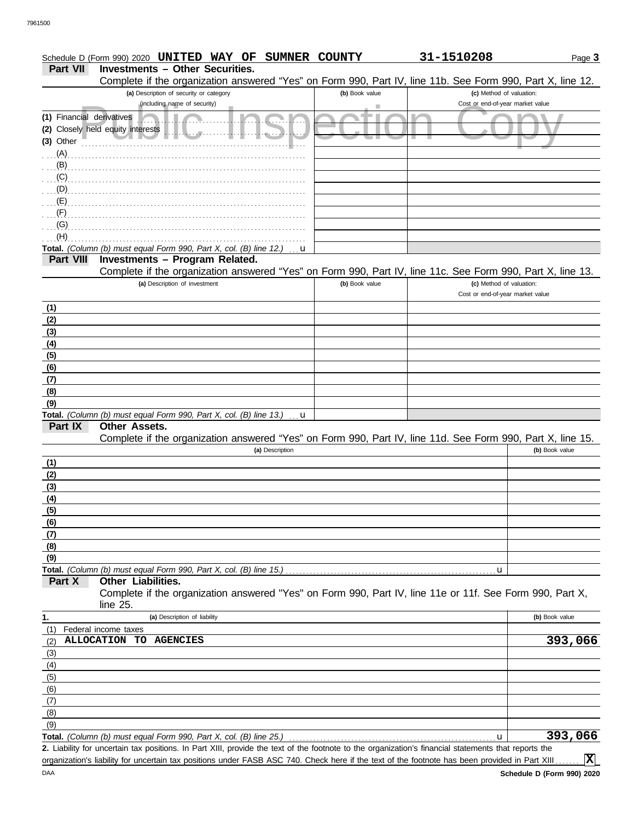|                                        | WAY<br>OF.<br>Schedule D (Form 990) 2020 UNITED                                                                                                      | SUMNER COUNTY  | 31-1510208                       | Page 3         |
|----------------------------------------|------------------------------------------------------------------------------------------------------------------------------------------------------|----------------|----------------------------------|----------------|
| <b>Part VII</b>                        | <b>Investments - Other Securities.</b>                                                                                                               |                |                                  |                |
|                                        | Complete if the organization answered "Yes" on Form 990, Part IV, line 11b. See Form 990, Part X, line 12.                                           |                |                                  |                |
|                                        | (a) Description of security or category                                                                                                              | (b) Book value | (c) Method of valuation:         |                |
|                                        | (including name of security)                                                                                                                         |                | Cost or end-of-year market value |                |
| (1) Financial derivatives<br>(3) Other | (2) Closely held equity interests                                                                                                                    |                |                                  |                |
| (A)<br>(B)                             |                                                                                                                                                      |                |                                  |                |
| (C)<br>(D)                             |                                                                                                                                                      |                |                                  |                |
| (E)                                    |                                                                                                                                                      |                |                                  |                |
| (F)<br>(G)                             |                                                                                                                                                      |                |                                  |                |
| (H)                                    | Total. (Column (b) must equal Form 990, Part X, col. (B) line 12.)                                                                                   |                |                                  |                |
| <b>Part VIII</b>                       | u<br>Investments - Program Related.                                                                                                                  |                |                                  |                |
|                                        | Complete if the organization answered "Yes" on Form 990, Part IV, line 11c. See Form 990, Part X, line 13.                                           |                |                                  |                |
|                                        | (a) Description of investment                                                                                                                        | (b) Book value | (c) Method of valuation:         |                |
|                                        |                                                                                                                                                      |                | Cost or end-of-year market value |                |
| (1)                                    |                                                                                                                                                      |                |                                  |                |
| (2)                                    |                                                                                                                                                      |                |                                  |                |
| (3)                                    |                                                                                                                                                      |                |                                  |                |
| (4)                                    |                                                                                                                                                      |                |                                  |                |
| (5)                                    |                                                                                                                                                      |                |                                  |                |
| (6)                                    |                                                                                                                                                      |                |                                  |                |
| (7)                                    |                                                                                                                                                      |                |                                  |                |
| (8)                                    |                                                                                                                                                      |                |                                  |                |
| (9)                                    |                                                                                                                                                      |                |                                  |                |
|                                        | Total. (Column (b) must equal Form 990, Part X, col. (B) line 13.)<br>u                                                                              |                |                                  |                |
| Part IX                                | <b>Other Assets.</b>                                                                                                                                 |                |                                  |                |
|                                        | Complete if the organization answered "Yes" on Form 990, Part IV, line 11d. See Form 990, Part X, line 15.<br>(a) Description                        |                |                                  | (b) Book value |
|                                        |                                                                                                                                                      |                |                                  |                |
| (1)<br>(2)                             |                                                                                                                                                      |                |                                  |                |
| (3)                                    |                                                                                                                                                      |                |                                  |                |
| <u>(4)</u>                             |                                                                                                                                                      |                |                                  |                |
| (5)                                    |                                                                                                                                                      |                |                                  |                |
| (6)                                    |                                                                                                                                                      |                |                                  |                |
| (7)                                    |                                                                                                                                                      |                |                                  |                |
| (8)                                    |                                                                                                                                                      |                |                                  |                |
| (9)                                    |                                                                                                                                                      |                |                                  |                |
|                                        | Total. (Column (b) must equal Form 990, Part X, col. (B) line 15.)                                                                                   |                | u                                |                |
| Part X                                 | Other Liabilities.                                                                                                                                   |                |                                  |                |
|                                        | Complete if the organization answered "Yes" on Form 990, Part IV, line 11e or 11f. See Form 990, Part X,<br>line $25$ .                              |                |                                  |                |
| 1.                                     | (a) Description of liability                                                                                                                         |                |                                  | (b) Book value |
| (1)                                    | Federal income taxes                                                                                                                                 |                |                                  |                |
| (2)                                    | <b>ALLOCATION</b><br>TO<br><b>AGENCIES</b>                                                                                                           |                |                                  | 393,066        |
| (3)                                    |                                                                                                                                                      |                |                                  |                |
| (4)                                    |                                                                                                                                                      |                |                                  |                |
| (5)                                    |                                                                                                                                                      |                |                                  |                |
| (6)                                    |                                                                                                                                                      |                |                                  |                |
| (7)                                    |                                                                                                                                                      |                |                                  |                |
| (8)                                    |                                                                                                                                                      |                |                                  |                |
| (9)                                    |                                                                                                                                                      |                |                                  |                |
|                                        | Total. (Column (b) must equal Form 990, Part X, col. (B) line 25.)                                                                                   |                | u                                | 393,066        |
|                                        | 2. Liability for uncertain tax positions. In Part XIII, provide the text of the footnote to the organization's financial statements that reports the |                |                                  |                |
|                                        | organization's liability for uncertain tax positions under FASB ASC 740. Check here if the text of the footnote has been provided in Part XIII       |                |                                  | $ \mathbf{x} $ |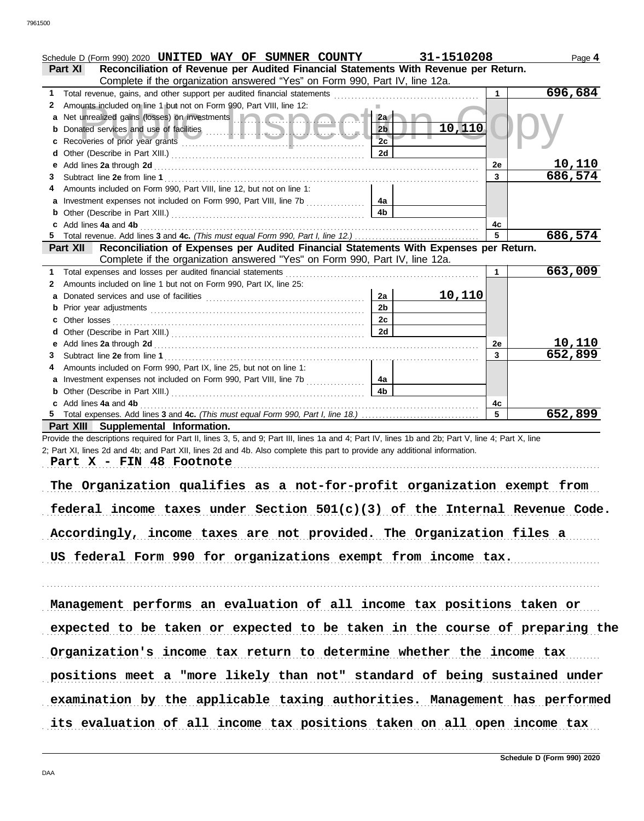|         | Schedule D (Form 990) 2020 UNITED WAY OF SUMNER COUNTY                                                                                                                                                                         |                | 31-1510208    |              | Page 4  |
|---------|--------------------------------------------------------------------------------------------------------------------------------------------------------------------------------------------------------------------------------|----------------|---------------|--------------|---------|
| Part XI | Reconciliation of Revenue per Audited Financial Statements With Revenue per Return.                                                                                                                                            |                |               |              |         |
|         | Complete if the organization answered "Yes" on Form 990, Part IV, line 12a.<br>Total revenue, gains, and other support per audited financial statements                                                                        |                |               | $\mathbf 1$  | 696,684 |
| 1.<br>2 | Amounts included on line 1 but not on Form 990, Part VIII, line 12:                                                                                                                                                            |                |               |              |         |
|         | a Net unrealized gains (losses) on investments <b>and a strategie of the strategy of the strategy of the strategy</b>                                                                                                          | 2a             |               |              |         |
|         |                                                                                                                                                                                                                                | 2 <sub>b</sub> | 10,110        |              |         |
| c       |                                                                                                                                                                                                                                | 2c             |               |              |         |
| d       |                                                                                                                                                                                                                                | 2d             |               |              |         |
| е       | Add lines 2a through 2d [11] And The Contract of the Capital Lines 2a through 2d [11] Add lines 2a through 2d                                                                                                                  |                |               | 2e           | 10,110  |
| 3       |                                                                                                                                                                                                                                |                |               | $\mathbf{3}$ | 686,574 |
| 4       | Amounts included on Form 990, Part VIII, line 12, but not on line 1:                                                                                                                                                           |                |               |              |         |
| a       | Investment expenses not included on Form 990, Part VIII, line 7b                                                                                                                                                               | 4a             |               |              |         |
| b       |                                                                                                                                                                                                                                | 4 <sub>b</sub> |               |              |         |
| c       | Add lines 4a and 4b                                                                                                                                                                                                            |                |               | 4c           |         |
| 5       |                                                                                                                                                                                                                                |                |               | 5            | 686,574 |
|         | Part XII Reconciliation of Expenses per Audited Financial Statements With Expenses per Return.                                                                                                                                 |                |               |              |         |
|         | Complete if the organization answered "Yes" on Form 990, Part IV, line 12a.                                                                                                                                                    |                |               |              |         |
|         | 1 Total expenses and losses per audited financial statements<br>Amounts included on line 1 but not on Form 990, Part IX, line 25:                                                                                              |                |               | 1            | 663,009 |
| 2       |                                                                                                                                                                                                                                | 2a             | <u>10,110</u> |              |         |
| a       | Donated services and use of facilities [11] contained and service in the service of facilities [11] contained and service in the service of the service of the service of the service of the service of the service of the ser | 2 <sub>b</sub> |               |              |         |
| b<br>c  |                                                                                                                                                                                                                                | 2c             |               |              |         |
| d       |                                                                                                                                                                                                                                | 2d             |               |              |         |
| е       |                                                                                                                                                                                                                                |                |               | <b>2e</b>    | 10,110  |
| 3       |                                                                                                                                                                                                                                |                |               | 3            | 652,899 |
| 4       | Amounts included on Form 990, Part IX, line 25, but not on line 1:                                                                                                                                                             |                |               |              |         |
|         | a Investment expenses not included on Form 990, Part VIII, line 7b                                                                                                                                                             | 4a             |               |              |         |
| b       |                                                                                                                                                                                                                                | 4 <sub>b</sub> |               |              |         |
|         | c Add lines 4a and 4b                                                                                                                                                                                                          |                |               | 4c           |         |
|         |                                                                                                                                                                                                                                |                |               | 5            | 652,899 |
|         | Part XIII Supplemental Information.                                                                                                                                                                                            |                |               |              |         |
|         | Provide the descriptions required for Part II, lines 3, 5, and 9; Part III, lines 1a and 4; Part IV, lines 1b and 2b; Part V, line 4; Part X, line                                                                             |                |               |              |         |
|         | 2; Part XI, lines 2d and 4b; and Part XII, lines 2d and 4b. Also complete this part to provide any additional information.                                                                                                     |                |               |              |         |
|         | Part X - FIN 48 Footnote                                                                                                                                                                                                       |                |               |              |         |
|         | The Organization qualifies as a not-for-profit organization exempt from                                                                                                                                                        |                |               |              |         |
|         |                                                                                                                                                                                                                                |                |               |              |         |
|         | federal income taxes under Section $501(c)(3)$ of the Internal Revenue Code.                                                                                                                                                   |                |               |              |         |
|         |                                                                                                                                                                                                                                |                |               |              |         |
|         | Accordingly, income taxes are not provided. The Organization files a                                                                                                                                                           |                |               |              |         |
|         |                                                                                                                                                                                                                                |                |               |              |         |
|         | US federal Form 990 for organizations exempt from income tax.                                                                                                                                                                  |                |               |              |         |
|         |                                                                                                                                                                                                                                |                |               |              |         |
|         |                                                                                                                                                                                                                                |                |               |              |         |
|         |                                                                                                                                                                                                                                |                |               |              |         |
|         | Management performs an evaluation of all income tax positions taken or                                                                                                                                                         |                |               |              |         |
|         |                                                                                                                                                                                                                                |                |               |              |         |
|         | expected to be taken or expected to be taken in the course of preparing the                                                                                                                                                    |                |               |              |         |
|         |                                                                                                                                                                                                                                |                |               |              |         |
|         | Organization's income tax return to determine whether the income tax                                                                                                                                                           |                |               |              |         |
|         | positions meet a "more likely than not" standard of being sustained under                                                                                                                                                      |                |               |              |         |
|         | examination by the applicable taxing authorities. Management has performed                                                                                                                                                     |                |               |              |         |
|         |                                                                                                                                                                                                                                |                |               |              |         |
|         | its evaluation of all income tax positions taken on all open income tax                                                                                                                                                        |                |               |              |         |
|         |                                                                                                                                                                                                                                |                |               |              |         |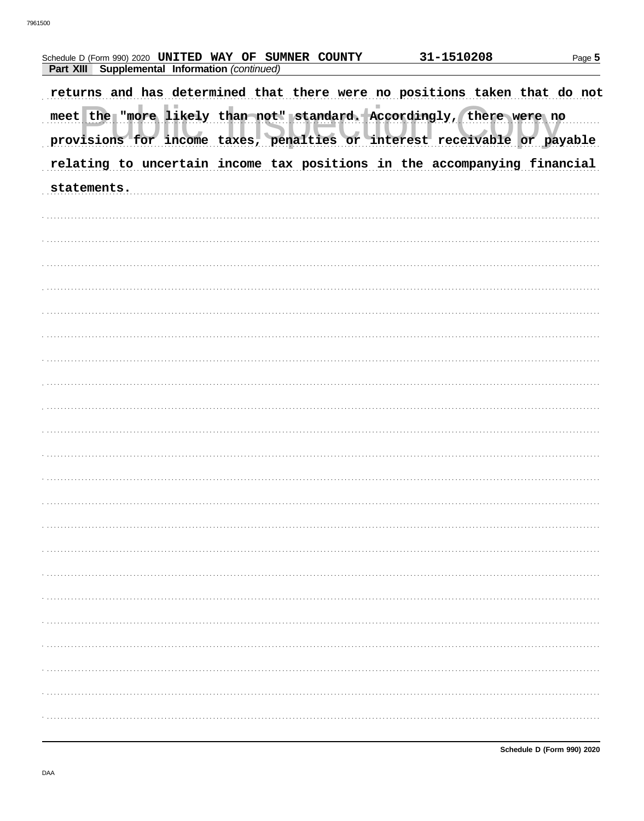| Schedule D (Form 990) 2020 UNITED WAY OF SUMNER COUNTY<br>Part XIII Supplemental Information (continued)                                         | 31-1510208 | Page 5 |
|--------------------------------------------------------------------------------------------------------------------------------------------------|------------|--------|
| returns and has determined that there were no positions taken that do not                                                                        |            |        |
| meet the "more likely than not" standard. Accordingly, there were no<br>provisions for income taxes, penalties or interest receivable or payable |            |        |
| relating to uncertain income tax positions in the accompanying financial                                                                         |            |        |
| statements.                                                                                                                                      |            |        |
|                                                                                                                                                  |            |        |
|                                                                                                                                                  |            |        |
|                                                                                                                                                  |            |        |
|                                                                                                                                                  |            |        |
|                                                                                                                                                  |            |        |
|                                                                                                                                                  |            |        |
|                                                                                                                                                  |            |        |
|                                                                                                                                                  |            |        |
|                                                                                                                                                  |            |        |
|                                                                                                                                                  |            |        |
|                                                                                                                                                  |            |        |
|                                                                                                                                                  |            |        |
|                                                                                                                                                  |            |        |
|                                                                                                                                                  |            |        |
|                                                                                                                                                  |            |        |
|                                                                                                                                                  |            |        |
|                                                                                                                                                  |            |        |
|                                                                                                                                                  |            |        |
|                                                                                                                                                  |            |        |
|                                                                                                                                                  |            |        |
|                                                                                                                                                  |            |        |
|                                                                                                                                                  |            |        |
|                                                                                                                                                  |            |        |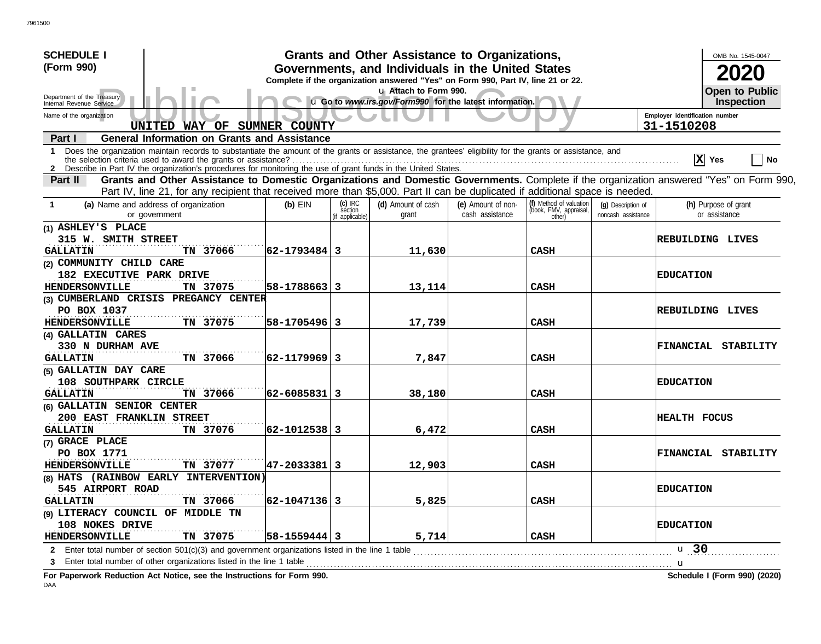| <b>SCHEDULE I</b>                                                                                                                                                                                                                                                                    |                    |                                       | Grants and Other Assistance to Organizations,                                                                                         |                                       |                                                             |                                          |                                              | OMB No. 1545-0047                     |
|--------------------------------------------------------------------------------------------------------------------------------------------------------------------------------------------------------------------------------------------------------------------------------------|--------------------|---------------------------------------|---------------------------------------------------------------------------------------------------------------------------------------|---------------------------------------|-------------------------------------------------------------|------------------------------------------|----------------------------------------------|---------------------------------------|
| (Form 990)                                                                                                                                                                                                                                                                           |                    |                                       | Governments, and Individuals in the United States<br>Complete if the organization answered "Yes" on Form 990, Part IV, line 21 or 22. |                                       |                                                             |                                          |                                              |                                       |
| Department of the Treasury<br>Internal Revenue Service                                                                                                                                                                                                                               |                    |                                       | u Attach to Form 990.<br>u Go to www.irs.gov/Form990 for the latest information.                                                      |                                       |                                                             |                                          |                                              | <b>Open to Public</b><br>Inspection   |
| Name of the organization<br>UNITED WAY OF                                                                                                                                                                                                                                            | SUMNER COUNTY      |                                       |                                                                                                                                       |                                       |                                                             |                                          | Employer identification number<br>31-1510208 |                                       |
| <b>General Information on Grants and Assistance</b><br>Part I                                                                                                                                                                                                                        |                    |                                       |                                                                                                                                       |                                       |                                                             |                                          |                                              |                                       |
| Does the organization maintain records to substantiate the amount of the grants or assistance, the grantees' eligibility for the grants or assistance, and<br>1<br>2 Describe in Part IV the organization's procedures for monitoring the use of grant funds in the United States.   |                    |                                       |                                                                                                                                       |                                       |                                                             |                                          | $ \mathbf{X} $ Yes                           | No                                    |
| Grants and Other Assistance to Domestic Organizations and Domestic Governments. Complete if the organization answered "Yes" on Form 990,<br>Part II<br>Part IV, line 21, for any recipient that received more than \$5,000. Part II can be duplicated if additional space is needed. |                    |                                       |                                                                                                                                       |                                       |                                                             |                                          |                                              |                                       |
| (a) Name and address of organization<br>or government                                                                                                                                                                                                                                | $(b)$ EIN          | (c) IRC<br>section<br>(if applicable) | (d) Amount of cash<br>grant                                                                                                           | (e) Amount of non-<br>cash assistance | (f) Method of valuation<br>(book, FMV, appraisal,<br>other) | (g) Description of<br>noncash assistance |                                              | (h) Purpose of grant<br>or assistance |
| (1) ASHLEY'S PLACE<br>315 W. SMITH STREET<br><b>GALLATIN</b><br>TN 37066                                                                                                                                                                                                             | 62–1793484  3      |                                       | 11,630                                                                                                                                |                                       | <b>CASH</b>                                                 |                                          | REBUILDING LIVES                             |                                       |
| (2) COMMUNITY CHILD CARE<br>182 EXECUTIVE PARK DRIVE<br>TN 37075<br><b>HENDERSONVILLE</b>                                                                                                                                                                                            | 58-1788663  3      |                                       | 13,114                                                                                                                                |                                       | <b>CASH</b>                                                 |                                          | <b>EDUCATION</b>                             |                                       |
| (3) CUMBERLAND CRISIS PREGANCY CENTER<br>PO BOX 1037<br>TN 37075<br><b>HENDERSONVILLE</b>                                                                                                                                                                                            | 58-1705496 3       |                                       | 17,739                                                                                                                                |                                       | <b>CASH</b>                                                 |                                          | <b>REBUILDING LIVES</b>                      |                                       |
| (4) GALLATIN CARES<br>330 N DURHAM AVE<br>TN 37066<br><b>GALLATIN</b>                                                                                                                                                                                                                | 62–1179969  3      |                                       | 7,847                                                                                                                                 |                                       | <b>CASH</b>                                                 |                                          |                                              | FINANCIAL STABILITY                   |
| (5) GALLATIN DAY CARE<br>108 SOUTHPARK CIRCLE<br>TN 37066<br><b>GALLATIN</b>                                                                                                                                                                                                         | 62-6085831         | 3                                     | 38,180                                                                                                                                |                                       | <b>CASH</b>                                                 |                                          | <b>EDUCATION</b>                             |                                       |
| (6) GALLATIN SENIOR CENTER<br>200 EAST FRANKLIN STREET<br><b>GALLATIN</b><br>TN 37076                                                                                                                                                                                                | 62-1012538 3       |                                       | 6,472                                                                                                                                 |                                       | <b>CASH</b>                                                 |                                          | <b>HEALTH FOCUS</b>                          |                                       |
| (7) GRACE PLACE<br>PO BOX 1771<br>TN 37077<br><b>HENDERSONVILLE</b>                                                                                                                                                                                                                  | 47-2033381         | 3                                     | 12,903                                                                                                                                |                                       | <b>CASH</b>                                                 |                                          |                                              | FINANCIAL STABILITY                   |
| (8) HATS (RAINBOW EARLY INTERVENTION)<br>545 AIRPORT ROAD<br><b>GALLATIN</b><br>TN 37066                                                                                                                                                                                             | $ 62 - 1047136 $ 3 |                                       | 5,825                                                                                                                                 |                                       | CASH                                                        |                                          | <b>EDUCATION</b>                             |                                       |
| (9) LITERACY COUNCIL OF MIDDLE TN<br>108 NOKES DRIVE<br>TN 37075<br><b>HENDERSONVILLE</b>                                                                                                                                                                                            | 58-1559444 3       |                                       | 5,714                                                                                                                                 |                                       | CASH                                                        |                                          | <b>EDUCATION</b>                             |                                       |
| 2 Enter total number of section 501(c)(3) and government organizations listed in the line 1 table<br>3 Enter total number of other organizations listed in the line 1 table <b>conserved to the conserved in the line 1</b>                                                          |                    |                                       |                                                                                                                                       |                                       |                                                             |                                          | u 30                                         |                                       |

**For Paperwork Reduction Act Notice, see the Instructions for Form 990. Schedule I (Form 990) (2020)** DAA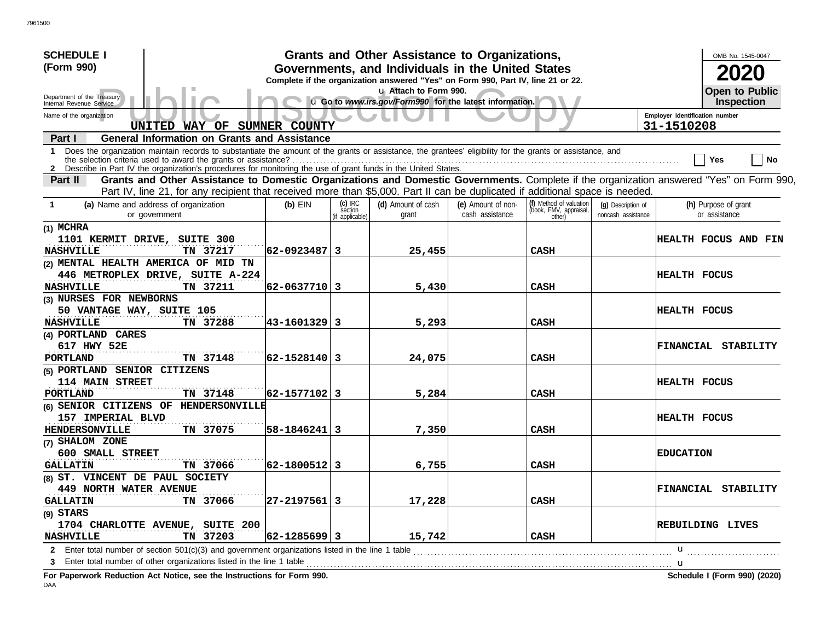| <b>SCHEDULE I</b>                                                                                                                                                                                                                                                                    |                    |                                         | Grants and Other Assistance to Organizations,                                                                                         |                                       |                                                             |                                          | OMB No. 1545-0047                            |
|--------------------------------------------------------------------------------------------------------------------------------------------------------------------------------------------------------------------------------------------------------------------------------------|--------------------|-----------------------------------------|---------------------------------------------------------------------------------------------------------------------------------------|---------------------------------------|-------------------------------------------------------------|------------------------------------------|----------------------------------------------|
| (Form 990)                                                                                                                                                                                                                                                                           |                    |                                         | Governments, and Individuals in the United States<br>Complete if the organization answered "Yes" on Form 990, Part IV, line 21 or 22. |                                       |                                                             |                                          |                                              |
| Department of the Treasury<br>Internal Revenue Service                                                                                                                                                                                                                               |                    |                                         | u Attach to Form 990.<br>u Go to www.irs.gov/Form990 for the latest information.                                                      |                                       |                                                             |                                          | <b>Open to Public</b><br>Inspection          |
| Name of the organization<br>UNITED WAY OF SUMNER COUNTY                                                                                                                                                                                                                              |                    |                                         |                                                                                                                                       |                                       |                                                             |                                          | Employer identification number<br>31-1510208 |
| <b>General Information on Grants and Assistance</b><br>Part I                                                                                                                                                                                                                        |                    |                                         |                                                                                                                                       |                                       |                                                             |                                          |                                              |
| Does the organization maintain records to substantiate the amount of the grants or assistance, the grantees' eligibility for the grants or assistance, and<br>1.<br>2 Describe in Part IV the organization's procedures for monitoring the use of grant funds in the United States.  |                    |                                         |                                                                                                                                       |                                       |                                                             |                                          | No<br>Yes                                    |
| Grants and Other Assistance to Domestic Organizations and Domestic Governments. Complete if the organization answered "Yes" on Form 990,<br>Part II<br>Part IV, line 21, for any recipient that received more than \$5,000. Part II can be duplicated if additional space is needed. |                    |                                         |                                                                                                                                       |                                       |                                                             |                                          |                                              |
| (a) Name and address of organization<br>or government                                                                                                                                                                                                                                | $(b)$ EIN          | $(c)$ IRC<br>séction<br>(if applicable) | (d) Amount of cash<br>grant                                                                                                           | (e) Amount of non-<br>cash assistance | (f) Method of valuation<br>(book, FMV, appraisal,<br>other) | (g) Description of<br>noncash assistance | (h) Purpose of grant<br>or assistance        |
| $(1)$ MCHRA<br>1101 KERMIT DRIVE, SUITE 300<br><b>NASHVILLE</b><br>TN 37217                                                                                                                                                                                                          | 62-0923487 3       |                                         | 25,455                                                                                                                                |                                       | <b>CASH</b>                                                 |                                          | <b>HEALTH FOCUS AND FIN</b>                  |
| (2) MENTAL HEALTH AMERICA OF MID TN<br>446 METROPLEX DRIVE, SUITE A-224<br><b>NASHVILLE</b><br>TN 37211                                                                                                                                                                              | 62-0637710 3       |                                         | 5,430                                                                                                                                 |                                       | <b>CASH</b>                                                 |                                          | <b>HEALTH FOCUS</b>                          |
| (3) NURSES FOR NEWBORNS<br>50 VANTAGE WAY, SUITE 105<br><b>NASHVILLE</b><br>TN 37288                                                                                                                                                                                                 | 43-1601329  3      |                                         | 5,293                                                                                                                                 |                                       | <b>CASH</b>                                                 |                                          | <b>HEALTH FOCUS</b>                          |
| (4) PORTLAND CARES<br>617 HWY 52E<br>PORTLAND<br>TN 37148                                                                                                                                                                                                                            | 62-1528140 3       |                                         | 24,075                                                                                                                                |                                       | <b>CASH</b>                                                 |                                          | FINANCIAL STABILITY                          |
| (5) PORTLAND SENIOR CITIZENS<br>114 MAIN STREET<br>PORTLAND<br>TN 37148                                                                                                                                                                                                              | 62-1577102  3      |                                         | 5,284                                                                                                                                 |                                       | <b>CASH</b>                                                 |                                          | <b>HEALTH FOCUS</b>                          |
| (6) SENIOR CITIZENS OF HENDERSONVILLE<br>157 IMPERIAL BLVD<br>TN 37075<br><b>HENDERSONVILLE</b>                                                                                                                                                                                      | 58-1846241  3      |                                         | 7,350                                                                                                                                 |                                       | <b>CASH</b>                                                 |                                          | <b>HEALTH FOCUS</b>                          |
| (7) SHALOM ZONE<br>600 SMALL STREET<br><b>GALLATIN</b><br>TN 37066                                                                                                                                                                                                                   | 62-1800512  3      |                                         | 6,755                                                                                                                                 |                                       | CASH                                                        |                                          | <b>EDUCATION</b>                             |
| (8) ST. VINCENT DE PAUL SOCIETY<br>449 NORTH WATER AVENUE<br>TN 37066<br><b>GALLATIN</b>                                                                                                                                                                                             | $ 27 - 2197561 $ 3 |                                         | 17,228                                                                                                                                |                                       | CASH                                                        |                                          | FINANCIAL STABILIT                           |
| $(9)$ STARS<br>1704 CHARLOTTE AVENUE, SUITE 200<br>TN 37203<br><b>NASHVILLE</b>                                                                                                                                                                                                      | $ 62 - 1285699 3$  |                                         | 15,742                                                                                                                                |                                       | CASH                                                        |                                          | <b>REBUILDING LIVES</b>                      |

**For Paperwork Reduction Act Notice, see the Instructions for Form 990. Schedule I (Form 990) (2020)** DAA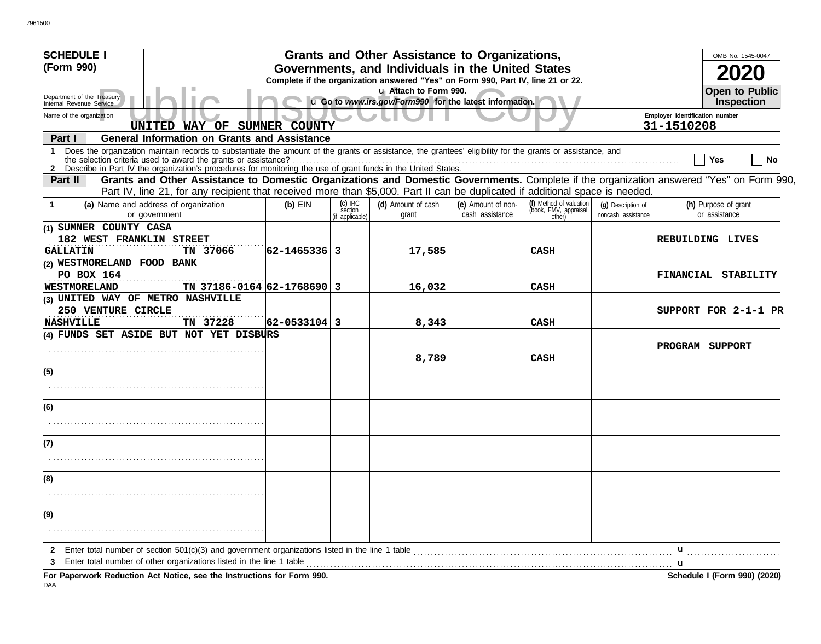| <b>SCHEDULE I</b>                                                                                                                                                                                                                                                                            |                    |                                         | Grants and Other Assistance to Organizations,                                                                                         |                                       |                                                             |                                          | OMB No. 1545-0047                     |
|----------------------------------------------------------------------------------------------------------------------------------------------------------------------------------------------------------------------------------------------------------------------------------------------|--------------------|-----------------------------------------|---------------------------------------------------------------------------------------------------------------------------------------|---------------------------------------|-------------------------------------------------------------|------------------------------------------|---------------------------------------|
| (Form 990)                                                                                                                                                                                                                                                                                   |                    |                                         | Governments, and Individuals in the United States<br>Complete if the organization answered "Yes" on Form 990, Part IV, line 21 or 22. |                                       |                                                             |                                          |                                       |
| Department of the Treasury<br>Internal Revenue Service                                                                                                                                                                                                                                       |                    |                                         | u Attach to Form 990.<br>u Go to www.irs.gov/Form990 for the latest information.                                                      |                                       |                                                             |                                          | <b>Open to Public</b><br>Inspection   |
| Name of the organization                                                                                                                                                                                                                                                                     |                    |                                         |                                                                                                                                       |                                       |                                                             |                                          | Employer identification number        |
| UNITED WAY OF SUMNER COUNTY<br><b>General Information on Grants and Assistance</b><br>Part I                                                                                                                                                                                                 |                    |                                         |                                                                                                                                       |                                       |                                                             |                                          | 31-1510208                            |
| Does the organization maintain records to substantiate the amount of the grants or assistance, the grantees' eligibility for the grants or assistance, and<br>$\mathbf 1$<br>2 Describe in Part IV the organization's procedures for monitoring the use of grant funds in the United States. |                    |                                         |                                                                                                                                       |                                       |                                                             |                                          | No<br>Yes                             |
| Grants and Other Assistance to Domestic Organizations and Domestic Governments. Complete if the organization answered "Yes" on Form 990,<br>Part II<br>Part IV, line 21, for any recipient that received more than \$5,000. Part II can be duplicated if additional space is needed.         |                    |                                         |                                                                                                                                       |                                       |                                                             |                                          |                                       |
| (a) Name and address of organization<br>-1<br>or government                                                                                                                                                                                                                                  | $(b)$ EIN          | $(c)$ IRC<br>section<br>(if applicable) | (d) Amount of cash<br>grant                                                                                                           | (e) Amount of non-<br>cash assistance | (f) Method of valuation<br>(book, FMV, appraisal,<br>other) | (g) Description of<br>noncash assistance | (h) Purpose of grant<br>or assistance |
| (1) SUMNER COUNTY CASA<br>182 WEST FRANKLIN STREET<br><b>GALLATIN</b><br>TN 37066                                                                                                                                                                                                            | $ 62 - 1465336 $ 3 |                                         | 17,585                                                                                                                                |                                       | <b>CASH</b>                                                 |                                          | REBUILDING LIVES                      |
| (2) WESTMORELAND FOOD BANK<br>PO BOX 164<br>TN 37186-0164 62-1768690 3<br>WESTMORELAND                                                                                                                                                                                                       |                    |                                         | 16,032                                                                                                                                |                                       | <b>CASH</b>                                                 |                                          | FINANCIAL STABILITY                   |
| (3) UNITED WAY OF METRO NASHVILLE<br>250 VENTURE CIRCLE<br>TN 37228<br><b>NASHVILLE</b>                                                                                                                                                                                                      | $ 62 - 0533104 $ 3 |                                         | 8,343                                                                                                                                 |                                       | <b>CASH</b>                                                 |                                          | SUPPORT FOR 2-1-1 PR                  |
| (4) FUNDS SET ASIDE BUT NOT YET DISBURS                                                                                                                                                                                                                                                      |                    |                                         | 8,789                                                                                                                                 |                                       | <b>CASH</b>                                                 |                                          | PROGRAM SUPPORT                       |
| (5)                                                                                                                                                                                                                                                                                          |                    |                                         |                                                                                                                                       |                                       |                                                             |                                          |                                       |
| (6)                                                                                                                                                                                                                                                                                          |                    |                                         |                                                                                                                                       |                                       |                                                             |                                          |                                       |
| (7)                                                                                                                                                                                                                                                                                          |                    |                                         |                                                                                                                                       |                                       |                                                             |                                          |                                       |
|                                                                                                                                                                                                                                                                                              |                    |                                         |                                                                                                                                       |                                       |                                                             |                                          |                                       |
| (8)                                                                                                                                                                                                                                                                                          |                    |                                         |                                                                                                                                       |                                       |                                                             |                                          |                                       |
| (9)                                                                                                                                                                                                                                                                                          |                    |                                         |                                                                                                                                       |                                       |                                                             |                                          |                                       |
| Enter total number of other organizations listed in the line 1 table<br>For Paperwork Reduction Act Notice, see the Instructions for Form 990.                                                                                                                                               |                    |                                         |                                                                                                                                       |                                       |                                                             | u                                        | u<br>Schedule I (Form 990) (2020)     |

DAA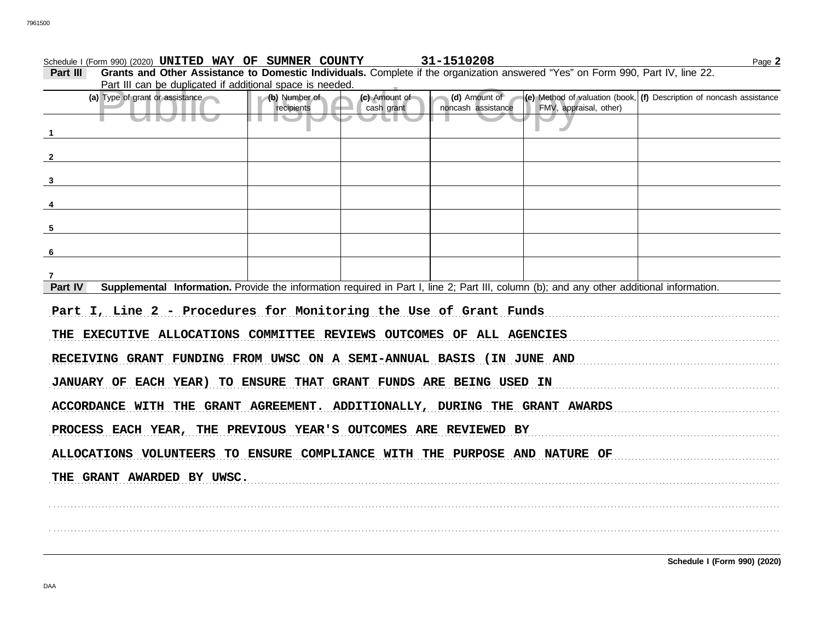| Schedule I (Form 990) (2020) UNITED WAY OF SUMNER COUNTY                                                                                             |                             |                             | 31-1510208                          |                        | Page 2                                                                   |  |  |  |
|------------------------------------------------------------------------------------------------------------------------------------------------------|-----------------------------|-----------------------------|-------------------------------------|------------------------|--------------------------------------------------------------------------|--|--|--|
| Grants and Other Assistance to Domestic Individuals. Complete if the organization answered "Yes" on Form 990, Part IV, line 22.<br>Part III          |                             |                             |                                     |                        |                                                                          |  |  |  |
| Part III can be duplicated if additional space is needed.                                                                                            |                             |                             |                                     |                        |                                                                          |  |  |  |
| (a) Type of grant or assistance                                                                                                                      | (b) Number of<br>recipients | (c) Amount of<br>cash grant | (d) Amount of<br>noncash assistance | FMV, appraisal, other) | $ e $ Method of valuation (book, $ f $ Description of noncash assistance |  |  |  |
| <b>UIDITU</b>                                                                                                                                        |                             |                             |                                     |                        |                                                                          |  |  |  |
|                                                                                                                                                      |                             |                             |                                     |                        |                                                                          |  |  |  |
| $\mathbf{3}$                                                                                                                                         |                             |                             |                                     |                        |                                                                          |  |  |  |
|                                                                                                                                                      |                             |                             |                                     |                        |                                                                          |  |  |  |
| 5                                                                                                                                                    |                             |                             |                                     |                        |                                                                          |  |  |  |
| 6                                                                                                                                                    |                             |                             |                                     |                        |                                                                          |  |  |  |
|                                                                                                                                                      |                             |                             |                                     |                        |                                                                          |  |  |  |
| Supplemental Information. Provide the information required in Part I, line 2; Part III, column (b); and any other additional information.<br>Part IV |                             |                             |                                     |                        |                                                                          |  |  |  |
| Part I, Line 2 - Procedures for Monitoring the Use of Grant Funds                                                                                    |                             |                             |                                     |                        |                                                                          |  |  |  |
| THE EXECUTIVE ALLOCATIONS COMMITTEE REVIEWS OUTCOMES OF ALL AGENCIES<br>RECEIVING GRANT FUNDING FROM UWSC ON A SEMI-ANNUAL BASIS (IN JUNE AND        |                             |                             |                                     |                        |                                                                          |  |  |  |
| JANUARY OF EACH YEAR) TO ENSURE THAT GRANT FUNDS ARE BEING USED IN                                                                                   |                             |                             |                                     |                        |                                                                          |  |  |  |
| ACCORDANCE WITH THE GRANT AGREEMENT. ADDITIONALLY, DURING THE GRANT AWARDS                                                                           |                             |                             |                                     |                        |                                                                          |  |  |  |
| PROCESS EACH YEAR, THE PREVIOUS YEAR'S OUTCOMES ARE REVIEWED BY                                                                                      |                             |                             |                                     |                        |                                                                          |  |  |  |
| ALLOCATIONS VOLUNTEERS TO ENSURE COMPLIANCE WITH THE PURPOSE AND NATURE OF                                                                           |                             |                             |                                     |                        |                                                                          |  |  |  |
| THE GRANT AWARDED BY UWSC.                                                                                                                           |                             |                             |                                     |                        |                                                                          |  |  |  |
|                                                                                                                                                      |                             |                             |                                     |                        |                                                                          |  |  |  |
|                                                                                                                                                      |                             |                             |                                     |                        |                                                                          |  |  |  |
|                                                                                                                                                      |                             |                             |                                     |                        |                                                                          |  |  |  |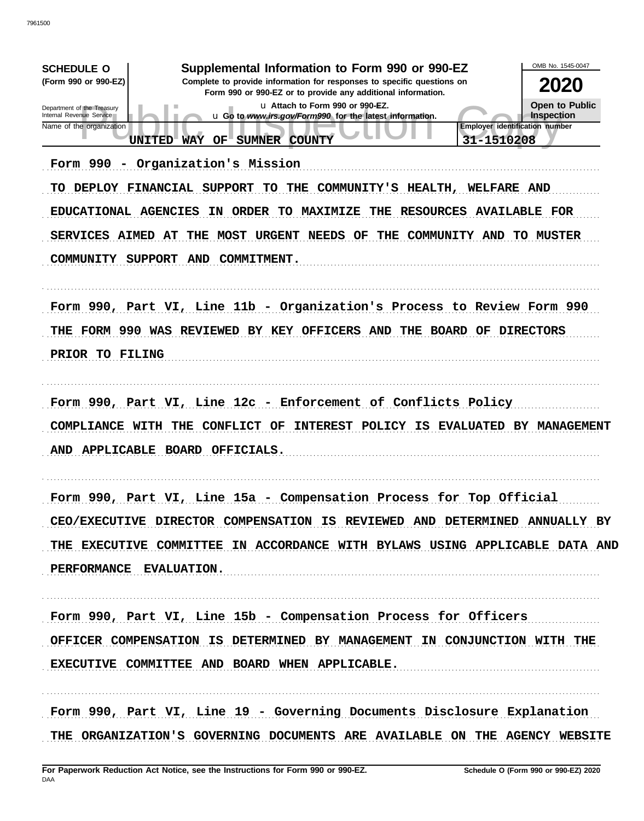| <b>SCHEDULE O</b>                                      | Supplemental Information to Form 990 or 990-EZ                                                                                         | OMB No. 1545-0047                     |
|--------------------------------------------------------|----------------------------------------------------------------------------------------------------------------------------------------|---------------------------------------|
| (Form 990 or 990-EZ)                                   | Complete to provide information for responses to specific questions on<br>Form 990 or 990-EZ or to provide any additional information. | 2020                                  |
| Department of the Treasury<br>Internal Revenue Service | u Attach to Form 990 or 990-EZ.<br>u Go to www.irs.gov/Form990 for the latest information.                                             | <b>Open to Public</b><br>Inspection   |
| Name of the organization                               |                                                                                                                                        | <b>Employer identification number</b> |
| <b>UNITED</b>                                          | WAY OF SUMNER COUNTY<br>31-1510208                                                                                                     |                                       |
|                                                        | Form 990 - Organization's Mission                                                                                                      |                                       |
| TO DEPLOY FINANCIAL SUPPORT                            | TO THE COMMUNITY'S<br><b>HEALTH, WELFARE AND</b>                                                                                       |                                       |
| <b>EDUCATIONAL AGENCIES</b>                            | IN ORDER TO MAXIMIZE<br>THE<br><b>RESOURCES</b>                                                                                        | <b>AVAILABLE FOR</b>                  |
| SERVICES AIMED AT                                      | MOST URGENT NEEDS OF<br>THE COMMUNITY AND<br>THE                                                                                       | <b>TO MUSTER</b>                      |
|                                                        | COMMUNITY SUPPORT AND COMMITMENT.                                                                                                      |                                       |
|                                                        |                                                                                                                                        |                                       |
|                                                        | Form 990, Part VI, Line 11b - Organization's Process to Review Form 990                                                                |                                       |
|                                                        | THE FORM 990 WAS REVIEWED BY KEY OFFICERS AND THE BOARD OF DIRECTORS                                                                   |                                       |
| PRIOR TO FILING                                        |                                                                                                                                        |                                       |
|                                                        |                                                                                                                                        |                                       |
|                                                        | Form 990, Part VI, Line 12c - Enforcement of Conflicts Policy                                                                          |                                       |
|                                                        | COMPLIANCE WITH THE CONFLICT OF INTEREST POLICY IS EVALUATED BY MANAGEMENT                                                             |                                       |
|                                                        | AND APPLICABLE BOARD OFFICIALS.                                                                                                        |                                       |
|                                                        |                                                                                                                                        |                                       |
|                                                        | Form 990, Part VI, Line 15a - Compensation Process for Top Official                                                                    |                                       |
|                                                        | CEO/EXECUTIVE DIRECTOR COMPENSATION IS REVIEWED AND DETERMINED ANNUALLY BY                                                             |                                       |
|                                                        | THE EXECUTIVE COMMITTEE IN ACCORDANCE WITH BYLAWS USING APPLICABLE DATA AND                                                            |                                       |
|                                                        |                                                                                                                                        |                                       |
| PERFORMANCE EVALUATION.                                |                                                                                                                                        |                                       |
|                                                        |                                                                                                                                        |                                       |
|                                                        | Form 990, Part VI, Line 15b - Compensation Process for Officers                                                                        |                                       |
|                                                        | OFFICER COMPENSATION IS DETERMINED BY MANAGEMENT IN CONJUNCTION WITH THE                                                               |                                       |
|                                                        | EXECUTIVE COMMITTEE AND BOARD WHEN APPLICABLE.                                                                                         |                                       |
|                                                        |                                                                                                                                        |                                       |
|                                                        | Form 990, Part VI, Line 19 - Governing Documents Disclosure Explanation                                                                |                                       |
|                                                        | THE ORGANIZATION'S GOVERNING DOCUMENTS ARE AVAILABLE ON THE AGENCY WEBSITE                                                             |                                       |